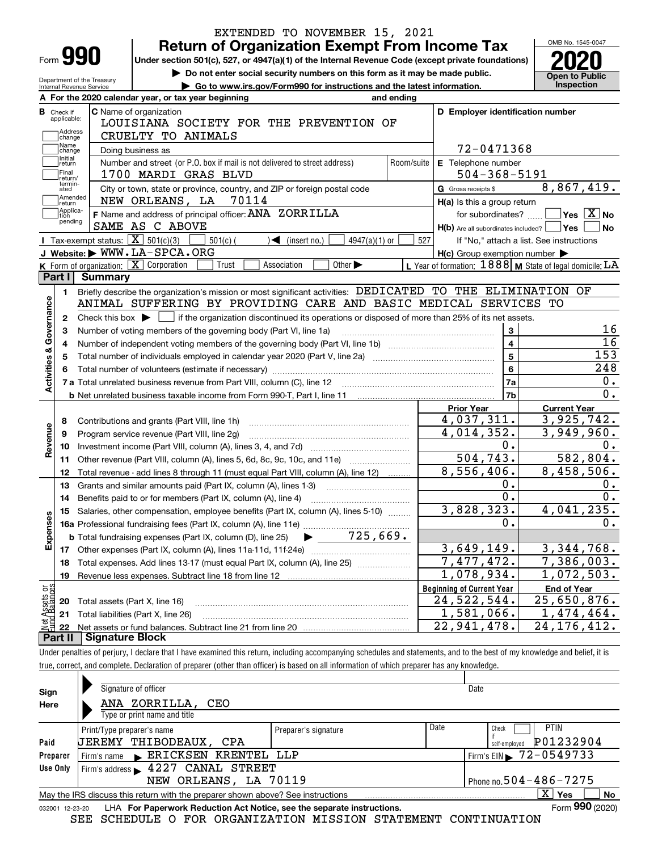|                           |                          |                                                                                     | EXTENDED TO NOVEMBER 15, 2021                                                                                                                                              |                                  |                                                                                                 |                     |                                                              |  |  |  |  |
|---------------------------|--------------------------|-------------------------------------------------------------------------------------|----------------------------------------------------------------------------------------------------------------------------------------------------------------------------|----------------------------------|-------------------------------------------------------------------------------------------------|---------------------|--------------------------------------------------------------|--|--|--|--|
|                           |                          |                                                                                     | <b>Return of Organization Exempt From Income Tax</b>                                                                                                                       |                                  |                                                                                                 |                     | OMB No. 1545-0047                                            |  |  |  |  |
|                           | Form 990                 |                                                                                     | Under section 501(c), 527, or 4947(a)(1) of the Internal Revenue Code (except private foundations)                                                                         |                                  |                                                                                                 |                     |                                                              |  |  |  |  |
|                           |                          | Department of the Treasury                                                          | Do not enter social security numbers on this form as it may be made public.                                                                                                |                                  |                                                                                                 |                     | <b>Open to Public</b>                                        |  |  |  |  |
|                           | Internal Revenue Service |                                                                                     | Go to www.irs.gov/Form990 for instructions and the latest information.                                                                                                     |                                  |                                                                                                 |                     | Inspection                                                   |  |  |  |  |
|                           |                          |                                                                                     | A For the 2020 calendar year, or tax year beginning<br>and ending                                                                                                          |                                  |                                                                                                 |                     |                                                              |  |  |  |  |
| в<br>Check if             | applicable:              |                                                                                     | C Name of organization                                                                                                                                                     |                                  | D Employer identification number                                                                |                     |                                                              |  |  |  |  |
|                           | Address                  |                                                                                     | LOUISIANA SOCIETY FOR THE PREVENTION OF                                                                                                                                    |                                  |                                                                                                 |                     |                                                              |  |  |  |  |
|                           | change<br>Name           |                                                                                     | CRUELTY TO ANIMALS                                                                                                                                                         |                                  |                                                                                                 |                     |                                                              |  |  |  |  |
|                           | change<br>Initial        |                                                                                     | Doing business as                                                                                                                                                          |                                  | 72-0471368                                                                                      |                     |                                                              |  |  |  |  |
|                           | return<br>Final          |                                                                                     | Number and street (or P.O. box if mail is not delivered to street address)<br>Room/suite                                                                                   |                                  | E Telephone number                                                                              |                     |                                                              |  |  |  |  |
|                           | return/<br>termin-       |                                                                                     | 1700 MARDI GRAS BLVD                                                                                                                                                       |                                  | $504 - 368 - 5191$                                                                              |                     |                                                              |  |  |  |  |
|                           | ated<br> Amended         |                                                                                     | City or town, state or province, country, and ZIP or foreign postal code                                                                                                   | G Gross receipts \$              |                                                                                                 |                     | 8,867,419.                                                   |  |  |  |  |
|                           | return<br>Applica-       |                                                                                     | NEW ORLEANS, LA 70114                                                                                                                                                      |                                  | H(a) Is this a group return                                                                     |                     |                                                              |  |  |  |  |
|                           | tion<br>pending          |                                                                                     | F Name and address of principal officer: ANA ZORRILLA<br>SAME AS C ABOVE                                                                                                   |                                  | for subordinates?                                                                               |                     | $\blacksquare$ Yes $\lceil$ $\overline{\mathrm{X}}\rceil$ No |  |  |  |  |
|                           |                          |                                                                                     | <b>I</b> Tax-exempt status: $\boxed{\mathbf{X}}$ 501(c)(3)                                                                                                                 |                                  | $H(b)$ Are all subordinates included? $\Box$ Yes                                                |                     | ∣No                                                          |  |  |  |  |
|                           |                          |                                                                                     | $501(c)$ (<br>$\sqrt{\frac{1}{1}}$ (insert no.)<br>4947(a)(1) or<br>J Website: WWW.LA-SPCA.ORG                                                                             | 527                              | If "No," attach a list. See instructions<br>$H(c)$ Group exemption number $\blacktriangleright$ |                     |                                                              |  |  |  |  |
|                           |                          |                                                                                     | K Form of organization: $\boxed{\mathbf{X}}$ Corporation<br>Trust<br>Association<br>Other $\blacktriangleright$                                                            |                                  | L Year of formation: $1888$ M State of legal domicile: $LA$                                     |                     |                                                              |  |  |  |  |
| Part I                    |                          | Summary                                                                             |                                                                                                                                                                            |                                  |                                                                                                 |                     |                                                              |  |  |  |  |
|                           | 1.                       |                                                                                     | Briefly describe the organization's mission or most significant activities: DEDICATED TO THE ELIMINATION OF                                                                |                                  |                                                                                                 |                     |                                                              |  |  |  |  |
|                           |                          |                                                                                     | ANIMAL SUFFERING BY PROVIDING CARE AND BASIC MEDICAL SERVICES TO                                                                                                           |                                  |                                                                                                 |                     |                                                              |  |  |  |  |
|                           | 2                        |                                                                                     | Check this box $\blacktriangleright$ $\Box$ if the organization discontinued its operations or disposed of more than 25% of its net assets.                                |                                  |                                                                                                 |                     |                                                              |  |  |  |  |
|                           | 3                        |                                                                                     |                                                                                                                                                                            |                                  | $\mathbf{3}$                                                                                    |                     | 16                                                           |  |  |  |  |
|                           | 4                        | Number of voting members of the governing body (Part VI, line 1a)<br>$\overline{4}$ |                                                                                                                                                                            |                                  |                                                                                                 |                     |                                                              |  |  |  |  |
|                           |                          |                                                                                     |                                                                                                                                                                            |                                  | $\overline{5}$                                                                                  |                     | $\overline{16}$<br>153                                       |  |  |  |  |
|                           |                          |                                                                                     |                                                                                                                                                                            |                                  | $6\phantom{a}$                                                                                  |                     | 248                                                          |  |  |  |  |
| Activities & Governance   |                          |                                                                                     |                                                                                                                                                                            |                                  | 7a                                                                                              |                     | 0.                                                           |  |  |  |  |
|                           |                          |                                                                                     |                                                                                                                                                                            |                                  | 7b                                                                                              |                     | $\overline{0}$ .                                             |  |  |  |  |
|                           |                          |                                                                                     |                                                                                                                                                                            | <b>Prior Year</b>                |                                                                                                 | <b>Current Year</b> |                                                              |  |  |  |  |
|                           | 8                        |                                                                                     | Contributions and grants (Part VIII, line 1h)                                                                                                                              |                                  | 4,037,311.                                                                                      |                     | 3,925,742.                                                   |  |  |  |  |
|                           | 9                        |                                                                                     | Program service revenue (Part VIII, line 2g)                                                                                                                               |                                  | 4,014,352.                                                                                      |                     | 3,949,960.                                                   |  |  |  |  |
| Revenue                   | 10                       |                                                                                     |                                                                                                                                                                            |                                  | $\overline{0}$ .                                                                                |                     | 0.                                                           |  |  |  |  |
|                           | 11                       |                                                                                     | Other revenue (Part VIII, column (A), lines 5, 6d, 8c, 9c, 10c, and 11e)                                                                                                   |                                  | $\overline{504, 743.}$                                                                          |                     | 582,804.                                                     |  |  |  |  |
|                           | 12                       |                                                                                     | Total revenue - add lines 8 through 11 (must equal Part VIII, column (A), line 12)                                                                                         |                                  | 8,556,406.                                                                                      |                     | 8,458,506.                                                   |  |  |  |  |
|                           | 13                       |                                                                                     | Grants and similar amounts paid (Part IX, column (A), lines 1-3)                                                                                                           |                                  | 0.                                                                                              |                     | 0.                                                           |  |  |  |  |
|                           | 14                       |                                                                                     | Benefits paid to or for members (Part IX, column (A), line 4)                                                                                                              |                                  | $\overline{0}$ .                                                                                |                     | $\overline{0}$ .                                             |  |  |  |  |
|                           |                          |                                                                                     | 15 Salaries, other compensation, employee benefits (Part IX, column (A), lines 5-10)                                                                                       |                                  | 3,828,323.                                                                                      |                     | 4,041,235.                                                   |  |  |  |  |
| Expenses                  |                          |                                                                                     |                                                                                                                                                                            |                                  | 0.                                                                                              |                     | 0.                                                           |  |  |  |  |
|                           |                          |                                                                                     |                                                                                                                                                                            |                                  |                                                                                                 |                     |                                                              |  |  |  |  |
|                           |                          |                                                                                     |                                                                                                                                                                            |                                  | 3,649,149.                                                                                      |                     | 3, 344, 768.                                                 |  |  |  |  |
|                           | 18                       |                                                                                     | Total expenses. Add lines 13-17 (must equal Part IX, column (A), line 25)                                                                                                  |                                  | 7,477,472.                                                                                      |                     | 7,386,003.                                                   |  |  |  |  |
|                           | 19                       |                                                                                     | Revenue less expenses. Subtract line 18 from line 12                                                                                                                       |                                  | 1,078,934.                                                                                      |                     | 1,072,503.                                                   |  |  |  |  |
| : Assets or<br>d Balances |                          |                                                                                     |                                                                                                                                                                            | <b>Beginning of Current Year</b> |                                                                                                 | <b>End of Year</b>  |                                                              |  |  |  |  |
|                           | 20                       |                                                                                     | Total assets (Part X, line 16)                                                                                                                                             |                                  | 24,522,544.                                                                                     |                     | 25,650,876.                                                  |  |  |  |  |
|                           | 21                       |                                                                                     | Total liabilities (Part X, line 26)                                                                                                                                        |                                  | 1,581,066.                                                                                      |                     | $\overline{1}$ , 474, 464.                                   |  |  |  |  |
|                           | 22                       |                                                                                     |                                                                                                                                                                            |                                  | 22,941,478.                                                                                     |                     | 24, 176, 412.                                                |  |  |  |  |
| Part II                   |                          | <b>Signature Block</b>                                                              |                                                                                                                                                                            |                                  |                                                                                                 |                     |                                                              |  |  |  |  |
|                           |                          |                                                                                     | Under penalties of perjury, I declare that I have examined this return, including accompanying schedules and statements, and to the best of my knowledge and belief, it is |                                  |                                                                                                 |                     |                                                              |  |  |  |  |
|                           |                          |                                                                                     | true, correct, and complete. Declaration of preparer (other than officer) is based on all information of which preparer has any knowledge.                                 |                                  |                                                                                                 |                     |                                                              |  |  |  |  |
|                           |                          |                                                                                     |                                                                                                                                                                            |                                  |                                                                                                 |                     |                                                              |  |  |  |  |

| Sign     | Signature of officer                                                                                                |                      | Date |                                            |  |  |  |  |  |
|----------|---------------------------------------------------------------------------------------------------------------------|----------------------|------|--------------------------------------------|--|--|--|--|--|
| Here     | ANA ZORRILLA, CEO                                                                                                   |                      |      |                                            |  |  |  |  |  |
|          | Type or print name and title                                                                                        |                      |      |                                            |  |  |  |  |  |
|          | Print/Type preparer's name                                                                                          | Preparer's signature | Date | <b>PTIN</b><br>Check                       |  |  |  |  |  |
| Paid     | UEREMY THIBODEAUX, CPA                                                                                              |                      |      | P01232904<br>self-employed                 |  |  |  |  |  |
| Preparer | Firm's name ERICKSEN KRENTEL LLP                                                                                    |                      |      | $1$ Firm's EIN $\triangleright$ 72-0549733 |  |  |  |  |  |
| Use Only | Firm's address $\blacktriangleright$ 4227 CANAL STREET                                                              |                      |      |                                            |  |  |  |  |  |
|          | Phone no. $504 - 486 - 7275$<br>NEW ORLEANS, LA 70119                                                               |                      |      |                                            |  |  |  |  |  |
|          | $\mathbf{X}$<br><b>No</b><br>Yes<br>May the IRS discuss this return with the preparer shown above? See instructions |                      |      |                                            |  |  |  |  |  |
|          | Form 990 (2020)<br>LHA For Paperwork Reduction Act Notice, see the separate instructions.<br>032001 12-23-20        |                      |      |                                            |  |  |  |  |  |

SEE SCHEDULE O FOR ORGANIZATION MISSION STATEMENT CONTINUATION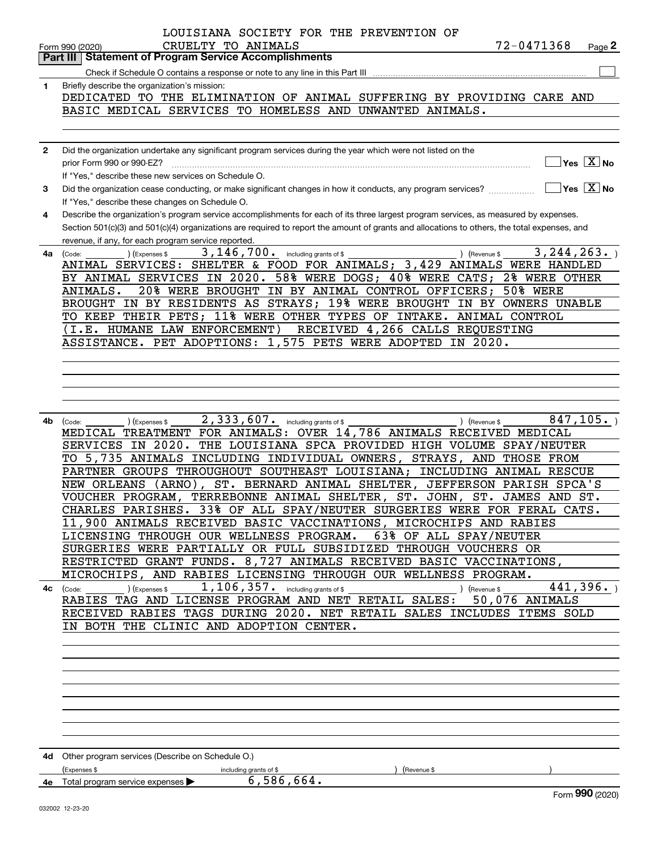|              | LOUISIANA SOCIETY FOR THE PREVENTION OF                                                                                                                |
|--------------|--------------------------------------------------------------------------------------------------------------------------------------------------------|
|              | 72-0471368<br>CRUELTY TO ANIMALS<br>$Page$ 2<br>Form 990 (2020)                                                                                        |
|              | <b>Part III   Statement of Program Service Accomplishments</b>                                                                                         |
|              |                                                                                                                                                        |
| 1            | Briefly describe the organization's mission:                                                                                                           |
|              | DEDICATED TO THE ELIMINATION OF ANIMAL SUFFERING BY PROVIDING CARE AND                                                                                 |
|              | BASIC MEDICAL SERVICES TO HOMELESS AND<br>UNWANTED ANIMALS.                                                                                            |
|              |                                                                                                                                                        |
|              |                                                                                                                                                        |
| $\mathbf{2}$ | Did the organization undertake any significant program services during the year which were not listed on the                                           |
|              | $Yes \quad X$ No<br>prior Form 990 or 990-EZ?                                                                                                          |
|              | If "Yes," describe these new services on Schedule O.                                                                                                   |
| 3            | $\sqrt{}$ Yes $\sqrt{}$ X $\sqrt{}$ No<br>Did the organization cease conducting, or make significant changes in how it conducts, any program services? |
|              | If "Yes," describe these changes on Schedule O.                                                                                                        |
| 4            | Describe the organization's program service accomplishments for each of its three largest program services, as measured by expenses.                   |
|              |                                                                                                                                                        |
|              | Section 501(c)(3) and 501(c)(4) organizations are required to report the amount of grants and allocations to others, the total expenses, and           |
|              | revenue, if any, for each program service reported                                                                                                     |
| 4a           | 3, 146, 700. including grants of \$<br>3, 244, 263.<br>) (Revenue \$<br>) (Expenses \$<br>(Code:                                                       |
|              | ANIMAL SERVICES: SHELTER & FOOD FOR ANIMALS; 3,429 ANIMALS WERE HANDLED                                                                                |
|              | BY ANIMAL SERVICES IN 2020. 58% WERE DOGS; 40% WERE CATS;<br>2% WERE OTHER                                                                             |
|              | 20% WERE BROUGHT IN BY ANIMAL CONTROL OFFICERS;<br><b>50% WERE</b><br>ANIMALS.                                                                         |
|              | BROUGHT IN BY RESIDENTS AS STRAYS; 19% WERE BROUGHT<br>IN BY OWNERS UNABLE                                                                             |
|              | TO KEEP THEIR PETS; 11% WERE OTHER TYPES OF<br>INTAKE.<br>ANIMAL CONTROL                                                                               |
|              | (I.E. HUMANE LAW ENFORCEMENT)<br>RECEIVED 4,266 CALLS REQUESTING                                                                                       |
|              | ASSISTANCE. PET ADOPTIONS: 1,575 PETS WERE ADOPTED<br>IN 2020.                                                                                         |
|              |                                                                                                                                                        |
|              |                                                                                                                                                        |
|              |                                                                                                                                                        |
|              |                                                                                                                                                        |
|              |                                                                                                                                                        |
| 4b           | 2,333,607. including grants of \$<br>847, 105.<br>(Expenses \$<br>) (Revenue \$<br>(Code:                                                              |
|              | MEDICAL TREATMENT FOR ANIMALS: OVER 14,786 ANIMALS RECEIVED MEDICAL                                                                                    |
|              | THE LOUISIANA SPCA PROVIDED HIGH VOLUME SPAY/NEUTER<br>SERVICES IN 2020.                                                                               |
|              | 5,735 ANIMALS INCLUDING INDIVIDUAL OWNERS,<br>STRAYS, AND<br>THOSE FROM<br>TO.                                                                         |
|              | PARTNER GROUPS THROUGHOUT SOUTHEAST LOUISIANA; INCLUDING ANIMAL RESCUE                                                                                 |
|              | ST. BERNARD ANIMAL SHELTER, JEFFERSON PARISH SPCA'S<br>NEW ORLEANS<br>$(ARNO)$ .                                                                       |
|              | TERREBONNE ANIMAL SHELTER, ST. JOHN, ST. JAMES AND ST.<br>VOUCHER PROGRAM,                                                                             |
|              | 33% OF ALL SPAY/NEUTER SURGERIES WERE FOR FERAL CATS<br>CHARLES PARISHES.                                                                              |
|              | 11,900 ANIMALS RECEIVED BASIC VACCINATIONS, MICROCHIPS AND RABIES                                                                                      |
|              | LICENSING THROUGH OUR WELLNESS PROGRAM. 63% OF ALL SPAY/NEUTER                                                                                         |
|              | SURGERIES WERE PARTIALLY OR FULL SUBSIDIZED THROUGH VOUCHERS OR                                                                                        |
|              | RESTRICTED GRANT FUNDS. 8,727 ANIMALS RECEIVED BASIC VACCINATIONS,                                                                                     |
|              | MICROCHIPS, AND RABIES LICENSING THROUGH OUR WELLNESS PROGRAM.                                                                                         |
|              | 441,396.<br>$\overline{4c}$ (Code: ) (Expenses \$<br>) (Revenue \$                                                                                     |
|              | RABIES TAG AND LICENSE PROGRAM AND NET RETAIL SALES: 50,076 ANIMALS                                                                                    |
|              | RECEIVED RABIES TAGS DURING 2020. NET RETAIL SALES INCLUDES ITEMS SOLD                                                                                 |
|              | IN BOTH THE CLINIC AND ADOPTION CENTER.                                                                                                                |
|              |                                                                                                                                                        |
|              |                                                                                                                                                        |
|              |                                                                                                                                                        |
|              |                                                                                                                                                        |
|              |                                                                                                                                                        |
|              |                                                                                                                                                        |
|              |                                                                                                                                                        |
|              |                                                                                                                                                        |
|              |                                                                                                                                                        |
|              |                                                                                                                                                        |
|              | 4d Other program services (Describe on Schedule O.)                                                                                                    |
|              | (Expenses \$<br>(Revenue \$<br>including grants of \$<br>$6,586,664$ .                                                                                 |
|              | 4e Total program service expenses<br>Form 990 (2020)                                                                                                   |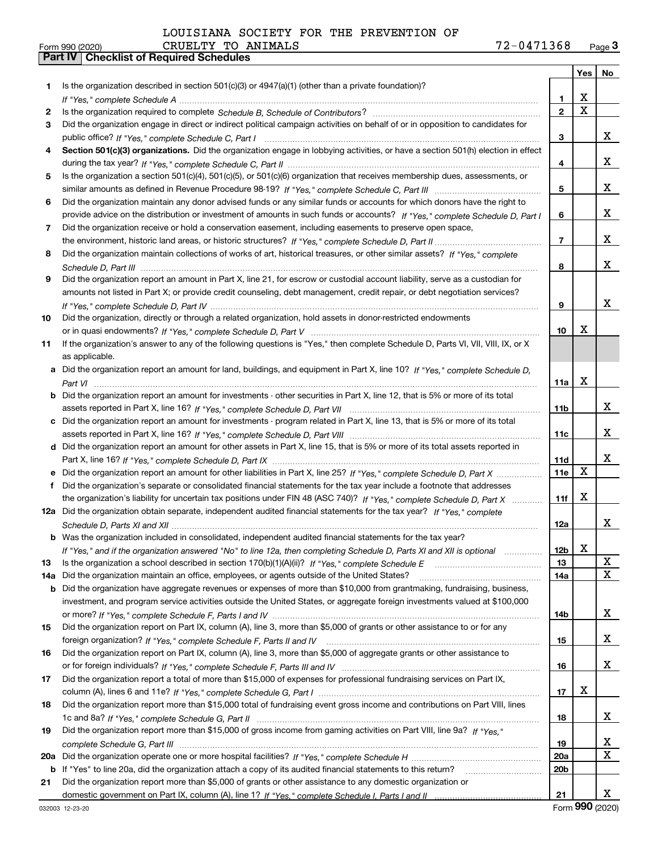Form 990 (2020) CRUELTY TO ANIMALS 7 2-0 4 7 1 3 6 8 <sub>Page</sub> 3<br> **Part IV | Checklist of Required Schedules** 

|     |                                                                                                                                                 |                 | Yes                     | No                          |
|-----|-------------------------------------------------------------------------------------------------------------------------------------------------|-----------------|-------------------------|-----------------------------|
| 1.  | Is the organization described in section $501(c)(3)$ or $4947(a)(1)$ (other than a private foundation)?                                         |                 |                         |                             |
|     |                                                                                                                                                 | 1.              | х                       |                             |
| 2   |                                                                                                                                                 | $\bf 2$         | $\overline{\mathbf{x}}$ |                             |
| 3   | Did the organization engage in direct or indirect political campaign activities on behalf of or in opposition to candidates for                 |                 |                         |                             |
|     |                                                                                                                                                 | 3               |                         | x                           |
| 4   | Section 501(c)(3) organizations. Did the organization engage in lobbying activities, or have a section 501(h) election in effect                |                 |                         |                             |
|     |                                                                                                                                                 | 4               |                         | x                           |
| 5   | Is the organization a section 501(c)(4), 501(c)(5), or 501(c)(6) organization that receives membership dues, assessments, or                    |                 |                         |                             |
|     |                                                                                                                                                 | 5               |                         | x                           |
| 6   | Did the organization maintain any donor advised funds or any similar funds or accounts for which donors have the right to                       |                 |                         |                             |
|     | provide advice on the distribution or investment of amounts in such funds or accounts? If "Yes," complete Schedule D, Part I                    | 6               |                         | x                           |
| 7   | Did the organization receive or hold a conservation easement, including easements to preserve open space,                                       |                 |                         |                             |
|     |                                                                                                                                                 | $\overline{7}$  |                         | x                           |
| 8   | Did the organization maintain collections of works of art, historical treasures, or other similar assets? If "Yes," complete                    |                 |                         |                             |
|     |                                                                                                                                                 | 8               |                         | X                           |
| 9   | Did the organization report an amount in Part X, line 21, for escrow or custodial account liability, serve as a custodian for                   |                 |                         |                             |
|     | amounts not listed in Part X; or provide credit counseling, debt management, credit repair, or debt negotiation services?                       |                 |                         |                             |
|     |                                                                                                                                                 | 9               |                         | x                           |
| 10  | Did the organization, directly or through a related organization, hold assets in donor-restricted endowments                                    |                 | х                       |                             |
|     | If the organization's answer to any of the following questions is "Yes," then complete Schedule D, Parts VI, VII, VIII, IX, or X                | 10              |                         |                             |
| 11  |                                                                                                                                                 |                 |                         |                             |
|     | as applicable.<br>a Did the organization report an amount for land, buildings, and equipment in Part X, line 10? If "Yes," complete Schedule D, |                 |                         |                             |
|     |                                                                                                                                                 | 11a             | Х                       |                             |
|     | <b>b</b> Did the organization report an amount for investments - other securities in Part X, line 12, that is 5% or more of its total           |                 |                         |                             |
|     |                                                                                                                                                 | 11b             |                         | x                           |
|     | c Did the organization report an amount for investments - program related in Part X, line 13, that is 5% or more of its total                   |                 |                         |                             |
|     |                                                                                                                                                 | 11c             |                         | x                           |
|     | d Did the organization report an amount for other assets in Part X, line 15, that is 5% or more of its total assets reported in                 |                 |                         |                             |
|     |                                                                                                                                                 | 11d             |                         | x                           |
|     |                                                                                                                                                 | 11e             | X                       |                             |
| f   | Did the organization's separate or consolidated financial statements for the tax year include a footnote that addresses                         |                 |                         |                             |
|     | the organization's liability for uncertain tax positions under FIN 48 (ASC 740)? If "Yes," complete Schedule D. Part X                          | 11f             | х                       |                             |
|     | 12a Did the organization obtain separate, independent audited financial statements for the tax year? If "Yes," complete                         |                 |                         |                             |
|     |                                                                                                                                                 | 12a             |                         | X                           |
|     | <b>b</b> Was the organization included in consolidated, independent audited financial statements for the tax year?                              |                 |                         |                             |
|     | If "Yes," and if the organization answered "No" to line 12a, then completing Schedule D, Parts XI and XII is optional                           | 12b             | х                       |                             |
| 13  |                                                                                                                                                 | 13              |                         | x                           |
| 14a | Did the organization maintain an office, employees, or agents outside of the United States?                                                     | 14a             |                         | $\overline{\text{x}}$       |
| b   | Did the organization have aggregate revenues or expenses of more than \$10,000 from grantmaking, fundraising, business,                         |                 |                         |                             |
|     | investment, and program service activities outside the United States, or aggregate foreign investments valued at \$100,000                      |                 |                         |                             |
|     |                                                                                                                                                 | 14b             |                         | x                           |
| 15  | Did the organization report on Part IX, column (A), line 3, more than \$5,000 of grants or other assistance to or for any                       |                 |                         |                             |
|     |                                                                                                                                                 | 15              |                         | X                           |
| 16  | Did the organization report on Part IX, column (A), line 3, more than \$5,000 of aggregate grants or other assistance to                        |                 |                         | X                           |
| 17  | Did the organization report a total of more than \$15,000 of expenses for professional fundraising services on Part IX,                         | 16              |                         |                             |
|     |                                                                                                                                                 | 17              | х                       |                             |
| 18  | Did the organization report more than \$15,000 total of fundraising event gross income and contributions on Part VIII, lines                    |                 |                         |                             |
|     |                                                                                                                                                 | 18              |                         | X                           |
| 19  | Did the organization report more than \$15,000 of gross income from gaming activities on Part VIII, line 9a? If "Yes."                          |                 |                         |                             |
|     |                                                                                                                                                 | 19              |                         | $\overline{\mathbf{x}}$     |
| 20a |                                                                                                                                                 | 20a             |                         | $\overline{\mathbf{x}}$     |
| b   | If "Yes" to line 20a, did the organization attach a copy of its audited financial statements to this return?                                    | 20 <sub>b</sub> |                         |                             |
| 21  | Did the organization report more than \$5,000 of grants or other assistance to any domestic organization or                                     |                 |                         |                             |
|     |                                                                                                                                                 | 21              |                         | x                           |
|     | 000000 10.00.00                                                                                                                                 |                 |                         | $F_{\text{OCD}}$ 990 (2020) |

Form (2020) **990**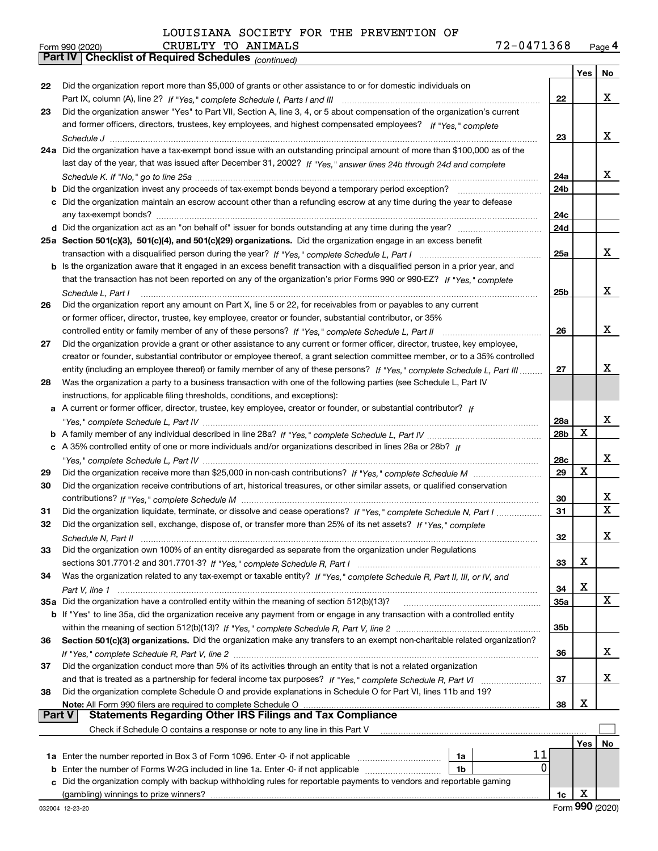| Form 990 (2020) | CRUELTY TO ANIMALS                                    | 72-0471368 | Page 4 |
|-----------------|-------------------------------------------------------|------------|--------|
|                 | Part IV   Checklist of Required Schedules (continued) |            |        |

|    | Parl IV  <br>Criecklist of Required Scriedules (continued)                                                                                         |                 |     |    |
|----|----------------------------------------------------------------------------------------------------------------------------------------------------|-----------------|-----|----|
|    |                                                                                                                                                    |                 | Yes | No |
| 22 | Did the organization report more than \$5,000 of grants or other assistance to or for domestic individuals on                                      |                 |     |    |
|    |                                                                                                                                                    | 22              |     | х  |
| 23 | Did the organization answer "Yes" to Part VII, Section A, line 3, 4, or 5 about compensation of the organization's current                         |                 |     |    |
|    | and former officers, directors, trustees, key employees, and highest compensated employees? If "Yes," complete                                     |                 |     |    |
|    |                                                                                                                                                    | 23              |     | х  |
|    | 24a Did the organization have a tax-exempt bond issue with an outstanding principal amount of more than \$100,000 as of the                        |                 |     |    |
|    | last day of the year, that was issued after December 31, 2002? If "Yes," answer lines 24b through 24d and complete                                 |                 |     |    |
|    |                                                                                                                                                    | 24a             |     | x  |
|    | <b>b</b> Did the organization invest any proceeds of tax-exempt bonds beyond a temporary period exception?                                         | 24b             |     |    |
|    | c Did the organization maintain an escrow account other than a refunding escrow at any time during the year to defease                             |                 |     |    |
|    |                                                                                                                                                    | 24c             |     |    |
|    |                                                                                                                                                    | 24d             |     |    |
|    | 25a Section 501(c)(3), 501(c)(4), and 501(c)(29) organizations. Did the organization engage in an excess benefit                                   |                 |     |    |
|    |                                                                                                                                                    | 25a             |     | х  |
|    | b Is the organization aware that it engaged in an excess benefit transaction with a disqualified person in a prior year, and                       |                 |     |    |
|    | that the transaction has not been reported on any of the organization's prior Forms 990 or 990-EZ? If "Yes," complete                              |                 |     |    |
|    | Schedule L. Part I                                                                                                                                 | 25b             |     | х  |
| 26 | Did the organization report any amount on Part X, line 5 or 22, for receivables from or payables to any current                                    |                 |     |    |
|    | or former officer, director, trustee, key employee, creator or founder, substantial contributor, or 35%                                            |                 |     |    |
|    |                                                                                                                                                    | 26              |     | x  |
| 27 | Did the organization provide a grant or other assistance to any current or former officer, director, trustee, key employee,                        |                 |     |    |
|    | creator or founder, substantial contributor or employee thereof, a grant selection committee member, or to a 35% controlled                        |                 |     |    |
|    | entity (including an employee thereof) or family member of any of these persons? If "Yes," complete Schedule L, Part III                           | 27              |     | x  |
| 28 | Was the organization a party to a business transaction with one of the following parties (see Schedule L, Part IV                                  |                 |     |    |
|    | instructions, for applicable filing thresholds, conditions, and exceptions):                                                                       |                 |     |    |
|    | a A current or former officer, director, trustee, key employee, creator or founder, or substantial contributor? If                                 |                 |     |    |
|    |                                                                                                                                                    | 28a             |     | X  |
|    |                                                                                                                                                    | 28 <sub>b</sub> | x   |    |
|    | c A 35% controlled entity of one or more individuals and/or organizations described in lines 28a or 28b? If                                        |                 |     |    |
|    |                                                                                                                                                    | 28c             |     | х  |
| 29 |                                                                                                                                                    | 29              | Х   |    |
| 30 | Did the organization receive contributions of art, historical treasures, or other similar assets, or qualified conservation                        |                 |     |    |
|    |                                                                                                                                                    | 30              |     | х  |
|    |                                                                                                                                                    | 31              |     | Х  |
| 31 | Did the organization liquidate, terminate, or dissolve and cease operations? If "Yes," complete Schedule N, Part I                                 |                 |     |    |
| 32 | Did the organization sell, exchange, dispose of, or transfer more than 25% of its net assets? If "Yes," complete                                   | 32              |     | х  |
|    | Schedule N, Part II                                                                                                                                |                 |     |    |
| 33 | Did the organization own 100% of an entity disregarded as separate from the organization under Regulations                                         |                 | х   |    |
|    |                                                                                                                                                    | 33              |     |    |
| 34 | Was the organization related to any tax-exempt or taxable entity? If "Yes," complete Schedule R, Part II, III, or IV, and                          |                 | X   |    |
|    |                                                                                                                                                    | 34              |     | X  |
|    | 35a Did the organization have a controlled entity within the meaning of section 512(b)(13)?                                                        | 35a             |     |    |
|    | <b>b</b> If "Yes" to line 35a, did the organization receive any payment from or engage in any transaction with a controlled entity                 |                 |     |    |
|    |                                                                                                                                                    | 35b             |     |    |
| 36 | Section 501(c)(3) organizations. Did the organization make any transfers to an exempt non-charitable related organization?                         |                 |     |    |
|    |                                                                                                                                                    | 36              |     | X  |
| 37 | Did the organization conduct more than 5% of its activities through an entity that is not a related organization                                   |                 |     |    |
|    | and that is treated as a partnership for federal income tax purposes? If "Yes," complete Schedule R, Part VI                                       | 37              |     | X  |
| 38 | Did the organization complete Schedule O and provide explanations in Schedule O for Part VI, lines 11b and 19?                                     |                 |     |    |
|    | Note: All Form 990 filers are required to complete Schedule O<br><b>Part V</b><br><b>Statements Regarding Other IRS Filings and Tax Compliance</b> | 38              | X   |    |
|    |                                                                                                                                                    |                 |     |    |
|    | Check if Schedule O contains a response or note to any line in this Part V                                                                         |                 |     |    |
|    |                                                                                                                                                    |                 | Yes | No |
|    | 11<br>1a<br>0                                                                                                                                      |                 |     |    |
|    | <b>b</b> Enter the number of Forms W-2G included in line 1a. Enter -0- if not applicable<br>1b                                                     |                 |     |    |
|    | c Did the organization comply with backup withholding rules for reportable payments to vendors and reportable gaming                               |                 |     |    |
|    | (gambling) winnings to prize winners?                                                                                                              | 1c              | X   |    |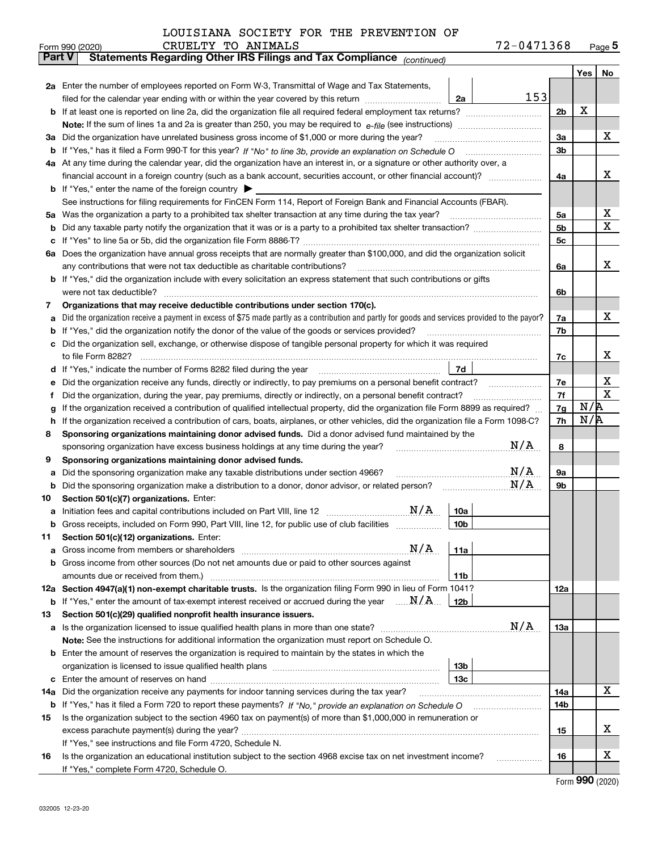|               | 72-0471368<br>CRUELTY TO ANIMALS<br>Form 990 (2020)                                                                                             |                |     | $_{\text{Page}}$ 5 |  |  |  |  |  |  |
|---------------|-------------------------------------------------------------------------------------------------------------------------------------------------|----------------|-----|--------------------|--|--|--|--|--|--|
| <b>Part V</b> | Statements Regarding Other IRS Filings and Tax Compliance (continued)                                                                           |                |     |                    |  |  |  |  |  |  |
|               |                                                                                                                                                 |                | Yes | No                 |  |  |  |  |  |  |
|               | 2a Enter the number of employees reported on Form W-3, Transmittal of Wage and Tax Statements,                                                  |                |     |                    |  |  |  |  |  |  |
|               | 153<br>filed for the calendar year ending with or within the year covered by this return<br>2a                                                  |                |     |                    |  |  |  |  |  |  |
|               |                                                                                                                                                 | 2 <sub>b</sub> | х   |                    |  |  |  |  |  |  |
|               |                                                                                                                                                 |                |     |                    |  |  |  |  |  |  |
| За            | Did the organization have unrelated business gross income of \$1,000 or more during the year?                                                   | 3a             |     | x                  |  |  |  |  |  |  |
| b             |                                                                                                                                                 | 3 <sub>b</sub> |     |                    |  |  |  |  |  |  |
|               | 4a At any time during the calendar year, did the organization have an interest in, or a signature or other authority over, a                    |                |     |                    |  |  |  |  |  |  |
|               | financial account in a foreign country (such as a bank account, securities account, or other financial account)?                                | 4a             |     | х                  |  |  |  |  |  |  |
|               | <b>b</b> If "Yes," enter the name of the foreign country $\blacktriangleright$                                                                  |                |     |                    |  |  |  |  |  |  |
|               | See instructions for filing requirements for FinCEN Form 114, Report of Foreign Bank and Financial Accounts (FBAR).                             |                |     |                    |  |  |  |  |  |  |
| 5a            | Was the organization a party to a prohibited tax shelter transaction at any time during the tax year?                                           | 5a             |     | х                  |  |  |  |  |  |  |
| b             |                                                                                                                                                 | 5b             |     | X                  |  |  |  |  |  |  |
| с             |                                                                                                                                                 | 5c             |     |                    |  |  |  |  |  |  |
|               | 6a Does the organization have annual gross receipts that are normally greater than \$100,000, and did the organization solicit                  |                |     |                    |  |  |  |  |  |  |
|               | any contributions that were not tax deductible as charitable contributions?                                                                     | 6a             |     | x                  |  |  |  |  |  |  |
|               | <b>b</b> If "Yes," did the organization include with every solicitation an express statement that such contributions or gifts                   |                |     |                    |  |  |  |  |  |  |
|               | were not tax deductible?                                                                                                                        | 6b             |     |                    |  |  |  |  |  |  |
| 7             | Organizations that may receive deductible contributions under section 170(c).                                                                   |                |     |                    |  |  |  |  |  |  |
| а             | Did the organization receive a payment in excess of \$75 made partly as a contribution and partly for goods and services provided to the payor? | 7a             |     | x                  |  |  |  |  |  |  |
| b             | If "Yes," did the organization notify the donor of the value of the goods or services provided?                                                 | 7b             |     |                    |  |  |  |  |  |  |
|               | Did the organization sell, exchange, or otherwise dispose of tangible personal property for which it was required                               |                |     |                    |  |  |  |  |  |  |
|               |                                                                                                                                                 | 7c             |     | х                  |  |  |  |  |  |  |
| d             | 7d<br>If "Yes," indicate the number of Forms 8282 filed during the year [11] [11] Wes," indicate the number of Forms 8282 filed during the year |                |     |                    |  |  |  |  |  |  |
| е             |                                                                                                                                                 | 7e             |     | х                  |  |  |  |  |  |  |
| f             | Did the organization, during the year, pay premiums, directly or indirectly, on a personal benefit contract?                                    | 7f             | N/R | $\mathbf X$        |  |  |  |  |  |  |
| g             | If the organization received a contribution of qualified intellectual property, did the organization file Form 8899 as required?                |                |     |                    |  |  |  |  |  |  |
| h             | If the organization received a contribution of cars, boats, airplanes, or other vehicles, did the organization file a Form 1098-C?              | 7h             | N/R |                    |  |  |  |  |  |  |
| 8             | Sponsoring organizations maintaining donor advised funds. Did a donor advised fund maintained by the                                            |                |     |                    |  |  |  |  |  |  |
|               | N/A<br>sponsoring organization have excess business holdings at any time during the year?                                                       | 8              |     |                    |  |  |  |  |  |  |
| 9             | Sponsoring organizations maintaining donor advised funds.                                                                                       |                |     |                    |  |  |  |  |  |  |
| а             | N/A<br>Did the sponsoring organization make any taxable distributions under section 4966?                                                       | 9а             |     |                    |  |  |  |  |  |  |
| b             | N/A<br>Did the sponsoring organization make a distribution to a donor, donor advisor, or related person?                                        | 9b             |     |                    |  |  |  |  |  |  |
| 10            | Section 501(c)(7) organizations. Enter:                                                                                                         |                |     |                    |  |  |  |  |  |  |
|               | N/A<br>10a<br>Initiation fees and capital contributions included on Part VIII, line 12 [111] [11] [12] [11] [12] [11] [12] [                    |                |     |                    |  |  |  |  |  |  |
|               | 10 <sub>b</sub><br>Gross receipts, included on Form 990, Part VIII, line 12, for public use of club facilities                                  |                |     |                    |  |  |  |  |  |  |
| 11            | Section 501(c)(12) organizations. Enter:                                                                                                        |                |     |                    |  |  |  |  |  |  |
| а             | N/A<br>11a<br>Gross income from members or shareholders                                                                                         |                |     |                    |  |  |  |  |  |  |
| b             | Gross income from other sources (Do not net amounts due or paid to other sources against                                                        |                |     |                    |  |  |  |  |  |  |
|               | 11 <sub>b</sub><br>amounts due or received from them.)                                                                                          |                |     |                    |  |  |  |  |  |  |
|               | 12a Section 4947(a)(1) non-exempt charitable trusts. Is the organization filing Form 990 in lieu of Form 1041?                                  | 12a            |     |                    |  |  |  |  |  |  |
|               | <b>b</b> If "Yes," enter the amount of tax-exempt interest received or accrued during the year $\ldots \mathbf{N}/\mathbf{A}$<br>12b            |                |     |                    |  |  |  |  |  |  |
| 13            | Section 501(c)(29) qualified nonprofit health insurance issuers.                                                                                |                |     |                    |  |  |  |  |  |  |
| a             | N/A<br>Is the organization licensed to issue qualified health plans in more than one state?                                                     | <b>13a</b>     |     |                    |  |  |  |  |  |  |
|               | Note: See the instructions for additional information the organization must report on Schedule O.                                               |                |     |                    |  |  |  |  |  |  |
| b             | Enter the amount of reserves the organization is required to maintain by the states in which the                                                |                |     |                    |  |  |  |  |  |  |
|               | 13 <sub>b</sub>                                                                                                                                 |                |     |                    |  |  |  |  |  |  |
| с             | 13 <sub>c</sub>                                                                                                                                 |                |     |                    |  |  |  |  |  |  |
| 14a           | Did the organization receive any payments for indoor tanning services during the tax year?                                                      | 14a            |     | X                  |  |  |  |  |  |  |
|               | <b>b</b> If "Yes," has it filed a Form 720 to report these payments? If "No," provide an explanation on Schedule O                              | 14b            |     |                    |  |  |  |  |  |  |
| 15            | Is the organization subject to the section 4960 tax on payment(s) of more than \$1,000,000 in remuneration or                                   |                |     |                    |  |  |  |  |  |  |
|               |                                                                                                                                                 | 15             |     | х                  |  |  |  |  |  |  |
|               | If "Yes," see instructions and file Form 4720, Schedule N.                                                                                      |                |     |                    |  |  |  |  |  |  |
| 16            | Is the organization an educational institution subject to the section 4968 excise tax on net investment income?                                 | 16             |     | х                  |  |  |  |  |  |  |
|               | If "Yes," complete Form 4720, Schedule O.                                                                                                       |                |     |                    |  |  |  |  |  |  |

Form (2020) **990**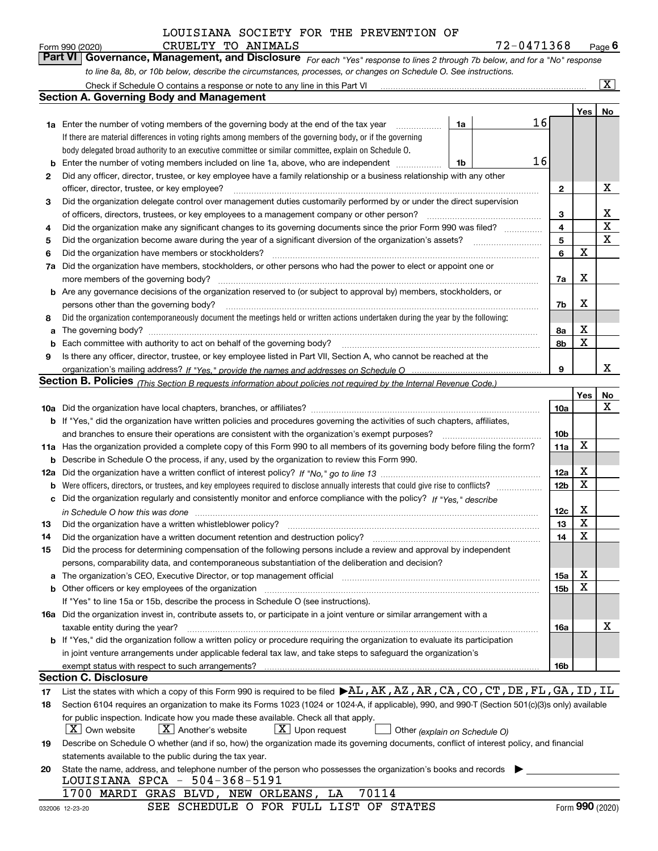| Form 990 (2020) |                                                                                     | CRUELTY TO ANIMALS | 72-0471368                                                                                                                    | $P$ <sub>age</sub> $6$  |
|-----------------|-------------------------------------------------------------------------------------|--------------------|-------------------------------------------------------------------------------------------------------------------------------|-------------------------|
|                 |                                                                                     |                    | Part VI   Governance, Management, and Disclosure For each "Yes" response to lines 2 through 7b below, and for a "No" response |                         |
|                 |                                                                                     |                    | to line 8a, 8b, or 10b below, describe the circumstances, processes, or changes on Schedule O. See instructions.              |                         |
|                 | Chack if Schoolule $\Omega$ contains a response or note to any line in this Part VI |                    |                                                                                                                               | $\overline{\mathbf{x}}$ |

|          | Check if Schedule O contains a response or note to any line in this Part VI                                                                      |    |  |    |                 |     | x               |  |
|----------|--------------------------------------------------------------------------------------------------------------------------------------------------|----|--|----|-----------------|-----|-----------------|--|
|          | <b>Section A. Governing Body and Management</b>                                                                                                  |    |  |    |                 |     |                 |  |
|          |                                                                                                                                                  |    |  |    |                 | Yes | No              |  |
|          | <b>1a</b> Enter the number of voting members of the governing body at the end of the tax year                                                    | 1a |  | 16 |                 |     |                 |  |
|          | If there are material differences in voting rights among members of the governing body, or if the governing                                      |    |  |    |                 |     |                 |  |
|          | body delegated broad authority to an executive committee or similar committee, explain on Schedule O.                                            |    |  |    |                 |     |                 |  |
| b        | Enter the number of voting members included on line 1a, above, who are independent                                                               | 1b |  | 16 |                 |     |                 |  |
| 2        | Did any officer, director, trustee, or key employee have a family relationship or a business relationship with any other                         |    |  |    |                 |     |                 |  |
|          | officer, director, trustee, or key employee?                                                                                                     |    |  |    | 2               |     | X               |  |
| з        | Did the organization delegate control over management duties customarily performed by or under the direct supervision                            |    |  |    |                 |     |                 |  |
|          | of officers, directors, trustees, or key employees to a management company or other person?                                                      |    |  |    | 3               |     | x               |  |
| 4        | Did the organization make any significant changes to its governing documents since the prior Form 990 was filed?                                 |    |  |    | $\overline{4}$  |     | X               |  |
| 5        |                                                                                                                                                  |    |  |    | 5               |     | X               |  |
| 6        | Did the organization have members or stockholders?                                                                                               |    |  |    | 6               | X   |                 |  |
| 7a       | Did the organization have members, stockholders, or other persons who had the power to elect or appoint one or                                   |    |  |    |                 |     |                 |  |
|          |                                                                                                                                                  |    |  |    | 7a              | X   |                 |  |
|          | <b>b</b> Are any governance decisions of the organization reserved to (or subject to approval by) members, stockholders, or                      |    |  |    |                 |     |                 |  |
|          | persons other than the governing body?                                                                                                           |    |  |    | 7b              | X   |                 |  |
| 8        | Did the organization contemporaneously document the meetings held or written actions undertaken during the year by the following:                |    |  |    |                 |     |                 |  |
| a        |                                                                                                                                                  |    |  |    | 8a              | X   |                 |  |
| b        |                                                                                                                                                  |    |  |    | 8b              | X   |                 |  |
| 9        | Is there any officer, director, trustee, or key employee listed in Part VII, Section A, who cannot be reached at the                             |    |  |    |                 |     |                 |  |
|          |                                                                                                                                                  |    |  |    | 9               |     | x               |  |
|          | <b>Section B. Policies</b> (This Section B requests information about policies not required by the Internal Revenue Code.)                       |    |  |    |                 |     |                 |  |
|          |                                                                                                                                                  |    |  |    |                 | Yes | No              |  |
|          |                                                                                                                                                  |    |  |    | 10a             |     | x               |  |
|          | <b>b</b> If "Yes," did the organization have written policies and procedures governing the activities of such chapters, affiliates,              |    |  |    |                 |     |                 |  |
|          | and branches to ensure their operations are consistent with the organization's exempt purposes?                                                  |    |  |    | 10 <sub>b</sub> | X   |                 |  |
|          | 11a Has the organization provided a complete copy of this Form 990 to all members of its governing body before filing the form?                  |    |  |    |                 |     |                 |  |
| b        | Describe in Schedule O the process, if any, used by the organization to review this Form 990.                                                    |    |  |    |                 |     |                 |  |
| 12a      |                                                                                                                                                  |    |  |    |                 |     |                 |  |
| b        |                                                                                                                                                  |    |  |    |                 |     |                 |  |
| c        | Did the organization regularly and consistently monitor and enforce compliance with the policy? If "Yes." describe                               |    |  |    |                 |     |                 |  |
|          | in Schedule O how this was done measured and contain an account of the state of the state of the state of the                                    |    |  |    | 12c             | X   |                 |  |
| 13       | Did the organization have a written whistleblower policy?                                                                                        |    |  |    | 13              | X   |                 |  |
| 14       | Did the organization have a written document retention and destruction policy?                                                                   |    |  |    | 14              | X   |                 |  |
| 15       | Did the process for determining compensation of the following persons include a review and approval by independent                               |    |  |    |                 |     |                 |  |
|          | persons, comparability data, and contemporaneous substantiation of the deliberation and decision?                                                |    |  |    |                 |     |                 |  |
|          | a The organization's CEO, Executive Director, or top management official manufactor content content content of                                   |    |  |    | 15a             | Χ   |                 |  |
|          |                                                                                                                                                  |    |  |    | 15b             | X   |                 |  |
|          | If "Yes" to line 15a or 15b, describe the process in Schedule O (see instructions).                                                              |    |  |    |                 |     |                 |  |
|          | 16a Did the organization invest in, contribute assets to, or participate in a joint venture or similar arrangement with a                        |    |  |    |                 |     |                 |  |
|          | taxable entity during the year?                                                                                                                  |    |  |    | 16a             |     | X               |  |
|          | <b>b</b> If "Yes," did the organization follow a written policy or procedure requiring the organization to evaluate its participation            |    |  |    |                 |     |                 |  |
|          | in joint venture arrangements under applicable federal tax law, and take steps to safeguard the organization's                                   |    |  |    |                 |     |                 |  |
|          | exempt status with respect to such arrangements?<br><b>Section C. Disclosure</b>                                                                 |    |  |    | 16b             |     |                 |  |
|          | List the states with which a copy of this Form 990 is required to be filed $\blacktriangleright$ AL, AK, AZ, AR, CA, CO, CT, DE, FL, GA, ID, IL  |    |  |    |                 |     |                 |  |
| 17<br>18 | Section 6104 requires an organization to make its Forms 1023 (1024 or 1024-A, if applicable), 990, and 990-T (Section 501(c)(3)s only) available |    |  |    |                 |     |                 |  |
|          | for public inspection. Indicate how you made these available. Check all that apply.                                                              |    |  |    |                 |     |                 |  |
|          | $X$ Own website<br>$X$ Another's website<br>$X$ Upon request<br>Other (explain on Schedule O)                                                    |    |  |    |                 |     |                 |  |
| 19       | Describe on Schedule O whether (and if so, how) the organization made its governing documents, conflict of interest policy, and financial        |    |  |    |                 |     |                 |  |
|          | statements available to the public during the tax year.                                                                                          |    |  |    |                 |     |                 |  |
| 20       | State the name, address, and telephone number of the person who possesses the organization's books and records                                   |    |  |    |                 |     |                 |  |
|          | LOUISIANA SPCA - 504-368-5191                                                                                                                    |    |  |    |                 |     |                 |  |
|          | 70114<br>LA<br>1700 MARDI GRAS BLVD, NEW ORLEANS,                                                                                                |    |  |    |                 |     |                 |  |
|          | SEE SCHEDULE O FOR FULL LIST OF STATES<br>032006 12-23-20                                                                                        |    |  |    |                 |     | Form 990 (2020) |  |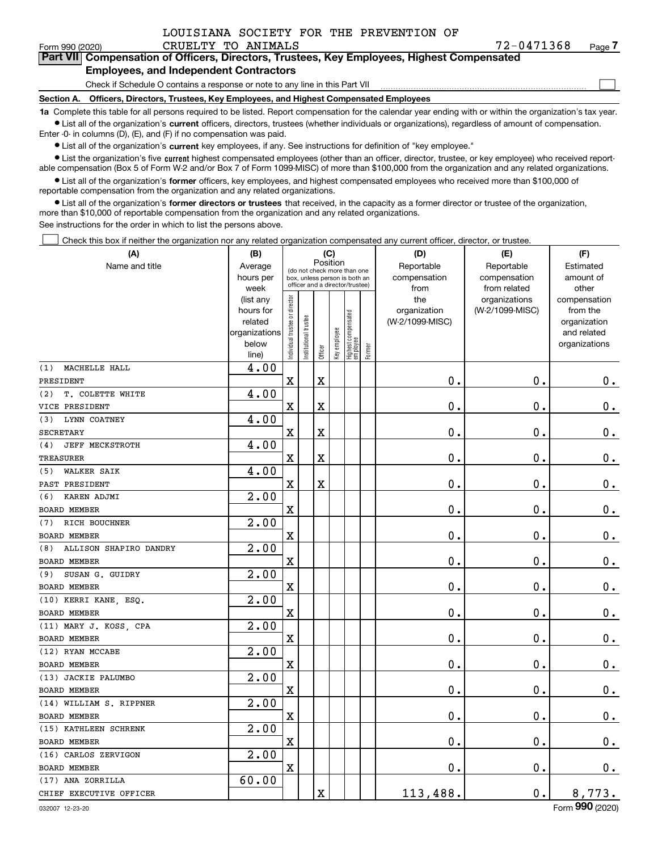| $2 - 0471368$ |  |  |
|---------------|--|--|
|               |  |  |

 $\mathcal{L}^{\text{max}}$ 

| Form 990 (2020) |                                               | CRUELTY TO ANIMALS | 72-0471368                                                                                 | Page $7$ |
|-----------------|-----------------------------------------------|--------------------|--------------------------------------------------------------------------------------------|----------|
|                 |                                               |                    | Part VII Compensation of Officers, Directors, Trustees, Key Employees, Highest Compensated |          |
|                 | <b>Employees, and Independent Contractors</b> |                    |                                                                                            |          |

Check if Schedule O contains a response or note to any line in this Part VII

**Section A. Officers, Directors, Trustees, Key Employees, and Highest Compensated Employees**

**1a**  Complete this table for all persons required to be listed. Report compensation for the calendar year ending with or within the organization's tax year. **•** List all of the organization's current officers, directors, trustees (whether individuals or organizations), regardless of amount of compensation.

Enter -0- in columns (D), (E), and (F) if no compensation was paid.

 $\bullet$  List all of the organization's  $\,$ current key employees, if any. See instructions for definition of "key employee."

**•** List the organization's five current highest compensated employees (other than an officer, director, trustee, or key employee) who received reportable compensation (Box 5 of Form W-2 and/or Box 7 of Form 1099-MISC) of more than \$100,000 from the organization and any related organizations.

**•** List all of the organization's former officers, key employees, and highest compensated employees who received more than \$100,000 of reportable compensation from the organization and any related organizations.

**former directors or trustees**  ¥ List all of the organization's that received, in the capacity as a former director or trustee of the organization, more than \$10,000 of reportable compensation from the organization and any related organizations.

See instructions for the order in which to list the persons above.

Check this box if neither the organization nor any related organization compensated any current officer, director, or trustee.  $\mathcal{L}^{\text{max}}$ 

| (A)                           | (B)               |                                |                       |                         | (C)          |                                                                  |        | (D)             | (E)                           | (F)                   |
|-------------------------------|-------------------|--------------------------------|-----------------------|-------------------------|--------------|------------------------------------------------------------------|--------|-----------------|-------------------------------|-----------------------|
| Name and title                | Average           |                                |                       | Position                |              | (do not check more than one                                      |        | Reportable      | Reportable                    | Estimated             |
|                               | hours per         |                                |                       |                         |              | box, unless person is both an<br>officer and a director/trustee) |        | compensation    | compensation                  | amount of             |
|                               | week<br>(list any |                                |                       |                         |              |                                                                  |        | from<br>the     | from related<br>organizations | other<br>compensation |
|                               | hours for         |                                |                       |                         |              |                                                                  |        | organization    | (W-2/1099-MISC)               | from the              |
|                               | related           |                                |                       |                         |              |                                                                  |        | (W-2/1099-MISC) |                               | organization          |
|                               | organizations     |                                |                       |                         |              |                                                                  |        |                 |                               | and related           |
|                               | below             | Individual trustee or director | Institutional trustee |                         | Key employee | Highest compensated<br>employee                                  | Former |                 |                               | organizations         |
|                               | line)             |                                |                       | Officer                 |              |                                                                  |        |                 |                               |                       |
| MACHELLE HALL<br>(1)          | 4.00              |                                |                       |                         |              |                                                                  |        |                 |                               |                       |
| PRESIDENT                     |                   | $\mathbf X$                    |                       | $\overline{\textbf{X}}$ |              |                                                                  |        | 0.              | $\mathbf 0$ .                 | $0_{.}$               |
| T. COLETTE WHITE<br>(2)       | 4.00              |                                |                       |                         |              |                                                                  |        |                 |                               |                       |
| VICE PRESIDENT                |                   | $\mathbf X$                    |                       | $\overline{\textbf{X}}$ |              |                                                                  |        | 0.              | 0.                            | $0_{.}$               |
| LYNN COATNEY<br>(3)           | 4.00              |                                |                       |                         |              |                                                                  |        |                 |                               |                       |
| <b>SECRETARY</b>              |                   | $\mathbf X$                    |                       | $\overline{\textbf{X}}$ |              |                                                                  |        | 0.              | $\mathbf 0$ .                 | $\mathbf 0$ .         |
| <b>JEFF MECKSTROTH</b><br>(4) | 4.00              |                                |                       |                         |              |                                                                  |        |                 |                               |                       |
| TREASURER                     |                   | $\mathbf X$                    |                       | X                       |              |                                                                  |        | 0.              | 0.                            | $0_{.}$               |
| <b>WALKER SAIK</b><br>(5)     | 4.00              |                                |                       |                         |              |                                                                  |        |                 |                               |                       |
| PAST PRESIDENT                |                   | $\mathbf X$                    |                       | $\overline{\textbf{X}}$ |              |                                                                  |        | 0.              | 0.                            | $0_{.}$               |
| KAREN ADJMI<br>(6)            | 2.00              |                                |                       |                         |              |                                                                  |        |                 |                               |                       |
| <b>BOARD MEMBER</b>           |                   | $\mathbf X$                    |                       |                         |              |                                                                  |        | $0$ .           | 0.                            | $\mathbf 0$ .         |
| RICH BOUCHNER<br>(7)          | 2.00              |                                |                       |                         |              |                                                                  |        |                 |                               |                       |
| <b>BOARD MEMBER</b>           |                   | $\mathbf X$                    |                       |                         |              |                                                                  |        | 0.              | 0.                            | $0_{.}$               |
| ALLISON SHAPIRO DANDRY<br>(8) | 2.00              |                                |                       |                         |              |                                                                  |        |                 |                               |                       |
| BOARD MEMBER                  |                   | $\overline{\textbf{X}}$        |                       |                         |              |                                                                  |        | 0.              | $\mathbf 0$ .                 | $\mathbf 0$ .         |
| SUSAN G. GUIDRY<br>(9)        | 2.00              |                                |                       |                         |              |                                                                  |        |                 |                               |                       |
| BOARD MEMBER                  |                   | $\mathbf X$                    |                       |                         |              |                                                                  |        | 0.              | 0.                            | $0_{.}$               |
| (10) KERRI KANE, ESQ.         | $\overline{2.00}$ |                                |                       |                         |              |                                                                  |        |                 |                               |                       |
| BOARD MEMBER                  |                   | $\overline{\textbf{X}}$        |                       |                         |              |                                                                  |        | $0$ .           | $\mathbf 0$ .                 | $\mathbf 0$ .         |
| (11) MARY J. KOSS, CPA        | 2.00              |                                |                       |                         |              |                                                                  |        |                 |                               |                       |
| <b>BOARD MEMBER</b>           |                   | $\mathbf X$                    |                       |                         |              |                                                                  |        | 0.              | $\mathbf 0$ .                 | $0_{.}$               |
| (12) RYAN MCCABE              | $\overline{2.00}$ |                                |                       |                         |              |                                                                  |        |                 |                               |                       |
| <b>BOARD MEMBER</b>           |                   | $\mathbf X$                    |                       |                         |              |                                                                  |        | 0.              | $\mathbf 0$ .                 | $\mathbf 0$ .         |
| (13) JACKIE PALUMBO           | $\overline{2.00}$ |                                |                       |                         |              |                                                                  |        |                 |                               |                       |
| <b>BOARD MEMBER</b>           |                   | $\mathbf X$                    |                       |                         |              |                                                                  |        | $0$ .           | $\mathbf 0$ .                 | $\mathbf 0$ .         |
| (14) WILLIAM S. RIPPNER       | 2.00              |                                |                       |                         |              |                                                                  |        |                 |                               |                       |
| <b>BOARD MEMBER</b>           |                   | $\mathbf X$                    |                       |                         |              |                                                                  |        | $\mathbf 0$ .   | 0.                            | $\mathbf 0$ .         |
| (15) KATHLEEN SCHRENK         | 2.00              |                                |                       |                         |              |                                                                  |        |                 |                               |                       |
| <b>BOARD MEMBER</b>           |                   | $\mathbf X$                    |                       |                         |              |                                                                  |        | 0.              | $\mathbf 0$ .                 | $\mathbf 0$ .         |
| (16) CARLOS ZERVIGON          | 2.00              |                                |                       |                         |              |                                                                  |        |                 |                               |                       |
| <b>BOARD MEMBER</b>           |                   | $\mathbf X$                    |                       |                         |              |                                                                  |        | $\mathbf 0$ .   | 0.                            | $\mathbf 0$ .         |
| (17) ANA ZORRILLA             | 60.00             |                                |                       |                         |              |                                                                  |        |                 |                               |                       |
| CHIEF EXECUTIVE OFFICER       |                   |                                |                       | $\mathbf X$             |              |                                                                  |        | 113,488.        | $\mathbf 0$ .                 | 8,773.                |
|                               |                   |                                |                       |                         |              |                                                                  |        |                 |                               |                       |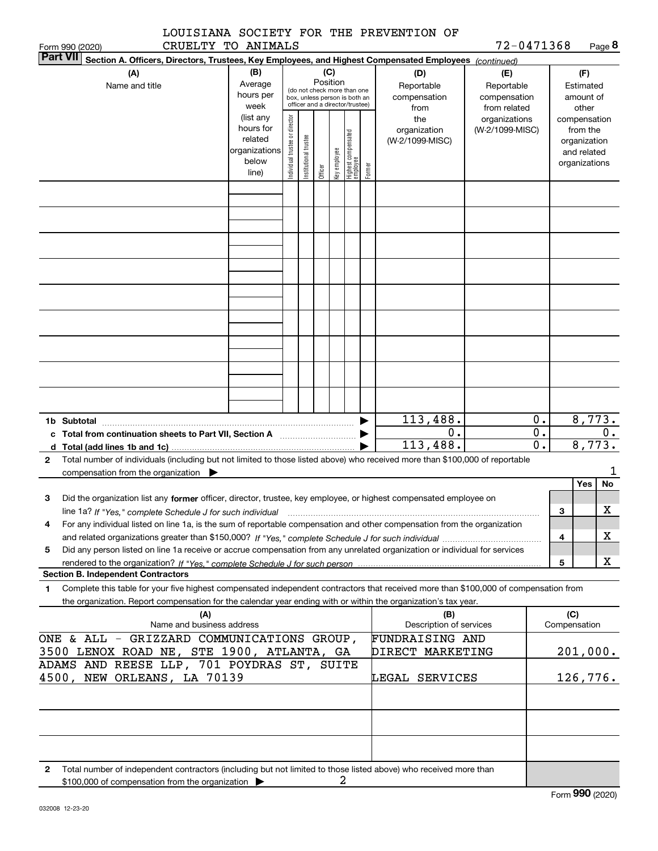|          |  | LOUISIANA SOCIETY FOR THE PREVENTION OF |  |
|----------|--|-----------------------------------------|--|
| $\alpha$ |  |                                         |  |

Form 990 (2020) CRUELTY TO ANIMALS 7 2-0 4 7 1 3 6 8 Page **8** 72-0471368

| <b>Part VII</b>                                                              | Section A. Officers, Directors, Trustees, Key Employees, and Highest Compensated Employees (continued)                               |                                                                               |                                |                       |            |              |                                 |        |                 |                               |                        |          |                       |    |
|------------------------------------------------------------------------------|--------------------------------------------------------------------------------------------------------------------------------------|-------------------------------------------------------------------------------|--------------------------------|-----------------------|------------|--------------|---------------------------------|--------|-----------------|-------------------------------|------------------------|----------|-----------------------|----|
|                                                                              | (B)<br>(C)<br>(A)<br>(D)<br>(E)                                                                                                      |                                                                               |                                |                       |            |              |                                 |        |                 |                               |                        |          | (F)                   |    |
|                                                                              | Name and title                                                                                                                       | Position<br>Average<br>(do not check more than one                            |                                |                       | Reportable | Reportable   |                                 |        | Estimated       |                               |                        |          |                       |    |
|                                                                              |                                                                                                                                      | hours per<br>box, unless person is both an<br>officer and a director/trustee) |                                |                       |            | compensation | compensation                    |        |                 | amount of                     |                        |          |                       |    |
|                                                                              |                                                                                                                                      | week<br>(list any                                                             |                                |                       |            |              |                                 |        | from<br>the     | from related<br>organizations |                        |          | other<br>compensation |    |
|                                                                              |                                                                                                                                      | hours for                                                                     |                                |                       |            | organization | (W-2/1099-MISC)                 |        |                 | from the                      |                        |          |                       |    |
|                                                                              |                                                                                                                                      | related                                                                       |                                |                       |            |              |                                 |        | (W-2/1099-MISC) |                               |                        |          | organization          |    |
|                                                                              |                                                                                                                                      | organizations<br>below                                                        |                                |                       |            |              |                                 |        |                 |                               |                        |          | and related           |    |
|                                                                              |                                                                                                                                      | line)                                                                         | Individual trustee or director | Institutional trustee | Officer    | key employee | Highest compensated<br>employee | Former |                 |                               |                        |          | organizations         |    |
|                                                                              |                                                                                                                                      |                                                                               |                                |                       |            |              |                                 |        |                 |                               |                        |          |                       |    |
|                                                                              |                                                                                                                                      |                                                                               |                                |                       |            |              |                                 |        |                 |                               |                        |          |                       |    |
|                                                                              |                                                                                                                                      |                                                                               |                                |                       |            |              |                                 |        |                 |                               |                        |          |                       |    |
|                                                                              |                                                                                                                                      |                                                                               |                                |                       |            |              |                                 |        |                 |                               |                        |          |                       |    |
|                                                                              |                                                                                                                                      |                                                                               |                                |                       |            |              |                                 |        |                 |                               |                        |          |                       |    |
|                                                                              |                                                                                                                                      |                                                                               |                                |                       |            |              |                                 |        |                 |                               |                        |          |                       |    |
|                                                                              |                                                                                                                                      |                                                                               |                                |                       |            |              |                                 |        |                 |                               |                        |          |                       |    |
|                                                                              |                                                                                                                                      |                                                                               |                                |                       |            |              |                                 |        |                 |                               |                        |          |                       |    |
|                                                                              |                                                                                                                                      |                                                                               |                                |                       |            |              |                                 |        |                 |                               |                        |          |                       |    |
|                                                                              |                                                                                                                                      |                                                                               |                                |                       |            |              |                                 |        |                 |                               |                        |          |                       |    |
|                                                                              |                                                                                                                                      |                                                                               |                                |                       |            |              |                                 |        |                 |                               |                        |          |                       |    |
|                                                                              |                                                                                                                                      |                                                                               |                                |                       |            |              |                                 |        |                 |                               |                        |          |                       |    |
|                                                                              |                                                                                                                                      |                                                                               |                                |                       |            |              |                                 |        |                 |                               |                        |          |                       |    |
|                                                                              |                                                                                                                                      |                                                                               |                                |                       |            |              |                                 |        |                 |                               |                        |          |                       |    |
|                                                                              |                                                                                                                                      |                                                                               |                                |                       |            |              |                                 |        |                 |                               |                        |          |                       |    |
|                                                                              |                                                                                                                                      |                                                                               |                                |                       |            |              |                                 |        |                 |                               |                        |          |                       |    |
|                                                                              |                                                                                                                                      |                                                                               |                                |                       |            |              |                                 |        |                 |                               |                        |          |                       |    |
|                                                                              |                                                                                                                                      |                                                                               |                                |                       |            |              |                                 |        | 113,488.<br>0.  |                               | 0.<br>$\overline{0}$ . |          | 8,773.                | 0. |
|                                                                              | c Total from continuation sheets to Part VII, Section A [11, 11] [11] Contains the Total from continuum                              |                                                                               |                                |                       |            |              |                                 |        | 113,488.        |                               | $\overline{0}$ .       |          | 8,773.                |    |
| d<br>2                                                                       | Total number of individuals (including but not limited to those listed above) who received more than \$100,000 of reportable         |                                                                               |                                |                       |            |              |                                 |        |                 |                               |                        |          |                       |    |
|                                                                              | compensation from the organization $\blacktriangleright$                                                                             |                                                                               |                                |                       |            |              |                                 |        |                 |                               |                        |          |                       | 1  |
|                                                                              |                                                                                                                                      |                                                                               |                                |                       |            |              |                                 |        |                 |                               |                        |          | Yes                   | No |
| 3                                                                            | Did the organization list any former officer, director, trustee, key employee, or highest compensated employee on                    |                                                                               |                                |                       |            |              |                                 |        |                 |                               |                        |          |                       |    |
|                                                                              | line 1a? If "Yes," complete Schedule J for such individual                                                                           |                                                                               |                                |                       |            |              |                                 |        |                 |                               |                        | З        |                       | x  |
| 4                                                                            | For any individual listed on line 1a, is the sum of reportable compensation and other compensation from the organization             |                                                                               |                                |                       |            |              |                                 |        |                 |                               |                        |          |                       |    |
|                                                                              |                                                                                                                                      |                                                                               |                                |                       |            |              |                                 |        |                 |                               |                        | 4        |                       | X. |
| 5                                                                            | Did any person listed on line 1a receive or accrue compensation from any unrelated organization or individual for services           |                                                                               |                                |                       |            |              |                                 |        |                 |                               |                        |          |                       |    |
|                                                                              | <b>Section B. Independent Contractors</b>                                                                                            |                                                                               |                                |                       |            |              |                                 |        |                 |                               |                        | 5        |                       | X  |
| 1                                                                            | Complete this table for your five highest compensated independent contractors that received more than \$100,000 of compensation from |                                                                               |                                |                       |            |              |                                 |        |                 |                               |                        |          |                       |    |
|                                                                              | the organization. Report compensation for the calendar year ending with or within the organization's tax year.                       |                                                                               |                                |                       |            |              |                                 |        |                 |                               |                        |          |                       |    |
|                                                                              | (A)                                                                                                                                  |                                                                               |                                |                       |            |              |                                 |        | (B)             |                               |                        |          | (C)                   |    |
| Name and business address<br>Description of services                         |                                                                                                                                      |                                                                               |                                |                       |            |              |                                 |        |                 |                               |                        |          | Compensation          |    |
| ONE & ALL - GRIZZARD COMMUNICATIONS GROUP,<br><b>FUNDRAISING AND</b>         |                                                                                                                                      |                                                                               |                                |                       |            |              |                                 |        |                 |                               |                        |          |                       |    |
| 3500 LENOX ROAD NE, STE 1900, ATLANTA, GA<br>DIRECT MARKETING                |                                                                                                                                      |                                                                               |                                |                       |            |              |                                 |        |                 |                               |                        | 201,000. |                       |    |
| ADAMS AND REESE LLP, 701 POYDRAS ST, SUITE<br>4500,<br>NEW ORLEANS, LA 70139 |                                                                                                                                      |                                                                               |                                |                       |            |              |                                 |        |                 |                               |                        |          |                       |    |
| LEGAL SERVICES                                                               |                                                                                                                                      |                                                                               |                                |                       |            |              |                                 |        |                 |                               |                        |          | 126,776.              |    |
|                                                                              |                                                                                                                                      |                                                                               |                                |                       |            |              |                                 |        |                 |                               |                        |          |                       |    |
|                                                                              |                                                                                                                                      |                                                                               |                                |                       |            |              |                                 |        |                 |                               |                        |          |                       |    |
|                                                                              |                                                                                                                                      |                                                                               |                                |                       |            |              |                                 |        |                 |                               |                        |          |                       |    |
|                                                                              |                                                                                                                                      |                                                                               |                                |                       |            |              |                                 |        |                 |                               |                        |          |                       |    |
|                                                                              |                                                                                                                                      |                                                                               |                                |                       |            |              |                                 |        |                 |                               |                        |          |                       |    |
| 2                                                                            | Total number of independent contractors (including but not limited to those listed above) who received more than                     |                                                                               |                                |                       |            |              |                                 |        |                 |                               |                        |          |                       |    |
|                                                                              | \$100,000 of compensation from the organization >                                                                                    |                                                                               |                                |                       |            | 2            |                                 |        |                 |                               |                        |          |                       |    |

032008 12-23-20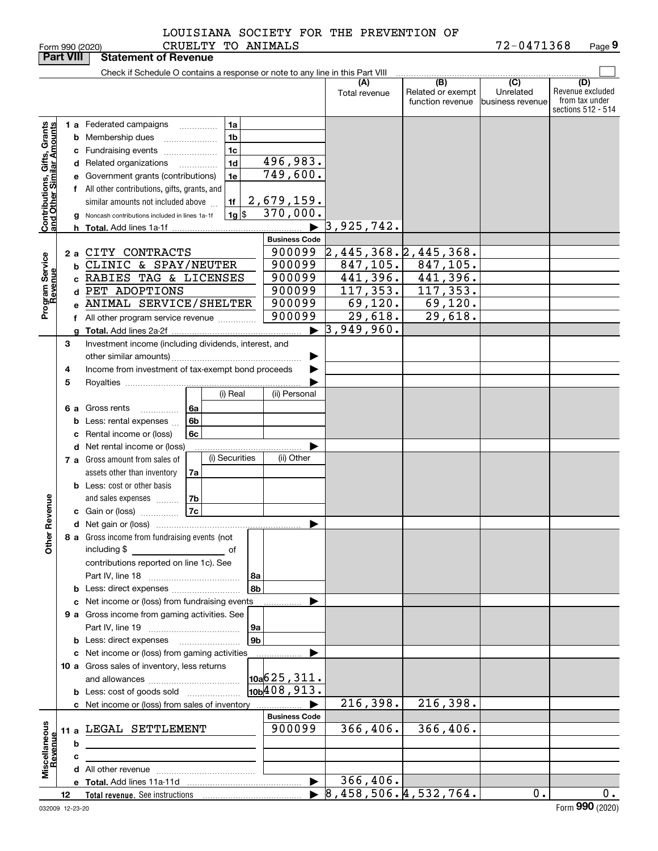Form 990 (2020) CRUEL'I'Y 'I'O ANIMALS / 2-04 / I 3 6 8 Page **9** CRUELTY TO ANIMALS 72-0471368

|                                                           | <b>Part VIII</b> |    | <b>Statement of Revenue</b>                                                                                                                                                                                                                                                                      |                               |                                       |                                              |                                      |                                                                 |
|-----------------------------------------------------------|------------------|----|--------------------------------------------------------------------------------------------------------------------------------------------------------------------------------------------------------------------------------------------------------------------------------------------------|-------------------------------|---------------------------------------|----------------------------------------------|--------------------------------------|-----------------------------------------------------------------|
|                                                           |                  |    | Check if Schedule O contains a response or note to any line in this Part VIII                                                                                                                                                                                                                    |                               |                                       |                                              |                                      |                                                                 |
|                                                           |                  |    |                                                                                                                                                                                                                                                                                                  |                               | (A)<br>Total revenue                  | (B)<br>Related or exempt<br>function revenue | (C)<br>Unrelated<br>business revenue | (D)<br>Revenue excluded<br>from tax under<br>sections 512 - 514 |
| Contributions, Gifts, Grants<br>and Other Similar Amounts |                  |    | 1a<br><b>1 a</b> Federated campaigns<br>.<br>1 <sub>b</sub><br><b>b</b> Membership dues<br>1 <sub>c</sub><br><b>c</b> Fundraising events <i></i><br>1 <sub>d</sub><br>d Related organizations<br>.<br>1e<br>e Government grants (contributions)<br>f All other contributions, gifts, grants, and | 496,983.<br>749,600.          |                                       |                                              |                                      |                                                                 |
|                                                           |                  |    | 1f<br>similar amounts not included above<br> 1g <br>Noncash contributions included in lines 1a-1f                                                                                                                                                                                                | 2,679,159.<br>370,000.        |                                       |                                              |                                      |                                                                 |
|                                                           |                  | h. |                                                                                                                                                                                                                                                                                                  |                               | 3,925,742.                            |                                              |                                      |                                                                 |
|                                                           |                  |    |                                                                                                                                                                                                                                                                                                  | <b>Business Code</b>          |                                       |                                              |                                      |                                                                 |
|                                                           | 2 a              |    | CITY CONTRACTS                                                                                                                                                                                                                                                                                   | 900099                        | 2,445,368.2,445,368.                  |                                              |                                      |                                                                 |
| Program Service<br>Revenue                                |                  | b  | CLINIC & SPAY/NEUTER                                                                                                                                                                                                                                                                             | 900099                        | 847, 105.                             | 847, 105.                                    |                                      |                                                                 |
|                                                           |                  |    | c RABIES TAG & LICENSES                                                                                                                                                                                                                                                                          | 900099                        | 441,396.                              | 441,396.                                     |                                      |                                                                 |
|                                                           |                  |    | d PET ADOPTIONS                                                                                                                                                                                                                                                                                  | 900099                        | 117, 353.                             | 117, 353.                                    |                                      |                                                                 |
|                                                           |                  |    | e ANIMAL SERVICE/SHELTER                                                                                                                                                                                                                                                                         | 900099                        | 69,120.                               | 69,120.                                      |                                      |                                                                 |
|                                                           |                  |    | f All other program service revenue                                                                                                                                                                                                                                                              | 900099                        | 29,618.                               | $\overline{29,618}$ .                        |                                      |                                                                 |
|                                                           |                  |    |                                                                                                                                                                                                                                                                                                  | ▶                             | 3,949,960.                            |                                              |                                      |                                                                 |
|                                                           | З                |    | Investment income (including dividends, interest, and                                                                                                                                                                                                                                            |                               |                                       |                                              |                                      |                                                                 |
|                                                           | 4<br>5           |    | Income from investment of tax-exempt bond proceeds                                                                                                                                                                                                                                               |                               |                                       |                                              |                                      |                                                                 |
|                                                           |                  |    | (i) Real                                                                                                                                                                                                                                                                                         | (ii) Personal                 |                                       |                                              |                                      |                                                                 |
|                                                           |                  |    | 6 a Gross rents<br>6а<br>.                                                                                                                                                                                                                                                                       |                               |                                       |                                              |                                      |                                                                 |
|                                                           |                  | b  | 6b<br>Less: rental expenses                                                                                                                                                                                                                                                                      |                               |                                       |                                              |                                      |                                                                 |
|                                                           |                  | с  | Rental income or (loss)<br>6c                                                                                                                                                                                                                                                                    |                               |                                       |                                              |                                      |                                                                 |
|                                                           |                  |    | d Net rental income or (loss)                                                                                                                                                                                                                                                                    |                               |                                       |                                              |                                      |                                                                 |
|                                                           |                  |    | (i) Securities<br><b>7 a</b> Gross amount from sales of                                                                                                                                                                                                                                          | (ii) Other                    |                                       |                                              |                                      |                                                                 |
|                                                           |                  |    | assets other than inventory<br>7a                                                                                                                                                                                                                                                                |                               |                                       |                                              |                                      |                                                                 |
|                                                           |                  |    | <b>b</b> Less: cost or other basis                                                                                                                                                                                                                                                               |                               |                                       |                                              |                                      |                                                                 |
|                                                           |                  |    | 7b<br>and sales expenses                                                                                                                                                                                                                                                                         |                               |                                       |                                              |                                      |                                                                 |
| Revenue                                                   |                  |    | 7c<br>c Gain or (loss)                                                                                                                                                                                                                                                                           |                               |                                       |                                              |                                      |                                                                 |
|                                                           |                  |    |                                                                                                                                                                                                                                                                                                  | ▶                             |                                       |                                              |                                      |                                                                 |
| Other                                                     |                  |    | 8 a Gross income from fundraising events (not<br>including \$<br>contributions reported on line 1c). See                                                                                                                                                                                         |                               |                                       |                                              |                                      |                                                                 |
|                                                           |                  |    | 8а                                                                                                                                                                                                                                                                                               |                               |                                       |                                              |                                      |                                                                 |
|                                                           |                  |    | 8b                                                                                                                                                                                                                                                                                               |                               |                                       |                                              |                                      |                                                                 |
|                                                           |                  |    | c Net income or (loss) from fundraising events                                                                                                                                                                                                                                                   |                               |                                       |                                              |                                      |                                                                 |
|                                                           |                  |    | 9 a Gross income from gaming activities. See                                                                                                                                                                                                                                                     |                               |                                       |                                              |                                      |                                                                 |
|                                                           |                  |    | 9а                                                                                                                                                                                                                                                                                               |                               |                                       |                                              |                                      |                                                                 |
|                                                           |                  |    | 9 <sub>b</sub>                                                                                                                                                                                                                                                                                   |                               |                                       |                                              |                                      |                                                                 |
|                                                           |                  |    | c Net income or (loss) from gaming activities                                                                                                                                                                                                                                                    | ▶                             |                                       |                                              |                                      |                                                                 |
|                                                           |                  |    | 10 a Gross sales of inventory, less returns                                                                                                                                                                                                                                                      |                               |                                       |                                              |                                      |                                                                 |
|                                                           |                  |    |                                                                                                                                                                                                                                                                                                  | $\vert$ 10a $\vert$ 625, 311. |                                       |                                              |                                      |                                                                 |
|                                                           |                  |    | <b>b</b> Less: cost of goods sold                                                                                                                                                                                                                                                                | 10 <sub>b</sub> 408, 913.     |                                       |                                              |                                      |                                                                 |
|                                                           |                  |    | c Net income or (loss) from sales of inventory                                                                                                                                                                                                                                                   |                               | 216,398.                              | 216,398.                                     |                                      |                                                                 |
|                                                           |                  |    |                                                                                                                                                                                                                                                                                                  | <b>Business Code</b>          |                                       |                                              |                                      |                                                                 |
|                                                           |                  |    | 11 a LEGAL SETTLEMENT                                                                                                                                                                                                                                                                            | 900099                        | 366, 406.                             | 366,406.                                     |                                      |                                                                 |
| Miscellaneous<br>Revenue                                  |                  | b  |                                                                                                                                                                                                                                                                                                  |                               |                                       |                                              |                                      |                                                                 |
|                                                           |                  | с  |                                                                                                                                                                                                                                                                                                  |                               |                                       |                                              |                                      |                                                                 |
|                                                           |                  |    |                                                                                                                                                                                                                                                                                                  | $\blacktriangleright$         | 366,406.                              |                                              |                                      |                                                                 |
|                                                           | 12               |    |                                                                                                                                                                                                                                                                                                  |                               | $\triangleright$ 8,458,506.4,532,764. |                                              | 0.1                                  | $\overline{0}$ .                                                |
|                                                           |                  |    |                                                                                                                                                                                                                                                                                                  |                               |                                       |                                              |                                      |                                                                 |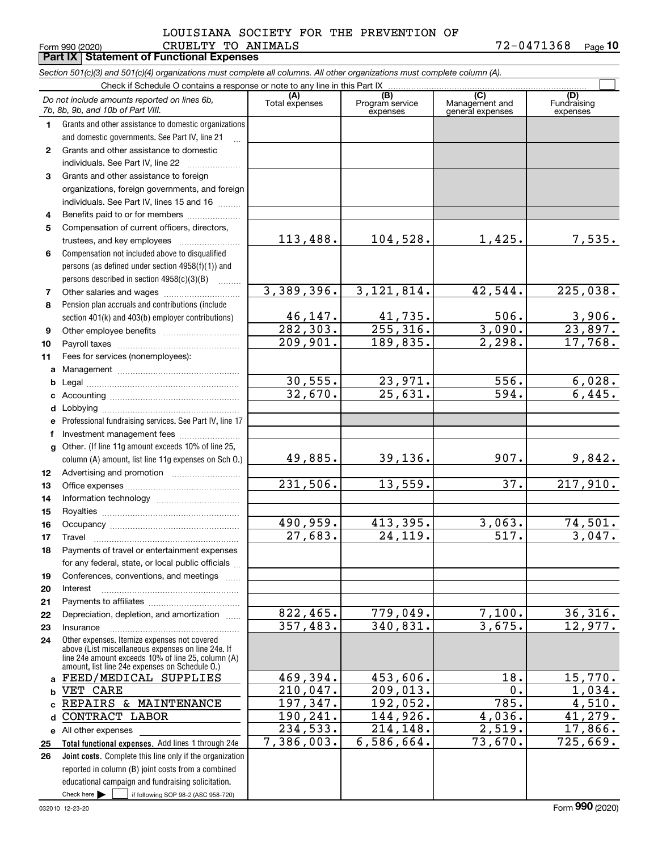#### Form 990 (2020) Page **Part IX Statement of Functional Expenses** CRUELTY TO ANIMALS 72-0471368 LOUISIANA SOCIETY FOR THE PREVENTION OF

**10**

| Section 501(c)(3) and 501(c)(4) organizations must complete all columns. All other organizations must complete column (A). |                                                                                                                                                                                                            |                            |                                         |                                           |                                |  |  |  |  |  |  |  |
|----------------------------------------------------------------------------------------------------------------------------|------------------------------------------------------------------------------------------------------------------------------------------------------------------------------------------------------------|----------------------------|-----------------------------------------|-------------------------------------------|--------------------------------|--|--|--|--|--|--|--|
| Check if Schedule O contains a response or note to any line in this Part IX                                                |                                                                                                                                                                                                            |                            |                                         |                                           |                                |  |  |  |  |  |  |  |
|                                                                                                                            | Do not include amounts reported on lines 6b,<br>7b, 8b, 9b, and 10b of Part VIII.                                                                                                                          | (A)<br>Total expenses      | (B)<br>Program service<br>expenses      | (C)<br>Management and<br>general expenses | (D)<br>Fundraising<br>expenses |  |  |  |  |  |  |  |
| 1.                                                                                                                         | Grants and other assistance to domestic organizations                                                                                                                                                      |                            |                                         |                                           |                                |  |  |  |  |  |  |  |
|                                                                                                                            | and domestic governments. See Part IV, line 21                                                                                                                                                             |                            |                                         |                                           |                                |  |  |  |  |  |  |  |
| $\mathbf{2}$                                                                                                               | Grants and other assistance to domestic                                                                                                                                                                    |                            |                                         |                                           |                                |  |  |  |  |  |  |  |
|                                                                                                                            | individuals. See Part IV, line 22                                                                                                                                                                          |                            |                                         |                                           |                                |  |  |  |  |  |  |  |
| 3                                                                                                                          | Grants and other assistance to foreign                                                                                                                                                                     |                            |                                         |                                           |                                |  |  |  |  |  |  |  |
|                                                                                                                            | organizations, foreign governments, and foreign                                                                                                                                                            |                            |                                         |                                           |                                |  |  |  |  |  |  |  |
|                                                                                                                            | individuals. See Part IV, lines 15 and 16                                                                                                                                                                  |                            |                                         |                                           |                                |  |  |  |  |  |  |  |
| 4                                                                                                                          | Benefits paid to or for members                                                                                                                                                                            |                            |                                         |                                           |                                |  |  |  |  |  |  |  |
| 5                                                                                                                          | Compensation of current officers, directors,                                                                                                                                                               |                            |                                         |                                           |                                |  |  |  |  |  |  |  |
|                                                                                                                            | trustees, and key employees                                                                                                                                                                                | 113,488.                   | 104,528.                                | 1,425.                                    | 7,535.                         |  |  |  |  |  |  |  |
| 6                                                                                                                          | Compensation not included above to disqualified                                                                                                                                                            |                            |                                         |                                           |                                |  |  |  |  |  |  |  |
|                                                                                                                            | persons (as defined under section 4958(f)(1)) and                                                                                                                                                          |                            |                                         |                                           |                                |  |  |  |  |  |  |  |
|                                                                                                                            | persons described in section 4958(c)(3)(B)                                                                                                                                                                 |                            |                                         |                                           |                                |  |  |  |  |  |  |  |
| 7                                                                                                                          |                                                                                                                                                                                                            | 3,389,396.                 | 3, 121, 814.                            | 42,544.                                   | 225,038.                       |  |  |  |  |  |  |  |
| 8                                                                                                                          | Pension plan accruals and contributions (include                                                                                                                                                           |                            |                                         |                                           |                                |  |  |  |  |  |  |  |
|                                                                                                                            | section 401(k) and 403(b) employer contributions)                                                                                                                                                          | $\frac{46,147.}{282,303.}$ | $\frac{41,735}{255,316}$                | 506.                                      | $\frac{3,906}{23,897}$ .       |  |  |  |  |  |  |  |
| 9                                                                                                                          |                                                                                                                                                                                                            |                            |                                         | 3,090.                                    |                                |  |  |  |  |  |  |  |
| 10                                                                                                                         |                                                                                                                                                                                                            | 209,901.                   | 189,835.                                | 2,298.                                    | 17,768.                        |  |  |  |  |  |  |  |
| 11                                                                                                                         | Fees for services (nonemployees):                                                                                                                                                                          |                            |                                         |                                           |                                |  |  |  |  |  |  |  |
|                                                                                                                            |                                                                                                                                                                                                            |                            |                                         |                                           |                                |  |  |  |  |  |  |  |
| b                                                                                                                          |                                                                                                                                                                                                            | 30,555.<br>32,670.         | <u>23,971.</u><br>$\overline{25,631}$ . | 556.<br>$\overline{594}$ .                | 6,028.<br>6,445.               |  |  |  |  |  |  |  |
|                                                                                                                            |                                                                                                                                                                                                            |                            |                                         |                                           |                                |  |  |  |  |  |  |  |
| d                                                                                                                          |                                                                                                                                                                                                            |                            |                                         |                                           |                                |  |  |  |  |  |  |  |
|                                                                                                                            | Professional fundraising services. See Part IV, line 17                                                                                                                                                    |                            |                                         |                                           |                                |  |  |  |  |  |  |  |
|                                                                                                                            | Investment management fees                                                                                                                                                                                 |                            |                                         |                                           |                                |  |  |  |  |  |  |  |
|                                                                                                                            | g Other. (If line 11g amount exceeds 10% of line 25,                                                                                                                                                       | 49,885.                    | 39, 136.                                | 907.                                      | 9,842.                         |  |  |  |  |  |  |  |
|                                                                                                                            | column (A) amount, list line 11g expenses on Sch O.)                                                                                                                                                       |                            |                                         |                                           |                                |  |  |  |  |  |  |  |
| 12<br>13                                                                                                                   |                                                                                                                                                                                                            | 231,506.                   | 13,559.                                 | 37.                                       | 217,910.                       |  |  |  |  |  |  |  |
| 14                                                                                                                         |                                                                                                                                                                                                            |                            |                                         |                                           |                                |  |  |  |  |  |  |  |
| 15                                                                                                                         |                                                                                                                                                                                                            |                            |                                         |                                           |                                |  |  |  |  |  |  |  |
| 16                                                                                                                         |                                                                                                                                                                                                            | 490,959.                   | 413,395.                                | 3,063.                                    | 74,501.                        |  |  |  |  |  |  |  |
| 17                                                                                                                         |                                                                                                                                                                                                            | 27,683.                    | 24,119.                                 | 517.                                      | 3,047.                         |  |  |  |  |  |  |  |
| 18                                                                                                                         | Payments of travel or entertainment expenses                                                                                                                                                               |                            |                                         |                                           |                                |  |  |  |  |  |  |  |
|                                                                                                                            | for any federal, state, or local public officials                                                                                                                                                          |                            |                                         |                                           |                                |  |  |  |  |  |  |  |
| 19                                                                                                                         | Conferences, conventions, and meetings                                                                                                                                                                     |                            |                                         |                                           |                                |  |  |  |  |  |  |  |
| 20                                                                                                                         | Interest                                                                                                                                                                                                   |                            |                                         |                                           |                                |  |  |  |  |  |  |  |
| 21                                                                                                                         |                                                                                                                                                                                                            |                            |                                         |                                           |                                |  |  |  |  |  |  |  |
| 22                                                                                                                         | Depreciation, depletion, and amortization                                                                                                                                                                  | 822, 465.                  | 779,049.                                | 7,100.                                    | 36,316.                        |  |  |  |  |  |  |  |
| 23                                                                                                                         | Insurance                                                                                                                                                                                                  | 357,483.                   | 340,831.                                | 3,675.                                    | 12,977.                        |  |  |  |  |  |  |  |
| 24                                                                                                                         | Other expenses. Itemize expenses not covered<br>above (List miscellaneous expenses on line 24e. If<br>line 24e amount exceeds 10% of line 25, column (A)<br>amount, list line 24e expenses on Schedule O.) |                            |                                         |                                           |                                |  |  |  |  |  |  |  |
|                                                                                                                            | FEED/MEDICAL SUPPLIES                                                                                                                                                                                      | 469,394.                   | 453,606.                                | 18.                                       | 15,770.                        |  |  |  |  |  |  |  |
|                                                                                                                            | VET CARE                                                                                                                                                                                                   | 210,047.                   | 209,013.                                | 0.                                        | 1,034.                         |  |  |  |  |  |  |  |
|                                                                                                                            | REPAIRS & MAINTENANCE                                                                                                                                                                                      | 197,347.                   | 192,052.                                | $\overline{785}$ .                        | 4,510.                         |  |  |  |  |  |  |  |
| d                                                                                                                          | CONTRACT LABOR                                                                                                                                                                                             | 190,241.                   | 144,926.                                | 4,036.                                    | 41,279.                        |  |  |  |  |  |  |  |
|                                                                                                                            | e All other expenses                                                                                                                                                                                       | 234,533.                   | 214,148.                                | 2,519.                                    | 17,866.                        |  |  |  |  |  |  |  |
| 25                                                                                                                         | Total functional expenses. Add lines 1 through 24e                                                                                                                                                         | 7,386,003.                 | 6,586,664.                              | 73,670.                                   | 725,669.                       |  |  |  |  |  |  |  |
| 26                                                                                                                         | Joint costs. Complete this line only if the organization                                                                                                                                                   |                            |                                         |                                           |                                |  |  |  |  |  |  |  |
|                                                                                                                            | reported in column (B) joint costs from a combined                                                                                                                                                         |                            |                                         |                                           |                                |  |  |  |  |  |  |  |
|                                                                                                                            | educational campaign and fundraising solicitation.                                                                                                                                                         |                            |                                         |                                           |                                |  |  |  |  |  |  |  |
|                                                                                                                            | Check here $\blacktriangleright$<br>if following SOP 98-2 (ASC 958-720)                                                                                                                                    |                            |                                         |                                           |                                |  |  |  |  |  |  |  |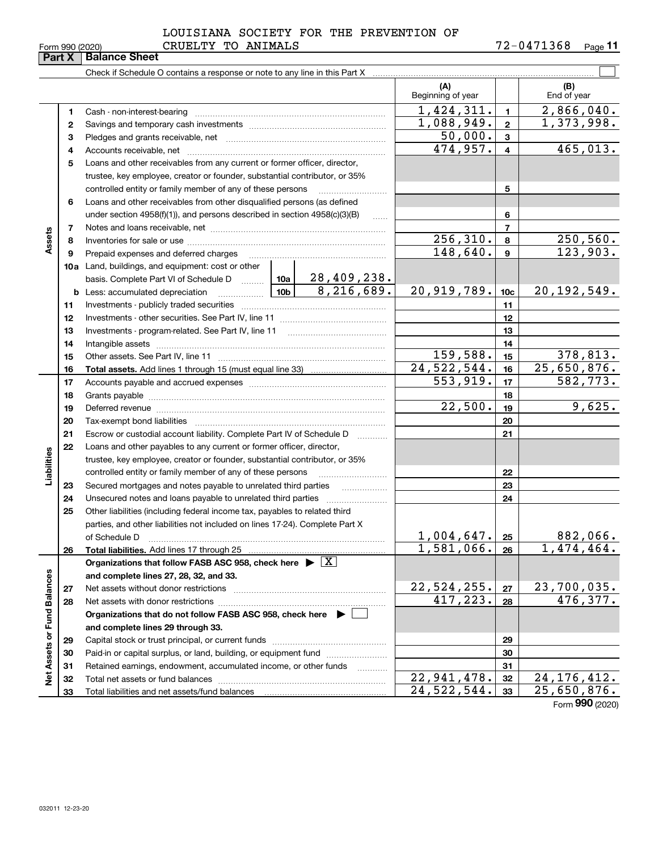|                 |                    |  | LOUISIANA SOCIETY FOR THE PREVENTION OF |            |         |
|-----------------|--------------------|--|-----------------------------------------|------------|---------|
| Form 990 (2020) | CRUELTY TO ANIMALS |  |                                         | 72-0471368 | Page 11 |

|                             | Part X       | <b>Balance Sheet</b>                                                                                                                                                                                                          |          |                     |                          |                 |                         |
|-----------------------------|--------------|-------------------------------------------------------------------------------------------------------------------------------------------------------------------------------------------------------------------------------|----------|---------------------|--------------------------|-----------------|-------------------------|
|                             |              | Check if Schedule O contains a response or note to any line in this Part X                                                                                                                                                    |          |                     |                          |                 |                         |
|                             |              |                                                                                                                                                                                                                               |          |                     | (A)<br>Beginning of year |                 | (B)<br>End of year      |
|                             | $\mathbf 1$  | Cash - non-interest-bearing                                                                                                                                                                                                   |          |                     | 1,424,311.               | $\blacksquare$  | 2,866,040.              |
|                             | $\mathbf{2}$ |                                                                                                                                                                                                                               |          |                     | 1,088,949.               | $\mathbf{2}$    | 1,373,998.              |
|                             | з            |                                                                                                                                                                                                                               |          |                     | 50,000.                  | $\mathbf{3}$    |                         |
|                             | 4            |                                                                                                                                                                                                                               |          |                     | 474,957.                 | $\overline{4}$  | 465,013.                |
|                             | 5            | Loans and other receivables from any current or former officer, director,                                                                                                                                                     |          |                     |                          |                 |                         |
|                             |              | trustee, key employee, creator or founder, substantial contributor, or 35%                                                                                                                                                    |          |                     |                          |                 |                         |
|                             |              | controlled entity or family member of any of these persons                                                                                                                                                                    |          |                     |                          | 5               |                         |
|                             | 6            | Loans and other receivables from other disqualified persons (as defined                                                                                                                                                       |          |                     |                          |                 |                         |
|                             |              | under section $4958(f)(1)$ , and persons described in section $4958(c)(3)(B)$                                                                                                                                                 |          | 6                   |                          |                 |                         |
|                             | 7            |                                                                                                                                                                                                                               |          | $\overline{7}$      |                          |                 |                         |
| Assets                      | 8            |                                                                                                                                                                                                                               |          |                     | 256, 310.                | 8               | 250, 560.               |
|                             | 9            | Prepaid expenses and deferred charges                                                                                                                                                                                         | 148,640. | $\mathbf{9}$        | 123,903.                 |                 |                         |
|                             |              | <b>10a</b> Land, buildings, and equipment: cost or other                                                                                                                                                                      |          |                     |                          |                 |                         |
|                             |              | basis. Complete Part VI of Schedule D  10a                                                                                                                                                                                    |          | 28, 409, 238.       |                          |                 |                         |
|                             |              | $\frac{10b}{10b}$<br><b>b</b> Less: accumulated depreciation                                                                                                                                                                  |          | 8,216,689.          | 20,919,789.              | 10 <sub>c</sub> | 20, 192, 549.           |
|                             | 11           |                                                                                                                                                                                                                               |          |                     |                          | 11              |                         |
|                             | 12           |                                                                                                                                                                                                                               |          |                     |                          | 12              |                         |
|                             | 13           |                                                                                                                                                                                                                               |          |                     |                          | 13              |                         |
|                             | 14           |                                                                                                                                                                                                                               |          | 14                  |                          |                 |                         |
|                             | 15           |                                                                                                                                                                                                                               |          |                     | 159,588.                 | 15              | 378,813.                |
|                             | 16           |                                                                                                                                                                                                                               |          |                     | 24,522,544.              | 16              | 25,650,876.             |
|                             | 17           |                                                                                                                                                                                                                               |          |                     | 553,919.                 | 17              | 582, 773.               |
|                             | 18           |                                                                                                                                                                                                                               |          | 18                  |                          |                 |                         |
|                             | 19           | Deferred revenue material contracts and contracts are contracted and contract and contract are contracted and contract are contracted and contract are contracted and contract are contracted and contract are contracted and |          |                     | 22,500.                  | 19              | 9,625.                  |
|                             | 20           |                                                                                                                                                                                                                               |          |                     |                          | 20              |                         |
|                             | 21           | Escrow or custodial account liability. Complete Part IV of Schedule D                                                                                                                                                         |          | 1.1.1.1.1.1.1.1.1.1 |                          | 21              |                         |
|                             | 22           | Loans and other payables to any current or former officer, director,                                                                                                                                                          |          |                     |                          |                 |                         |
| Liabilities                 |              | trustee, key employee, creator or founder, substantial contributor, or 35%                                                                                                                                                    |          |                     |                          |                 |                         |
|                             |              | controlled entity or family member of any of these persons                                                                                                                                                                    |          |                     |                          | 22              |                         |
|                             | 23           | Secured mortgages and notes payable to unrelated third parties                                                                                                                                                                |          |                     |                          | 23              |                         |
|                             | 24           | Unsecured notes and loans payable to unrelated third parties                                                                                                                                                                  |          |                     |                          | 24              |                         |
|                             | 25           | Other liabilities (including federal income tax, payables to related third                                                                                                                                                    |          |                     |                          |                 |                         |
|                             |              | parties, and other liabilities not included on lines 17-24). Complete Part X                                                                                                                                                  |          |                     |                          |                 |                         |
|                             |              | of Schedule D                                                                                                                                                                                                                 |          |                     | 1,004,647.               | 25              | 882,066.                |
|                             | 26           | Total liabilities. Add lines 17 through 25                                                                                                                                                                                    |          |                     | 1,581,066.               | 26              | 1,474,464.              |
|                             |              | Organizations that follow FASB ASC 958, check here $\blacktriangleright \boxed{X}$                                                                                                                                            |          |                     |                          |                 |                         |
|                             |              | and complete lines 27, 28, 32, and 33.                                                                                                                                                                                        |          |                     |                          |                 |                         |
|                             | 27           |                                                                                                                                                                                                                               |          |                     | 22,524,255.<br>417,223.  | 27              | 23,700,035.<br>476,377. |
|                             | 28           | Net assets with donor restrictions                                                                                                                                                                                            |          |                     |                          | 28              |                         |
|                             |              | Organizations that do not follow FASB ASC 958, check here $\blacktriangleright$                                                                                                                                               |          |                     |                          |                 |                         |
|                             |              | and complete lines 29 through 33.                                                                                                                                                                                             |          |                     |                          |                 |                         |
| Net Assets or Fund Balances | 29           |                                                                                                                                                                                                                               |          |                     |                          | 29              |                         |
|                             | 30           | Paid-in or capital surplus, or land, building, or equipment fund                                                                                                                                                              |          |                     |                          | 30              |                         |
|                             | 31           | Retained earnings, endowment, accumulated income, or other funds                                                                                                                                                              |          | .                   | 22,941,478.              | 31              | 24, 176, 412.           |
|                             | 32           | Total net assets or fund balances                                                                                                                                                                                             |          |                     | 24,522,544.              | 32<br>33        | 25,650,876.             |
|                             | 33           |                                                                                                                                                                                                                               |          |                     |                          |                 | $\overline{2}$          |

Form (2020) **990**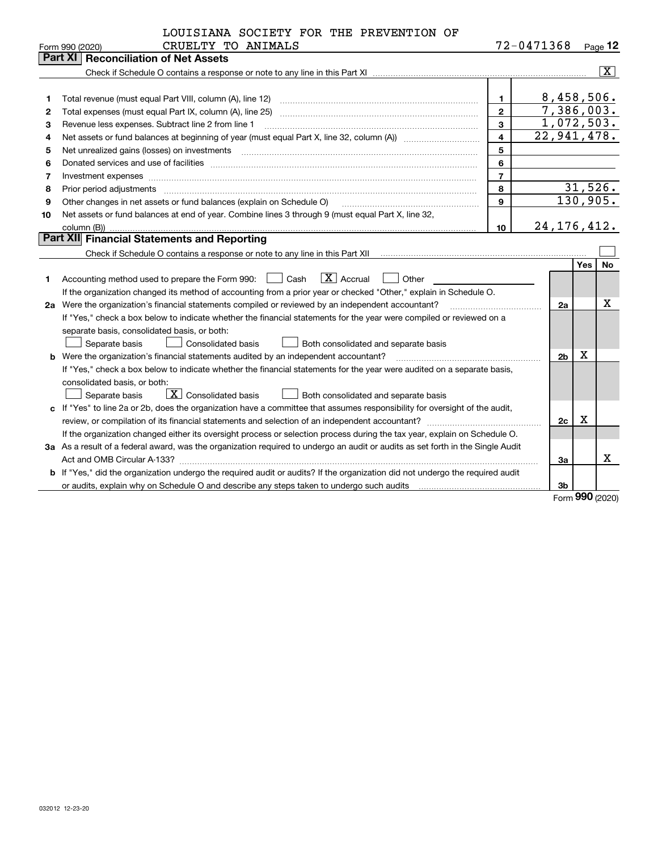|  |  | LOUISIANA SOCIETY FOR THE PREVENTION OF |  |
|--|--|-----------------------------------------|--|
|  |  |                                         |  |

72-0471368 Page 12

| Part XI   Reconciliation of Net Assets                                                                                                                                                                                                                                                                                                                                                                                                                                               | $\overline{\mathbf{X}}$ |
|--------------------------------------------------------------------------------------------------------------------------------------------------------------------------------------------------------------------------------------------------------------------------------------------------------------------------------------------------------------------------------------------------------------------------------------------------------------------------------------|-------------------------|
|                                                                                                                                                                                                                                                                                                                                                                                                                                                                                      |                         |
|                                                                                                                                                                                                                                                                                                                                                                                                                                                                                      |                         |
|                                                                                                                                                                                                                                                                                                                                                                                                                                                                                      |                         |
| 8,458,506.<br>1.<br>1                                                                                                                                                                                                                                                                                                                                                                                                                                                                |                         |
| 7,386,003.<br>$\overline{2}$<br>Total expenses (must equal Part IX, column (A), line 25)<br>2                                                                                                                                                                                                                                                                                                                                                                                        |                         |
| 1,072,503.<br>3<br>Revenue less expenses. Subtract line 2 from line 1<br>З                                                                                                                                                                                                                                                                                                                                                                                                           |                         |
| $\overline{22,941,478}$ .<br>4<br>4                                                                                                                                                                                                                                                                                                                                                                                                                                                  |                         |
| 5<br>Net unrealized gains (losses) on investments<br>5<br>$\overline{a_1, \ldots, a_n, \ldots, a_n, \ldots, a_n, \ldots, a_n, \ldots, a_n, \ldots, a_n, \ldots, a_n, \ldots, a_n, \ldots, a_n, \ldots, a_n, \ldots, a_n, \ldots, a_n, \ldots, a_n, \ldots, a_n, \ldots, a_n, \ldots, a_n, \ldots, a_n, \ldots, a_n, \ldots, a_n, \ldots, a_n, \ldots, a_n, \ldots, a_n, \ldots, a_n, \ldots, a_n, \ldots, a_n, \ldots, a_n, \ldots, a_n, \ldots, a_n, \ldots, a_n, \ldots, a_n, \ld$ |                         |
| 6<br>6                                                                                                                                                                                                                                                                                                                                                                                                                                                                               |                         |
| $\overline{7}$<br>Investment expenses<br>7                                                                                                                                                                                                                                                                                                                                                                                                                                           |                         |
| 31,526.<br>8<br>Prior period adjustments<br>8                                                                                                                                                                                                                                                                                                                                                                                                                                        |                         |
| 130,905.<br>9<br>Other changes in net assets or fund balances (explain on Schedule O)<br>9                                                                                                                                                                                                                                                                                                                                                                                           |                         |
| Net assets or fund balances at end of year. Combine lines 3 through 9 (must equal Part X, line 32,<br>10                                                                                                                                                                                                                                                                                                                                                                             |                         |
| 24, 176, 412.<br>10                                                                                                                                                                                                                                                                                                                                                                                                                                                                  |                         |
| Part XII Financial Statements and Reporting                                                                                                                                                                                                                                                                                                                                                                                                                                          |                         |
|                                                                                                                                                                                                                                                                                                                                                                                                                                                                                      |                         |
| Yes                                                                                                                                                                                                                                                                                                                                                                                                                                                                                  | No                      |
| $\overline{X}$ Accrual<br>Accounting method used to prepare the Form 990: <u>I</u> Cash<br>Other<br>1                                                                                                                                                                                                                                                                                                                                                                                |                         |
| If the organization changed its method of accounting from a prior year or checked "Other," explain in Schedule O.                                                                                                                                                                                                                                                                                                                                                                    |                         |
| Were the organization's financial statements compiled or reviewed by an independent accountant?<br>2a<br>2a                                                                                                                                                                                                                                                                                                                                                                          | X                       |
| If "Yes," check a box below to indicate whether the financial statements for the year were compiled or reviewed on a                                                                                                                                                                                                                                                                                                                                                                 |                         |
| separate basis, consolidated basis, or both:                                                                                                                                                                                                                                                                                                                                                                                                                                         |                         |
| Separate basis<br>Consolidated basis<br>Both consolidated and separate basis                                                                                                                                                                                                                                                                                                                                                                                                         |                         |
| X<br><b>b</b> Were the organization's financial statements audited by an independent accountant?<br>2 <sub>b</sub>                                                                                                                                                                                                                                                                                                                                                                   |                         |
| If "Yes," check a box below to indicate whether the financial statements for the year were audited on a separate basis,                                                                                                                                                                                                                                                                                                                                                              |                         |
| consolidated basis, or both:                                                                                                                                                                                                                                                                                                                                                                                                                                                         |                         |
| $\boxed{\textbf{X}}$ Consolidated basis<br>Both consolidated and separate basis<br>Separate basis                                                                                                                                                                                                                                                                                                                                                                                    |                         |
| c If "Yes" to line 2a or 2b, does the organization have a committee that assumes responsibility for oversight of the audit,                                                                                                                                                                                                                                                                                                                                                          |                         |
| х<br>2c                                                                                                                                                                                                                                                                                                                                                                                                                                                                              |                         |
| If the organization changed either its oversight process or selection process during the tax year, explain on Schedule O.                                                                                                                                                                                                                                                                                                                                                            |                         |
| 3a As a result of a federal award, was the organization required to undergo an audit or audits as set forth in the Single Audit                                                                                                                                                                                                                                                                                                                                                      |                         |
| За                                                                                                                                                                                                                                                                                                                                                                                                                                                                                   | Χ                       |
| b If "Yes," did the organization undergo the required audit or audits? If the organization did not undergo the required audit                                                                                                                                                                                                                                                                                                                                                        |                         |
| or audits, explain why on Schedule O and describe any steps taken to undergo such audits manumumumumumum<br>Зb<br>nnn                                                                                                                                                                                                                                                                                                                                                                |                         |

Form (2020) **990**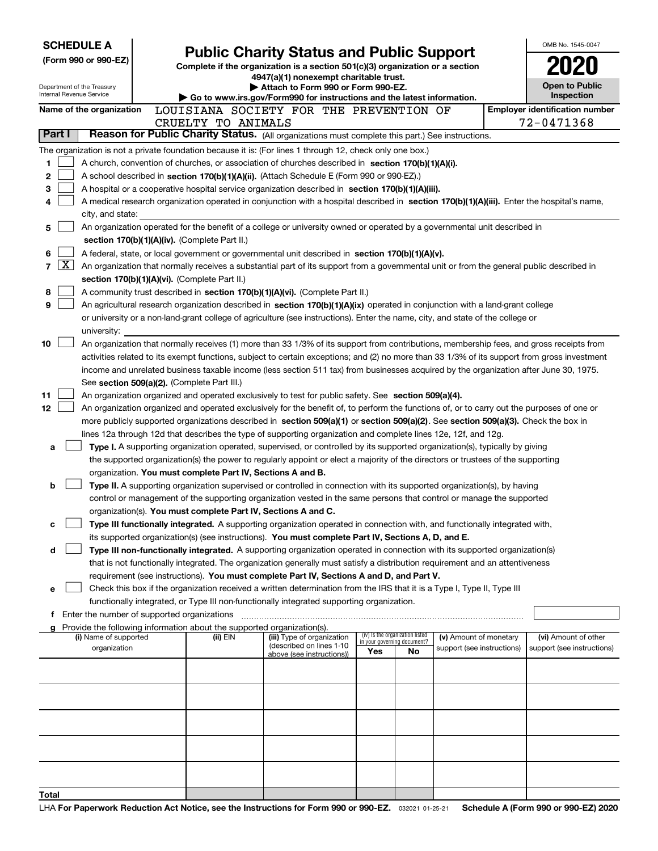| <b>SCHEDULE A</b>                                      |                                                                                                                                                                                         |  |                                                                               | <b>Public Charity Status and Public Support</b>                                                                                                                                                                                                      |     |    |                            |  | OMB No. 1545-0047                     |
|--------------------------------------------------------|-----------------------------------------------------------------------------------------------------------------------------------------------------------------------------------------|--|-------------------------------------------------------------------------------|------------------------------------------------------------------------------------------------------------------------------------------------------------------------------------------------------------------------------------------------------|-----|----|----------------------------|--|---------------------------------------|
|                                                        | (Form 990 or 990-EZ)                                                                                                                                                                    |  | Complete if the organization is a section 501(c)(3) organization or a section |                                                                                                                                                                                                                                                      |     |    |                            |  |                                       |
|                                                        |                                                                                                                                                                                         |  |                                                                               | 4947(a)(1) nonexempt charitable trust.                                                                                                                                                                                                               |     |    |                            |  |                                       |
| Department of the Treasury<br>Internal Revenue Service |                                                                                                                                                                                         |  |                                                                               | Attach to Form 990 or Form 990-EZ.                                                                                                                                                                                                                   |     |    |                            |  | <b>Open to Public</b><br>Inspection   |
|                                                        | Name of the organization                                                                                                                                                                |  |                                                                               | Go to www.irs.gov/Form990 for instructions and the latest information.<br>LOUISIANA SOCIETY FOR THE PREVENTION OF                                                                                                                                    |     |    |                            |  | <b>Employer identification number</b> |
|                                                        |                                                                                                                                                                                         |  | CRUELTY TO ANIMALS                                                            |                                                                                                                                                                                                                                                      |     |    |                            |  | 72-0471368                            |
| Part I                                                 |                                                                                                                                                                                         |  |                                                                               | Reason for Public Charity Status. (All organizations must complete this part.) See instructions.                                                                                                                                                     |     |    |                            |  |                                       |
|                                                        |                                                                                                                                                                                         |  |                                                                               | The organization is not a private foundation because it is: (For lines 1 through 12, check only one box.)                                                                                                                                            |     |    |                            |  |                                       |
| 1                                                      |                                                                                                                                                                                         |  |                                                                               | A church, convention of churches, or association of churches described in section 170(b)(1)(A)(i).                                                                                                                                                   |     |    |                            |  |                                       |
| 2                                                      |                                                                                                                                                                                         |  |                                                                               | A school described in section 170(b)(1)(A)(ii). (Attach Schedule E (Form 990 or 990-EZ).)                                                                                                                                                            |     |    |                            |  |                                       |
| з                                                      |                                                                                                                                                                                         |  |                                                                               | A hospital or a cooperative hospital service organization described in section 170(b)(1)(A)(iii).                                                                                                                                                    |     |    |                            |  |                                       |
| 4                                                      |                                                                                                                                                                                         |  |                                                                               | A medical research organization operated in conjunction with a hospital described in section 170(b)(1)(A)(iii). Enter the hospital's name,                                                                                                           |     |    |                            |  |                                       |
|                                                        | city, and state:                                                                                                                                                                        |  |                                                                               |                                                                                                                                                                                                                                                      |     |    |                            |  |                                       |
| 5                                                      |                                                                                                                                                                                         |  |                                                                               | An organization operated for the benefit of a college or university owned or operated by a governmental unit described in                                                                                                                            |     |    |                            |  |                                       |
| 6                                                      |                                                                                                                                                                                         |  | section 170(b)(1)(A)(iv). (Complete Part II.)                                 |                                                                                                                                                                                                                                                      |     |    |                            |  |                                       |
| $\lfloor x \rfloor$<br>$\overline{7}$                  |                                                                                                                                                                                         |  |                                                                               | A federal, state, or local government or governmental unit described in section 170(b)(1)(A)(v).<br>An organization that normally receives a substantial part of its support from a governmental unit or from the general public described in        |     |    |                            |  |                                       |
|                                                        |                                                                                                                                                                                         |  | section 170(b)(1)(A)(vi). (Complete Part II.)                                 |                                                                                                                                                                                                                                                      |     |    |                            |  |                                       |
| 8                                                      |                                                                                                                                                                                         |  |                                                                               | A community trust described in section 170(b)(1)(A)(vi). (Complete Part II.)                                                                                                                                                                         |     |    |                            |  |                                       |
| 9                                                      |                                                                                                                                                                                         |  |                                                                               | An agricultural research organization described in section 170(b)(1)(A)(ix) operated in conjunction with a land-grant college                                                                                                                        |     |    |                            |  |                                       |
|                                                        |                                                                                                                                                                                         |  |                                                                               | or university or a non-land-grant college of agriculture (see instructions). Enter the name, city, and state of the college or                                                                                                                       |     |    |                            |  |                                       |
|                                                        | university:                                                                                                                                                                             |  |                                                                               |                                                                                                                                                                                                                                                      |     |    |                            |  |                                       |
| 10                                                     |                                                                                                                                                                                         |  |                                                                               | An organization that normally receives (1) more than 33 1/3% of its support from contributions, membership fees, and gross receipts from                                                                                                             |     |    |                            |  |                                       |
|                                                        |                                                                                                                                                                                         |  |                                                                               | activities related to its exempt functions, subject to certain exceptions; and (2) no more than 33 1/3% of its support from gross investment                                                                                                         |     |    |                            |  |                                       |
|                                                        |                                                                                                                                                                                         |  |                                                                               | income and unrelated business taxable income (less section 511 tax) from businesses acquired by the organization after June 30, 1975.                                                                                                                |     |    |                            |  |                                       |
|                                                        |                                                                                                                                                                                         |  | See section 509(a)(2). (Complete Part III.)                                   |                                                                                                                                                                                                                                                      |     |    |                            |  |                                       |
| 11                                                     |                                                                                                                                                                                         |  |                                                                               | An organization organized and operated exclusively to test for public safety. See section 509(a)(4).                                                                                                                                                 |     |    |                            |  |                                       |
| 12                                                     |                                                                                                                                                                                         |  |                                                                               | An organization organized and operated exclusively for the benefit of, to perform the functions of, or to carry out the purposes of one or                                                                                                           |     |    |                            |  |                                       |
|                                                        |                                                                                                                                                                                         |  |                                                                               | more publicly supported organizations described in section 509(a)(1) or section 509(a)(2). See section 509(a)(3). Check the box in<br>lines 12a through 12d that describes the type of supporting organization and complete lines 12e, 12f, and 12g. |     |    |                            |  |                                       |
| a                                                      |                                                                                                                                                                                         |  |                                                                               | Type I. A supporting organization operated, supervised, or controlled by its supported organization(s), typically by giving                                                                                                                          |     |    |                            |  |                                       |
|                                                        |                                                                                                                                                                                         |  |                                                                               | the supported organization(s) the power to regularly appoint or elect a majority of the directors or trustees of the supporting                                                                                                                      |     |    |                            |  |                                       |
|                                                        |                                                                                                                                                                                         |  | organization. You must complete Part IV, Sections A and B.                    |                                                                                                                                                                                                                                                      |     |    |                            |  |                                       |
| b                                                      |                                                                                                                                                                                         |  |                                                                               | Type II. A supporting organization supervised or controlled in connection with its supported organization(s), by having                                                                                                                              |     |    |                            |  |                                       |
|                                                        |                                                                                                                                                                                         |  |                                                                               | control or management of the supporting organization vested in the same persons that control or manage the supported                                                                                                                                 |     |    |                            |  |                                       |
|                                                        |                                                                                                                                                                                         |  | organization(s). You must complete Part IV, Sections A and C.                 |                                                                                                                                                                                                                                                      |     |    |                            |  |                                       |
| с                                                      |                                                                                                                                                                                         |  |                                                                               | Type III functionally integrated. A supporting organization operated in connection with, and functionally integrated with,                                                                                                                           |     |    |                            |  |                                       |
|                                                        |                                                                                                                                                                                         |  |                                                                               | its supported organization(s) (see instructions). You must complete Part IV, Sections A, D, and E.                                                                                                                                                   |     |    |                            |  |                                       |
| d                                                      |                                                                                                                                                                                         |  |                                                                               | Type III non-functionally integrated. A supporting organization operated in connection with its supported organization(s)                                                                                                                            |     |    |                            |  |                                       |
|                                                        |                                                                                                                                                                                         |  |                                                                               | that is not functionally integrated. The organization generally must satisfy a distribution requirement and an attentiveness                                                                                                                         |     |    |                            |  |                                       |
| е                                                      |                                                                                                                                                                                         |  |                                                                               | requirement (see instructions). You must complete Part IV, Sections A and D, and Part V.<br>Check this box if the organization received a written determination from the IRS that it is a Type I, Type II, Type III                                  |     |    |                            |  |                                       |
|                                                        |                                                                                                                                                                                         |  |                                                                               | functionally integrated, or Type III non-functionally integrated supporting organization.                                                                                                                                                            |     |    |                            |  |                                       |
|                                                        | Enter the number of supported organizations                                                                                                                                             |  |                                                                               |                                                                                                                                                                                                                                                      |     |    |                            |  |                                       |
|                                                        |                                                                                                                                                                                         |  | Provide the following information about the supported organization(s).        |                                                                                                                                                                                                                                                      |     |    |                            |  |                                       |
|                                                        | (iv) Is the organization listed<br>(i) Name of supported<br>(ii) EIN<br>(iii) Type of organization<br>(v) Amount of monetary<br>in your governing document?<br>(described on lines 1-10 |  |                                                                               |                                                                                                                                                                                                                                                      |     |    |                            |  | (vi) Amount of other                  |
|                                                        | organization                                                                                                                                                                            |  |                                                                               | above (see instructions))                                                                                                                                                                                                                            | Yes | No | support (see instructions) |  | support (see instructions)            |
|                                                        |                                                                                                                                                                                         |  |                                                                               |                                                                                                                                                                                                                                                      |     |    |                            |  |                                       |
|                                                        |                                                                                                                                                                                         |  |                                                                               |                                                                                                                                                                                                                                                      |     |    |                            |  |                                       |
|                                                        |                                                                                                                                                                                         |  |                                                                               |                                                                                                                                                                                                                                                      |     |    |                            |  |                                       |
|                                                        |                                                                                                                                                                                         |  |                                                                               |                                                                                                                                                                                                                                                      |     |    |                            |  |                                       |
|                                                        |                                                                                                                                                                                         |  |                                                                               |                                                                                                                                                                                                                                                      |     |    |                            |  |                                       |
|                                                        |                                                                                                                                                                                         |  |                                                                               |                                                                                                                                                                                                                                                      |     |    |                            |  |                                       |
|                                                        |                                                                                                                                                                                         |  |                                                                               |                                                                                                                                                                                                                                                      |     |    |                            |  |                                       |
|                                                        |                                                                                                                                                                                         |  |                                                                               |                                                                                                                                                                                                                                                      |     |    |                            |  |                                       |
|                                                        |                                                                                                                                                                                         |  |                                                                               |                                                                                                                                                                                                                                                      |     |    |                            |  |                                       |
| Total                                                  |                                                                                                                                                                                         |  |                                                                               |                                                                                                                                                                                                                                                      |     |    |                            |  |                                       |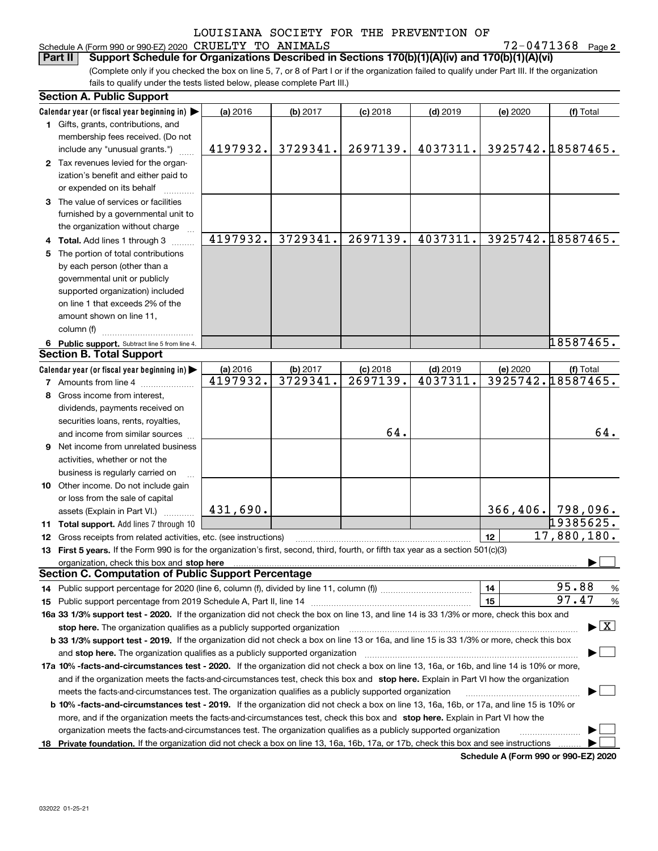#### Schedule A (Form 990 or 990-EZ) 2020 Page CRUELTY TO ANIMALS 72-0471368

**2**

(Complete only if you checked the box on line 5, 7, or 8 of Part I or if the organization failed to qualify under Part III. If the organization fails to qualify under the tests listed below, please complete Part III.) **Part II Support Schedule for Organizations Described in Sections 170(b)(1)(A)(iv) and 170(b)(1)(A)(vi)**

|    | <b>Section A. Public Support</b>                                                                                                                                                                                                                                                                                                                                             |          |          |            |            |                      |                                             |      |  |  |  |
|----|------------------------------------------------------------------------------------------------------------------------------------------------------------------------------------------------------------------------------------------------------------------------------------------------------------------------------------------------------------------------------|----------|----------|------------|------------|----------------------|---------------------------------------------|------|--|--|--|
|    | Calendar year (or fiscal year beginning in)                                                                                                                                                                                                                                                                                                                                  | (a) 2016 | (b) 2017 | $(c)$ 2018 | $(d)$ 2019 | (e) 2020             | (f) Total                                   |      |  |  |  |
|    | 1 Gifts, grants, contributions, and                                                                                                                                                                                                                                                                                                                                          |          |          |            |            |                      |                                             |      |  |  |  |
|    | membership fees received. (Do not                                                                                                                                                                                                                                                                                                                                            |          |          |            |            |                      |                                             |      |  |  |  |
|    | include any "unusual grants.")                                                                                                                                                                                                                                                                                                                                               | 4197932. | 3729341. | 2697139.   | 4037311.   | 3925742.18587465.    |                                             |      |  |  |  |
|    | 2 Tax revenues levied for the organ-                                                                                                                                                                                                                                                                                                                                         |          |          |            |            |                      |                                             |      |  |  |  |
|    | ization's benefit and either paid to                                                                                                                                                                                                                                                                                                                                         |          |          |            |            |                      |                                             |      |  |  |  |
|    | or expended on its behalf                                                                                                                                                                                                                                                                                                                                                    |          |          |            |            |                      |                                             |      |  |  |  |
|    | 3 The value of services or facilities                                                                                                                                                                                                                                                                                                                                        |          |          |            |            |                      |                                             |      |  |  |  |
|    | furnished by a governmental unit to                                                                                                                                                                                                                                                                                                                                          |          |          |            |            |                      |                                             |      |  |  |  |
|    | the organization without charge                                                                                                                                                                                                                                                                                                                                              |          |          |            |            |                      |                                             |      |  |  |  |
|    | <b>Total.</b> Add lines 1 through 3                                                                                                                                                                                                                                                                                                                                          | 4197932. | 3729341. | 2697139.   | 4037311.   | 3925742.18587465.    |                                             |      |  |  |  |
| 5. | The portion of total contributions                                                                                                                                                                                                                                                                                                                                           |          |          |            |            |                      |                                             |      |  |  |  |
|    | by each person (other than a                                                                                                                                                                                                                                                                                                                                                 |          |          |            |            |                      |                                             |      |  |  |  |
|    | governmental unit or publicly                                                                                                                                                                                                                                                                                                                                                |          |          |            |            |                      |                                             |      |  |  |  |
|    | supported organization) included                                                                                                                                                                                                                                                                                                                                             |          |          |            |            |                      |                                             |      |  |  |  |
|    | on line 1 that exceeds 2% of the                                                                                                                                                                                                                                                                                                                                             |          |          |            |            |                      |                                             |      |  |  |  |
|    | amount shown on line 11,                                                                                                                                                                                                                                                                                                                                                     |          |          |            |            |                      |                                             |      |  |  |  |
|    | column (f)                                                                                                                                                                                                                                                                                                                                                                   |          |          |            |            |                      |                                             |      |  |  |  |
|    | 6 Public support. Subtract line 5 from line 4.                                                                                                                                                                                                                                                                                                                               |          |          |            |            |                      | 18587465.                                   |      |  |  |  |
|    | <b>Section B. Total Support</b>                                                                                                                                                                                                                                                                                                                                              |          |          |            |            |                      |                                             |      |  |  |  |
|    | Calendar year (or fiscal year beginning in)                                                                                                                                                                                                                                                                                                                                  | (a) 2016 | (b) 2017 | $(c)$ 2018 | $(d)$ 2019 | (e) 2020             | (f) Total                                   |      |  |  |  |
|    | 7 Amounts from line 4                                                                                                                                                                                                                                                                                                                                                        | 4197932. | 3729341. | 2697139.   | 4037311.   | 3925742.18587465.    |                                             |      |  |  |  |
|    | 8 Gross income from interest,                                                                                                                                                                                                                                                                                                                                                |          |          |            |            |                      |                                             |      |  |  |  |
|    | dividends, payments received on                                                                                                                                                                                                                                                                                                                                              |          |          |            |            |                      |                                             |      |  |  |  |
|    | securities loans, rents, royalties,                                                                                                                                                                                                                                                                                                                                          |          |          |            |            |                      |                                             |      |  |  |  |
|    | and income from similar sources                                                                                                                                                                                                                                                                                                                                              |          |          | 64.        |            |                      |                                             | 64.  |  |  |  |
| 9  | Net income from unrelated business                                                                                                                                                                                                                                                                                                                                           |          |          |            |            |                      |                                             |      |  |  |  |
|    | activities, whether or not the                                                                                                                                                                                                                                                                                                                                               |          |          |            |            |                      |                                             |      |  |  |  |
|    | business is regularly carried on                                                                                                                                                                                                                                                                                                                                             |          |          |            |            |                      |                                             |      |  |  |  |
|    | 10 Other income. Do not include gain                                                                                                                                                                                                                                                                                                                                         |          |          |            |            |                      |                                             |      |  |  |  |
|    | or loss from the sale of capital                                                                                                                                                                                                                                                                                                                                             |          |          |            |            |                      |                                             |      |  |  |  |
|    | assets (Explain in Part VI.)                                                                                                                                                                                                                                                                                                                                                 | 431,690. |          |            |            | $366, 406.$ 798,096. | 19385625.                                   |      |  |  |  |
|    | 11 Total support. Add lines 7 through 10                                                                                                                                                                                                                                                                                                                                     |          |          |            |            | 12                   | 17,880,180.                                 |      |  |  |  |
|    | 12 Gross receipts from related activities, etc. (see instructions)                                                                                                                                                                                                                                                                                                           |          |          |            |            |                      |                                             |      |  |  |  |
|    | 13 First 5 years. If the Form 990 is for the organization's first, second, third, fourth, or fifth tax year as a section 501(c)(3)                                                                                                                                                                                                                                           |          |          |            |            |                      |                                             |      |  |  |  |
|    | organization, check this box and stop here<br><b>Section C. Computation of Public Support Percentage</b>                                                                                                                                                                                                                                                                     |          |          |            |            |                      |                                             |      |  |  |  |
|    |                                                                                                                                                                                                                                                                                                                                                                              |          |          |            |            | 14                   | 95.88                                       | $\%$ |  |  |  |
|    |                                                                                                                                                                                                                                                                                                                                                                              |          |          |            |            | 15                   | 97.47                                       | %    |  |  |  |
|    | 16a 33 1/3% support test - 2020. If the organization did not check the box on line 13, and line 14 is 33 1/3% or more, check this box and                                                                                                                                                                                                                                    |          |          |            |            |                      |                                             |      |  |  |  |
|    | stop here. The organization qualifies as a publicly supported organization                                                                                                                                                                                                                                                                                                   |          |          |            |            |                      | $\blacktriangleright$ $\lfloor$ X $\rfloor$ |      |  |  |  |
|    | b 33 1/3% support test - 2019. If the organization did not check a box on line 13 or 16a, and line 15 is 33 1/3% or more, check this box                                                                                                                                                                                                                                     |          |          |            |            |                      |                                             |      |  |  |  |
|    |                                                                                                                                                                                                                                                                                                                                                                              |          |          |            |            |                      |                                             |      |  |  |  |
|    | and stop here. The organization qualifies as a publicly supported organization manufaction manufacture manufacture manufacture manufacture manufacture manufacture manufacture manufacture manufacture manufacture manufacture<br>17a 10% -facts-and-circumstances test - 2020. If the organization did not check a box on line 13, 16a, or 16b, and line 14 is 10% or more, |          |          |            |            |                      |                                             |      |  |  |  |
|    | and if the organization meets the facts-and-circumstances test, check this box and stop here. Explain in Part VI how the organization                                                                                                                                                                                                                                        |          |          |            |            |                      |                                             |      |  |  |  |
|    | meets the facts-and-circumstances test. The organization qualifies as a publicly supported organization                                                                                                                                                                                                                                                                      |          |          |            |            |                      |                                             |      |  |  |  |
|    | b 10% -facts-and-circumstances test - 2019. If the organization did not check a box on line 13, 16a, 16b, or 17a, and line 15 is 10% or                                                                                                                                                                                                                                      |          |          |            |            |                      |                                             |      |  |  |  |
|    | more, and if the organization meets the facts-and-circumstances test, check this box and stop here. Explain in Part VI how the                                                                                                                                                                                                                                               |          |          |            |            |                      |                                             |      |  |  |  |
|    | organization meets the facts-and-circumstances test. The organization qualifies as a publicly supported organization                                                                                                                                                                                                                                                         |          |          |            |            |                      | .                                           |      |  |  |  |
|    | 18 Private foundation. If the organization did not check a box on line 13, 16a, 16b, 17a, or 17b, check this box and see instructions                                                                                                                                                                                                                                        |          |          |            |            |                      |                                             |      |  |  |  |

**Schedule A (Form 990 or 990-EZ) 2020**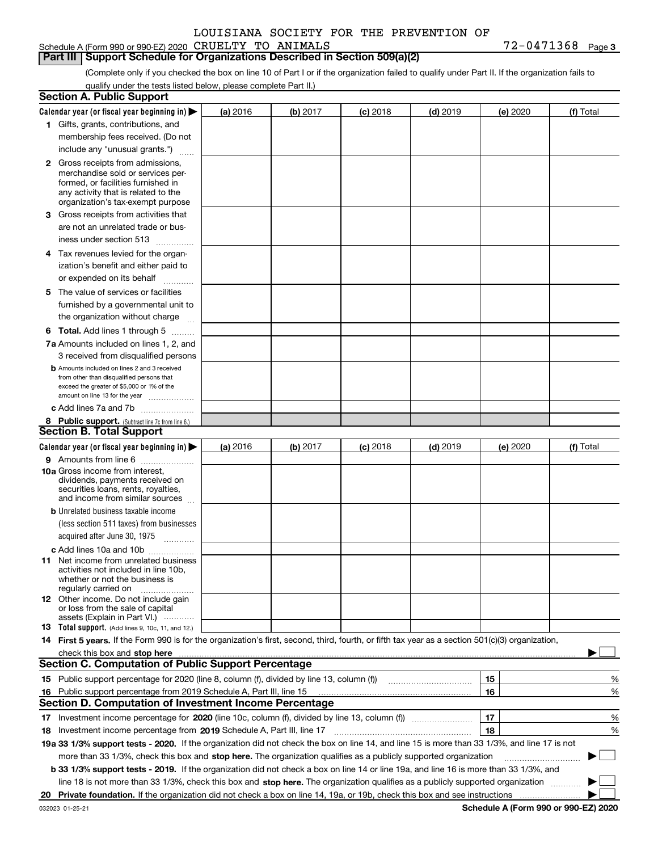|  |  | Schedule A (Form 990 or 990-EZ) 2020 $\,$ CRUELTY TO $\,$ ANIMALS | 1368<br>04 | Page 3 |
|--|--|-------------------------------------------------------------------|------------|--------|
|  |  |                                                                   |            |        |

#### **Part III Support Schedule for Organizations Described in Section 509(a)(2)**

(Complete only if you checked the box on line 10 of Part I or if the organization failed to qualify under Part II. If the organization fails to qualify under the tests listed below, please complete Part II.)

|    | <b>Section A. Public Support</b>                                                                                                                 |          |          |                 |            |          |           |
|----|--------------------------------------------------------------------------------------------------------------------------------------------------|----------|----------|-----------------|------------|----------|-----------|
|    | Calendar year (or fiscal year beginning in) $\blacktriangleright$                                                                                | (a) 2016 | (b) 2017 | <b>(c)</b> 2018 | $(d)$ 2019 | (e) 2020 | (f) Total |
|    | 1 Gifts, grants, contributions, and                                                                                                              |          |          |                 |            |          |           |
|    | membership fees received. (Do not                                                                                                                |          |          |                 |            |          |           |
|    | include any "unusual grants.")                                                                                                                   |          |          |                 |            |          |           |
|    | <b>2</b> Gross receipts from admissions,                                                                                                         |          |          |                 |            |          |           |
|    | merchandise sold or services per-                                                                                                                |          |          |                 |            |          |           |
|    | formed, or facilities furnished in                                                                                                               |          |          |                 |            |          |           |
|    | any activity that is related to the<br>organization's tax-exempt purpose                                                                         |          |          |                 |            |          |           |
|    | 3 Gross receipts from activities that                                                                                                            |          |          |                 |            |          |           |
|    | are not an unrelated trade or bus-                                                                                                               |          |          |                 |            |          |           |
|    | iness under section 513                                                                                                                          |          |          |                 |            |          |           |
|    | 4 Tax revenues levied for the organ-                                                                                                             |          |          |                 |            |          |           |
|    | ization's benefit and either paid to                                                                                                             |          |          |                 |            |          |           |
|    | or expended on its behalf<br>.                                                                                                                   |          |          |                 |            |          |           |
|    | 5 The value of services or facilities                                                                                                            |          |          |                 |            |          |           |
|    | furnished by a governmental unit to                                                                                                              |          |          |                 |            |          |           |
|    | the organization without charge                                                                                                                  |          |          |                 |            |          |           |
|    | <b>6 Total.</b> Add lines 1 through 5 $\dots$                                                                                                    |          |          |                 |            |          |           |
|    | 7a Amounts included on lines 1, 2, and                                                                                                           |          |          |                 |            |          |           |
|    | 3 received from disqualified persons                                                                                                             |          |          |                 |            |          |           |
|    | <b>b</b> Amounts included on lines 2 and 3 received                                                                                              |          |          |                 |            |          |           |
|    | from other than disqualified persons that                                                                                                        |          |          |                 |            |          |           |
|    | exceed the greater of \$5,000 or 1% of the                                                                                                       |          |          |                 |            |          |           |
|    | amount on line 13 for the year                                                                                                                   |          |          |                 |            |          |           |
|    | c Add lines 7a and 7b                                                                                                                            |          |          |                 |            |          |           |
|    | 8 Public support. (Subtract line 7c from line 6.)<br><b>Section B. Total Support</b>                                                             |          |          |                 |            |          |           |
|    |                                                                                                                                                  |          |          |                 |            |          |           |
|    | Calendar year (or fiscal year beginning in)                                                                                                      | (a) 2016 | (b) 2017 | <b>(c)</b> 2018 | $(d)$ 2019 | (e) 2020 | (f) Total |
|    | 9 Amounts from line 6<br>10a Gross income from interest,                                                                                         |          |          |                 |            |          |           |
|    | dividends, payments received on                                                                                                                  |          |          |                 |            |          |           |
|    | securities loans, rents, royalties,                                                                                                              |          |          |                 |            |          |           |
|    | and income from similar sources                                                                                                                  |          |          |                 |            |          |           |
|    | <b>b</b> Unrelated business taxable income                                                                                                       |          |          |                 |            |          |           |
|    | (less section 511 taxes) from businesses                                                                                                         |          |          |                 |            |          |           |
|    | acquired after June 30, 1975 [10001]                                                                                                             |          |          |                 |            |          |           |
|    | c Add lines 10a and 10b                                                                                                                          |          |          |                 |            |          |           |
|    | 11 Net income from unrelated business<br>activities not included in line 10b,                                                                    |          |          |                 |            |          |           |
|    | whether or not the business is                                                                                                                   |          |          |                 |            |          |           |
|    | regularly carried on                                                                                                                             |          |          |                 |            |          |           |
|    | <b>12</b> Other income. Do not include gain<br>or loss from the sale of capital                                                                  |          |          |                 |            |          |           |
|    | assets (Explain in Part VI.)                                                                                                                     |          |          |                 |            |          |           |
|    | 13 Total support. (Add lines 9, 10c, 11, and 12.)                                                                                                |          |          |                 |            |          |           |
|    | 14 First 5 years. If the Form 990 is for the organization's first, second, third, fourth, or fifth tax year as a section 501(c)(3) organization, |          |          |                 |            |          |           |
|    |                                                                                                                                                  |          |          |                 |            |          |           |
|    | <b>Section C. Computation of Public Support Percentage</b>                                                                                       |          |          |                 |            |          |           |
|    | 15 Public support percentage for 2020 (line 8, column (f), divided by line 13, column (f))                                                       |          |          |                 |            | 15       | %         |
| 16 | Public support percentage from 2019 Schedule A, Part III, line 15                                                                                |          |          |                 |            | 16       | %         |
|    | <b>Section D. Computation of Investment Income Percentage</b>                                                                                    |          |          |                 |            |          |           |
|    | 17 Investment income percentage for 2020 (line 10c, column (f), divided by line 13, column (f))                                                  |          |          |                 |            | 17       | %         |
|    | 18 Investment income percentage from 2019 Schedule A, Part III, line 17                                                                          |          |          |                 |            | 18       | %         |
|    | 19a 33 1/3% support tests - 2020. If the organization did not check the box on line 14, and line 15 is more than 33 1/3%, and line 17 is not     |          |          |                 |            |          |           |
|    | more than 33 1/3%, check this box and stop here. The organization qualifies as a publicly supported organization                                 |          |          |                 |            |          | $\sim$ 1  |
|    | b 33 1/3% support tests - 2019. If the organization did not check a box on line 14 or line 19a, and line 16 is more than 33 1/3%, and            |          |          |                 |            |          |           |
|    | line 18 is not more than 33 1/3%, check this box and stop here. The organization qualifies as a publicly supported organization                  |          |          |                 |            |          |           |
| 20 |                                                                                                                                                  |          |          |                 |            |          |           |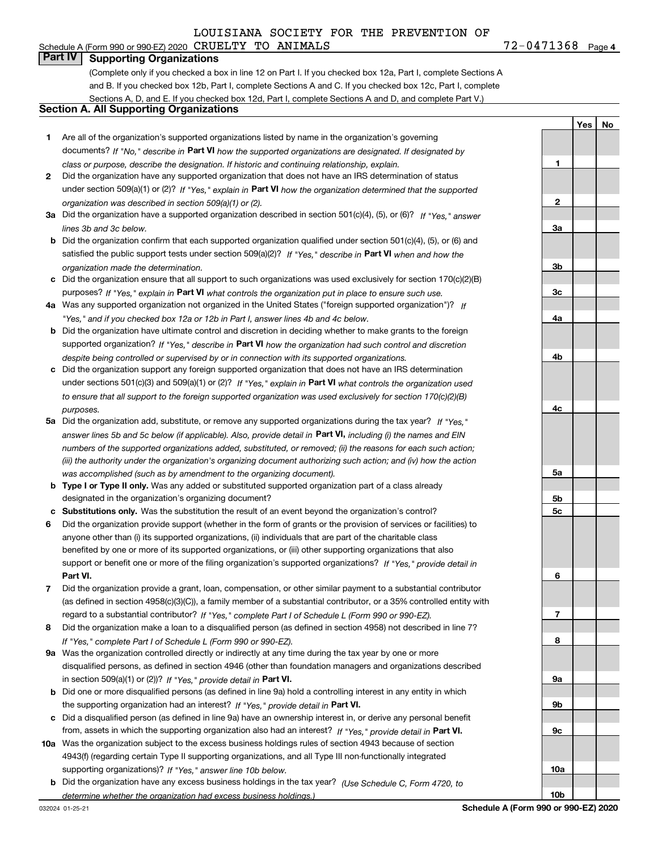## Schedule A (Form 990 or 990-EZ) 2020 Page CRUELTY TO ANIMALS 72-0471368

**Part IV Supporting Organizations**

(Complete only if you checked a box in line 12 on Part I. If you checked box 12a, Part I, complete Sections A and B. If you checked box 12b, Part I, complete Sections A and C. If you checked box 12c, Part I, complete Sections A, D, and E. If you checked box 12d, Part I, complete Sections A and D, and complete Part V.)

#### **Section A. All Supporting Organizations**

- **1** Are all of the organization's supported organizations listed by name in the organization's governing documents? If "No," describe in **Part VI** how the supported organizations are designated. If designated by *class or purpose, describe the designation. If historic and continuing relationship, explain.*
- **2** Did the organization have any supported organization that does not have an IRS determination of status under section 509(a)(1) or (2)? If "Yes," explain in Part VI how the organization determined that the supported *organization was described in section 509(a)(1) or (2).*
- **3a** Did the organization have a supported organization described in section 501(c)(4), (5), or (6)? If "Yes," answer *lines 3b and 3c below.*
- **b** Did the organization confirm that each supported organization qualified under section 501(c)(4), (5), or (6) and satisfied the public support tests under section 509(a)(2)? If "Yes," describe in **Part VI** when and how the *organization made the determination.*
- **c**Did the organization ensure that all support to such organizations was used exclusively for section 170(c)(2)(B) purposes? If "Yes," explain in **Part VI** what controls the organization put in place to ensure such use.
- **4a***If* Was any supported organization not organized in the United States ("foreign supported organization")? *"Yes," and if you checked box 12a or 12b in Part I, answer lines 4b and 4c below.*
- **b** Did the organization have ultimate control and discretion in deciding whether to make grants to the foreign supported organization? If "Yes," describe in **Part VI** how the organization had such control and discretion *despite being controlled or supervised by or in connection with its supported organizations.*
- **c** Did the organization support any foreign supported organization that does not have an IRS determination under sections 501(c)(3) and 509(a)(1) or (2)? If "Yes," explain in **Part VI** what controls the organization used *to ensure that all support to the foreign supported organization was used exclusively for section 170(c)(2)(B) purposes.*
- **5a***If "Yes,"* Did the organization add, substitute, or remove any supported organizations during the tax year? answer lines 5b and 5c below (if applicable). Also, provide detail in **Part VI,** including (i) the names and EIN *numbers of the supported organizations added, substituted, or removed; (ii) the reasons for each such action; (iii) the authority under the organization's organizing document authorizing such action; and (iv) how the action was accomplished (such as by amendment to the organizing document).*
- **b** Type I or Type II only. Was any added or substituted supported organization part of a class already designated in the organization's organizing document?
- **cSubstitutions only.**  Was the substitution the result of an event beyond the organization's control?
- **6** Did the organization provide support (whether in the form of grants or the provision of services or facilities) to **Part VI.** *If "Yes," provide detail in* support or benefit one or more of the filing organization's supported organizations? anyone other than (i) its supported organizations, (ii) individuals that are part of the charitable class benefited by one or more of its supported organizations, or (iii) other supporting organizations that also
- **7**Did the organization provide a grant, loan, compensation, or other similar payment to a substantial contributor *If "Yes," complete Part I of Schedule L (Form 990 or 990-EZ).* regard to a substantial contributor? (as defined in section 4958(c)(3)(C)), a family member of a substantial contributor, or a 35% controlled entity with
- **8** Did the organization make a loan to a disqualified person (as defined in section 4958) not described in line 7? *If "Yes," complete Part I of Schedule L (Form 990 or 990-EZ).*
- **9a** Was the organization controlled directly or indirectly at any time during the tax year by one or more in section 509(a)(1) or (2))? If "Yes," *provide detail in* <code>Part VI.</code> disqualified persons, as defined in section 4946 (other than foundation managers and organizations described
- **b** Did one or more disqualified persons (as defined in line 9a) hold a controlling interest in any entity in which the supporting organization had an interest? If "Yes," provide detail in P**art VI**.
- **c**Did a disqualified person (as defined in line 9a) have an ownership interest in, or derive any personal benefit from, assets in which the supporting organization also had an interest? If "Yes," provide detail in P**art VI.**
- **10a** Was the organization subject to the excess business holdings rules of section 4943 because of section supporting organizations)? If "Yes," answer line 10b below. 4943(f) (regarding certain Type II supporting organizations, and all Type III non-functionally integrated
- **b** Did the organization have any excess business holdings in the tax year? (Use Schedule C, Form 4720, to *determine whether the organization had excess business holdings.)*

|                | Yes | <b>No</b> |  |
|----------------|-----|-----------|--|
|                |     |           |  |
| 1              |     |           |  |
|                |     |           |  |
| $\overline{2}$ |     |           |  |
|                |     |           |  |
| <u>3a</u>      |     |           |  |
|                |     |           |  |
| <u>3b</u>      |     |           |  |
|                |     |           |  |
| $\frac{3c}{2}$ |     |           |  |
|                |     |           |  |
| 4a             |     |           |  |
|                |     |           |  |
| 4 <sub>b</sub> |     |           |  |
|                |     |           |  |
| 4c             |     |           |  |
|                |     |           |  |
| <u>5a</u>      |     |           |  |
|                |     |           |  |
| <u>5b</u>      |     |           |  |
| <u>5c</u>      |     |           |  |
|                |     |           |  |
| $\overline{6}$ |     |           |  |
|                |     |           |  |

**7**

**8**

**9a**

**9b**

**9c**

**10a**

**10b**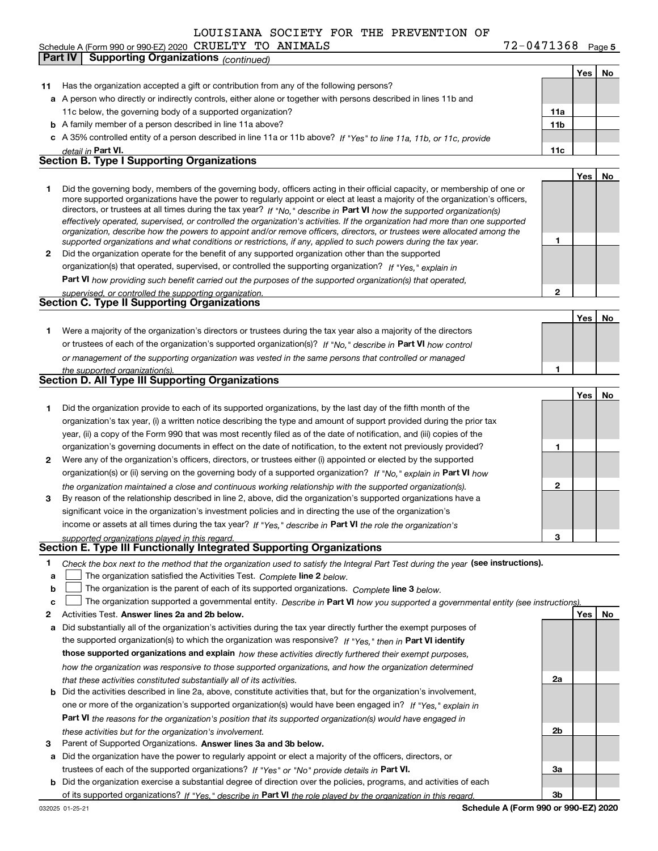Schedule A (Form 990 or 990-EZ) 2020 Page CRUELTY TO ANIMALS 72-0471368 **Part IV** Supporting Organizations *(continued)* 

**5**

**Yes No**

| 11           | Has the organization accepted a gift or contribution from any of the following persons?                                                                                                                                                                                                                                                                                                                                                                                                                                                                                                                                                              |                 |     |    |
|--------------|------------------------------------------------------------------------------------------------------------------------------------------------------------------------------------------------------------------------------------------------------------------------------------------------------------------------------------------------------------------------------------------------------------------------------------------------------------------------------------------------------------------------------------------------------------------------------------------------------------------------------------------------------|-----------------|-----|----|
|              | a A person who directly or indirectly controls, either alone or together with persons described in lines 11b and                                                                                                                                                                                                                                                                                                                                                                                                                                                                                                                                     |                 |     |    |
|              | 11c below, the governing body of a supported organization?                                                                                                                                                                                                                                                                                                                                                                                                                                                                                                                                                                                           | 11a             |     |    |
|              | <b>b</b> A family member of a person described in line 11a above?                                                                                                                                                                                                                                                                                                                                                                                                                                                                                                                                                                                    | 11 <sub>b</sub> |     |    |
|              | c A 35% controlled entity of a person described in line 11a or 11b above? If "Yes" to line 11a, 11b, or 11c, provide                                                                                                                                                                                                                                                                                                                                                                                                                                                                                                                                 |                 |     |    |
|              | detail in Part VI.                                                                                                                                                                                                                                                                                                                                                                                                                                                                                                                                                                                                                                   | 11c             |     |    |
|              | <b>Section B. Type I Supporting Organizations</b>                                                                                                                                                                                                                                                                                                                                                                                                                                                                                                                                                                                                    |                 |     |    |
|              |                                                                                                                                                                                                                                                                                                                                                                                                                                                                                                                                                                                                                                                      |                 | Yes | No |
| 1.           | Did the governing body, members of the governing body, officers acting in their official capacity, or membership of one or<br>more supported organizations have the power to regularly appoint or elect at least a majority of the organization's officers,<br>directors, or trustees at all times during the tax year? If "No," describe in Part VI how the supported organization(s)<br>effectively operated, supervised, or controlled the organization's activities. If the organization had more than one supported<br>organization, describe how the powers to appoint and/or remove officers, directors, or trustees were allocated among the |                 |     |    |
|              | supported organizations and what conditions or restrictions, if any, applied to such powers during the tax year.                                                                                                                                                                                                                                                                                                                                                                                                                                                                                                                                     | 1               |     |    |
| $\mathbf{2}$ | Did the organization operate for the benefit of any supported organization other than the supported                                                                                                                                                                                                                                                                                                                                                                                                                                                                                                                                                  |                 |     |    |
|              | organization(s) that operated, supervised, or controlled the supporting organization? If "Yes," explain in                                                                                                                                                                                                                                                                                                                                                                                                                                                                                                                                           |                 |     |    |
|              | Part VI how providing such benefit carried out the purposes of the supported organization(s) that operated,                                                                                                                                                                                                                                                                                                                                                                                                                                                                                                                                          |                 |     |    |
|              | supervised, or controlled the supporting organization.<br><b>Section C. Type II Supporting Organizations</b>                                                                                                                                                                                                                                                                                                                                                                                                                                                                                                                                         | 2               |     |    |
|              |                                                                                                                                                                                                                                                                                                                                                                                                                                                                                                                                                                                                                                                      |                 |     |    |
|              |                                                                                                                                                                                                                                                                                                                                                                                                                                                                                                                                                                                                                                                      |                 | Yes | No |
| 1.           | Were a majority of the organization's directors or trustees during the tax year also a majority of the directors                                                                                                                                                                                                                                                                                                                                                                                                                                                                                                                                     |                 |     |    |
|              | or trustees of each of the organization's supported organization(s)? If "No," describe in Part VI how control                                                                                                                                                                                                                                                                                                                                                                                                                                                                                                                                        |                 |     |    |
|              | or management of the supporting organization was vested in the same persons that controlled or managed                                                                                                                                                                                                                                                                                                                                                                                                                                                                                                                                               |                 |     |    |
|              | the supported organization(s).<br><b>Section D. All Type III Supporting Organizations</b>                                                                                                                                                                                                                                                                                                                                                                                                                                                                                                                                                            | 1               |     |    |
|              |                                                                                                                                                                                                                                                                                                                                                                                                                                                                                                                                                                                                                                                      |                 |     |    |
|              |                                                                                                                                                                                                                                                                                                                                                                                                                                                                                                                                                                                                                                                      |                 | Yes | No |
| 1.           | Did the organization provide to each of its supported organizations, by the last day of the fifth month of the                                                                                                                                                                                                                                                                                                                                                                                                                                                                                                                                       |                 |     |    |
|              | organization's tax year, (i) a written notice describing the type and amount of support provided during the prior tax                                                                                                                                                                                                                                                                                                                                                                                                                                                                                                                                |                 |     |    |
|              | year, (ii) a copy of the Form 990 that was most recently filed as of the date of notification, and (iii) copies of the                                                                                                                                                                                                                                                                                                                                                                                                                                                                                                                               |                 |     |    |
|              | organization's governing documents in effect on the date of notification, to the extent not previously provided?                                                                                                                                                                                                                                                                                                                                                                                                                                                                                                                                     | 1               |     |    |
| 2            | Were any of the organization's officers, directors, or trustees either (i) appointed or elected by the supported                                                                                                                                                                                                                                                                                                                                                                                                                                                                                                                                     |                 |     |    |
|              | organization(s) or (ii) serving on the governing body of a supported organization? If "No," explain in Part VI how                                                                                                                                                                                                                                                                                                                                                                                                                                                                                                                                   |                 |     |    |
| 3            | the organization maintained a close and continuous working relationship with the supported organization(s).<br>By reason of the relationship described in line 2, above, did the organization's supported organizations have a                                                                                                                                                                                                                                                                                                                                                                                                                       | $\mathbf{2}$    |     |    |
|              | significant voice in the organization's investment policies and in directing the use of the organization's                                                                                                                                                                                                                                                                                                                                                                                                                                                                                                                                           |                 |     |    |
|              | income or assets at all times during the tax year? If "Yes," describe in Part VI the role the organization's                                                                                                                                                                                                                                                                                                                                                                                                                                                                                                                                         |                 |     |    |
|              | supported organizations played in this regard.                                                                                                                                                                                                                                                                                                                                                                                                                                                                                                                                                                                                       | 3               |     |    |
|              | Section E. Type III Functionally Integrated Supporting Organizations                                                                                                                                                                                                                                                                                                                                                                                                                                                                                                                                                                                 |                 |     |    |
| 1<br>a<br>b  | Check the box next to the method that the organization used to satisfy the Integral Part Test during the year (see instructions).<br>The organization satisfied the Activities Test. Complete line 2 below.<br>The organization is the parent of each of its supported organizations. Complete line 3 below.                                                                                                                                                                                                                                                                                                                                         |                 |     |    |
| c            | The organization supported a governmental entity. Describe in Part VI how you supported a governmental entity (see instructions).                                                                                                                                                                                                                                                                                                                                                                                                                                                                                                                    |                 |     |    |
| 2            | Activities Test. Answer lines 2a and 2b below.                                                                                                                                                                                                                                                                                                                                                                                                                                                                                                                                                                                                       |                 | Yes | No |
| а            | Did substantially all of the organization's activities during the tax year directly further the exempt purposes of                                                                                                                                                                                                                                                                                                                                                                                                                                                                                                                                   |                 |     |    |
|              | the supported organization(s) to which the organization was responsive? If "Yes," then in Part VI identify                                                                                                                                                                                                                                                                                                                                                                                                                                                                                                                                           |                 |     |    |
|              | those supported organizations and explain how these activities directly furthered their exempt purposes,                                                                                                                                                                                                                                                                                                                                                                                                                                                                                                                                             |                 |     |    |
|              | how the organization was responsive to those supported organizations, and how the organization determined                                                                                                                                                                                                                                                                                                                                                                                                                                                                                                                                            |                 |     |    |
|              | that these activities constituted substantially all of its activities.                                                                                                                                                                                                                                                                                                                                                                                                                                                                                                                                                                               | 2a              |     |    |
|              | Did the activities described in line 2a, above, constitute activities that, but for the organization's involvement,                                                                                                                                                                                                                                                                                                                                                                                                                                                                                                                                  |                 |     |    |
|              | one or more of the organization's supported organization(s) would have been engaged in? If "Yes," explain in                                                                                                                                                                                                                                                                                                                                                                                                                                                                                                                                         |                 |     |    |
|              | <b>Part VI</b> the reasons for the organization's position that its supported organization(s) would have engaged in                                                                                                                                                                                                                                                                                                                                                                                                                                                                                                                                  |                 |     |    |
|              | these activities but for the organization's involvement.                                                                                                                                                                                                                                                                                                                                                                                                                                                                                                                                                                                             | 2b              |     |    |
| 3            | Parent of Supported Organizations. Answer lines 3a and 3b below.                                                                                                                                                                                                                                                                                                                                                                                                                                                                                                                                                                                     |                 |     |    |
| а            | Did the organization have the power to regularly appoint or elect a majority of the officers, directors, or                                                                                                                                                                                                                                                                                                                                                                                                                                                                                                                                          |                 |     |    |
|              | trustees of each of the supported organizations? If "Yes" or "No" provide details in Part VI.                                                                                                                                                                                                                                                                                                                                                                                                                                                                                                                                                        | 3a              |     |    |
|              | <b>b</b> Did the organization exercise a substantial degree of direction over the policies, programs, and activities of each                                                                                                                                                                                                                                                                                                                                                                                                                                                                                                                         |                 |     |    |
|              | of its supported organizations? If "Yes," describe in Part VI the role played by the organization in this regard.                                                                                                                                                                                                                                                                                                                                                                                                                                                                                                                                    | 3b              |     |    |
|              | Schedule A (Form 990 or 990-EZ) 2020<br>032025 01-25-21                                                                                                                                                                                                                                                                                                                                                                                                                                                                                                                                                                                              |                 |     |    |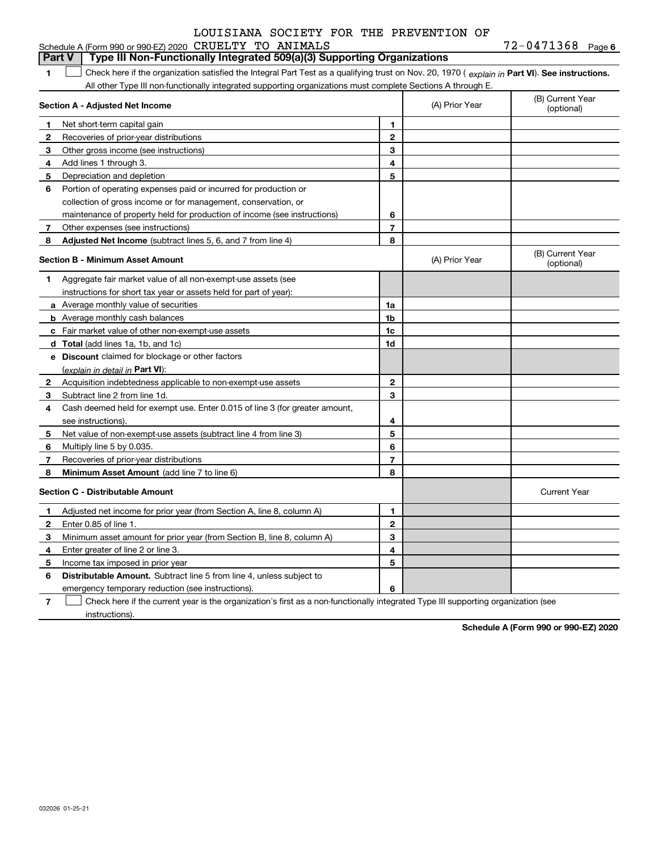#### Schedule A (Form 990 or 990-EZ) 2020 CRUELTY LOUISIANA SOCIETY FOR THE PREVENTION OF

TO ANIMALS

|              | Type III Non-Functionally Integrated 509(a)(3) Supporting Organizations<br>Part V                                                              |                |                |                                |  |  |  |
|--------------|------------------------------------------------------------------------------------------------------------------------------------------------|----------------|----------------|--------------------------------|--|--|--|
| 1.           | Check here if the organization satisfied the Integral Part Test as a qualifying trust on Nov. 20, 1970 (explain in Part VI). See instructions. |                |                |                                |  |  |  |
|              | All other Type III non-functionally integrated supporting organizations must complete Sections A through E.                                    |                |                |                                |  |  |  |
|              | Section A - Adjusted Net Income                                                                                                                |                | (A) Prior Year | (B) Current Year<br>(optional) |  |  |  |
| 1            | Net short-term capital gain                                                                                                                    | 1              |                |                                |  |  |  |
| $\mathbf{2}$ | Recoveries of prior-year distributions                                                                                                         | $\mathbf{2}$   |                |                                |  |  |  |
| 3            | Other gross income (see instructions)                                                                                                          | 3              |                |                                |  |  |  |
| 4            | Add lines 1 through 3.                                                                                                                         | 4              |                |                                |  |  |  |
| 5            | Depreciation and depletion                                                                                                                     | 5              |                |                                |  |  |  |
| 6            | Portion of operating expenses paid or incurred for production or                                                                               |                |                |                                |  |  |  |
|              | collection of gross income or for management, conservation, or                                                                                 |                |                |                                |  |  |  |
|              | maintenance of property held for production of income (see instructions)                                                                       | 6              |                |                                |  |  |  |
| 7            | Other expenses (see instructions)                                                                                                              | $\overline{7}$ |                |                                |  |  |  |
| 8            | Adjusted Net Income (subtract lines 5, 6, and 7 from line 4)                                                                                   | 8              |                |                                |  |  |  |
|              | <b>Section B - Minimum Asset Amount</b>                                                                                                        |                | (A) Prior Year | (B) Current Year<br>(optional) |  |  |  |
| 1            | Aggregate fair market value of all non-exempt-use assets (see                                                                                  |                |                |                                |  |  |  |
|              | instructions for short tax year or assets held for part of year):                                                                              |                |                |                                |  |  |  |
|              | <b>a</b> Average monthly value of securities                                                                                                   | 1a             |                |                                |  |  |  |
|              | <b>b</b> Average monthly cash balances                                                                                                         | 1 <sub>b</sub> |                |                                |  |  |  |
|              | c Fair market value of other non-exempt-use assets                                                                                             | 1c             |                |                                |  |  |  |
|              | <b>d</b> Total (add lines 1a, 1b, and 1c)                                                                                                      | 1d             |                |                                |  |  |  |
|              | e Discount claimed for blockage or other factors                                                                                               |                |                |                                |  |  |  |
|              | (explain in detail in Part VI):                                                                                                                |                |                |                                |  |  |  |
| $\mathbf{2}$ | Acquisition indebtedness applicable to non-exempt-use assets                                                                                   | $\mathbf{2}$   |                |                                |  |  |  |
| 3            | Subtract line 2 from line 1d.                                                                                                                  | 3              |                |                                |  |  |  |
| 4            | Cash deemed held for exempt use. Enter 0.015 of line 3 (for greater amount,                                                                    |                |                |                                |  |  |  |
|              | see instructions).                                                                                                                             | 4              |                |                                |  |  |  |
| 5            | Net value of non-exempt-use assets (subtract line 4 from line 3)                                                                               | 5              |                |                                |  |  |  |
| 6            | Multiply line 5 by 0.035.                                                                                                                      | 6              |                |                                |  |  |  |
| 7            | Recoveries of prior-year distributions                                                                                                         | $\overline{7}$ |                |                                |  |  |  |
| 8            | Minimum Asset Amount (add line 7 to line 6)                                                                                                    | 8              |                |                                |  |  |  |
|              | <b>Section C - Distributable Amount</b>                                                                                                        |                |                | <b>Current Year</b>            |  |  |  |
| $\mathbf 1$  | Adjusted net income for prior year (from Section A, line 8, column A)                                                                          | 1              |                |                                |  |  |  |
| $\mathbf{2}$ | Enter 0.85 of line 1.                                                                                                                          | $\mathbf{2}$   |                |                                |  |  |  |
| 3            | Minimum asset amount for prior year (from Section B, line 8, column A)                                                                         | 3              |                |                                |  |  |  |
| 4            | Enter greater of line 2 or line 3.                                                                                                             | 4              |                |                                |  |  |  |
| 5            | Income tax imposed in prior year                                                                                                               | 5              |                |                                |  |  |  |
| 6            | <b>Distributable Amount.</b> Subtract line 5 from line 4, unless subject to                                                                    |                |                |                                |  |  |  |
|              | emergency temporary reduction (see instructions).                                                                                              | 6              |                |                                |  |  |  |

**7**Check here if the current year is the organization's first as a non-functionally integrated Type III supporting organization (see instructions).

**Schedule A (Form 990 or 990-EZ) 2020**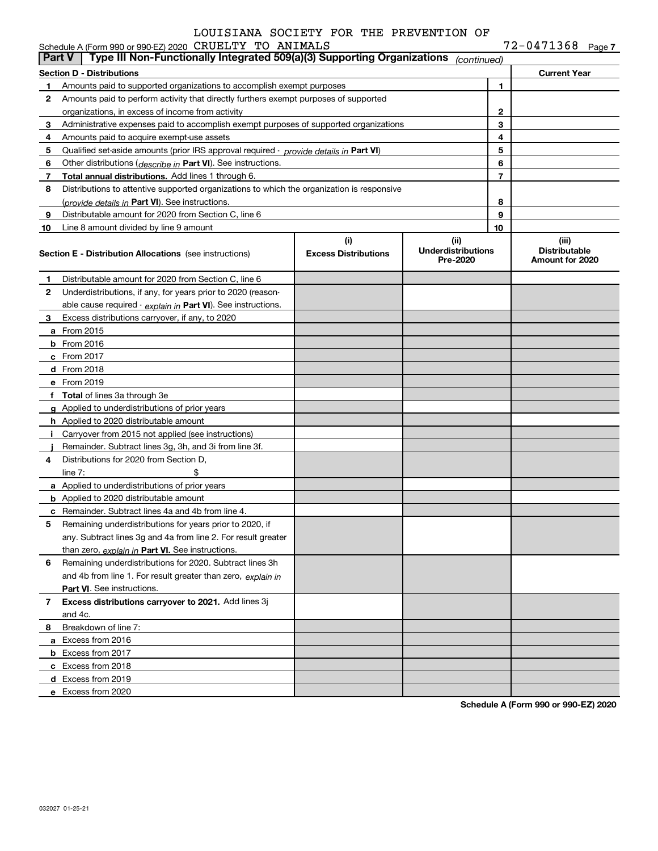| <b>Part V</b> | Schedule A (Form 990 or 990-EZ) 2020 CRUELTY TO ANIMALS<br>Type III Non-Functionally Integrated 509(a)(3) Supporting Organizations                            |                             |                                       |                | $72 - 0471368$ Page 7                   |
|---------------|---------------------------------------------------------------------------------------------------------------------------------------------------------------|-----------------------------|---------------------------------------|----------------|-----------------------------------------|
|               |                                                                                                                                                               |                             | (continued)                           |                |                                         |
| 1.            | <b>Section D - Distributions</b>                                                                                                                              |                             |                                       | 1              | <b>Current Year</b>                     |
| 2             | Amounts paid to supported organizations to accomplish exempt purposes<br>Amounts paid to perform activity that directly furthers exempt purposes of supported |                             |                                       |                |                                         |
|               | organizations, in excess of income from activity                                                                                                              |                             | $\mathbf{2}$                          |                |                                         |
| 3             | Administrative expenses paid to accomplish exempt purposes of supported organizations                                                                         |                             | 3                                     |                |                                         |
| 4             | Amounts paid to acquire exempt-use assets                                                                                                                     |                             |                                       | 4              |                                         |
| 5             | Qualified set-aside amounts (prior IRS approval required - provide details in Part VI)                                                                        |                             |                                       | 5              |                                         |
| 6             | Other distributions ( <i>describe in</i> Part VI). See instructions.                                                                                          |                             |                                       | 6              |                                         |
| 7             | Total annual distributions. Add lines 1 through 6.                                                                                                            |                             |                                       | $\overline{7}$ |                                         |
| 8             | Distributions to attentive supported organizations to which the organization is responsive                                                                    |                             |                                       |                |                                         |
|               | (provide details in Part VI). See instructions.                                                                                                               |                             |                                       | 8              |                                         |
| 9             | Distributable amount for 2020 from Section C, line 6                                                                                                          |                             |                                       | 9              |                                         |
| 10            | Line 8 amount divided by line 9 amount                                                                                                                        |                             |                                       | 10             |                                         |
|               |                                                                                                                                                               | (i)                         | (ii)                                  |                | (iii)                                   |
|               | <b>Section E - Distribution Allocations</b> (see instructions)                                                                                                | <b>Excess Distributions</b> | <b>Underdistributions</b><br>Pre-2020 |                | <b>Distributable</b><br>Amount for 2020 |
| 1             | Distributable amount for 2020 from Section C, line 6                                                                                                          |                             |                                       |                |                                         |
| 2             | Underdistributions, if any, for years prior to 2020 (reason-                                                                                                  |                             |                                       |                |                                         |
|               | able cause required $\cdot$ explain in Part VI). See instructions.                                                                                            |                             |                                       |                |                                         |
| З.            | Excess distributions carryover, if any, to 2020                                                                                                               |                             |                                       |                |                                         |
|               | <b>a</b> From 2015                                                                                                                                            |                             |                                       |                |                                         |
|               | <b>b</b> From 2016                                                                                                                                            |                             |                                       |                |                                         |
|               | $c$ From 2017                                                                                                                                                 |                             |                                       |                |                                         |
|               | d From 2018                                                                                                                                                   |                             |                                       |                |                                         |
|               | e From 2019                                                                                                                                                   |                             |                                       |                |                                         |
|               | f Total of lines 3a through 3e                                                                                                                                |                             |                                       |                |                                         |
|               | g Applied to underdistributions of prior years                                                                                                                |                             |                                       |                |                                         |
|               | <b>h</b> Applied to 2020 distributable amount                                                                                                                 |                             |                                       |                |                                         |
|               | Carryover from 2015 not applied (see instructions)                                                                                                            |                             |                                       |                |                                         |
|               | Remainder. Subtract lines 3g, 3h, and 3i from line 3f.                                                                                                        |                             |                                       |                |                                         |
| 4             | Distributions for 2020 from Section D.                                                                                                                        |                             |                                       |                |                                         |
|               | \$<br>line $7:$                                                                                                                                               |                             |                                       |                |                                         |
|               | a Applied to underdistributions of prior years                                                                                                                |                             |                                       |                |                                         |
|               | <b>b</b> Applied to 2020 distributable amount                                                                                                                 |                             |                                       |                |                                         |
|               | <b>c</b> Remainder. Subtract lines 4a and 4b from line 4.                                                                                                     |                             |                                       |                |                                         |
|               | Remaining underdistributions for years prior to 2020, if                                                                                                      |                             |                                       |                |                                         |
|               | any. Subtract lines 3q and 4a from line 2. For result greater                                                                                                 |                             |                                       |                |                                         |
|               | than zero, explain in Part VI. See instructions.                                                                                                              |                             |                                       |                |                                         |
| 6             | Remaining underdistributions for 2020. Subtract lines 3h                                                                                                      |                             |                                       |                |                                         |
|               | and 4b from line 1. For result greater than zero, explain in                                                                                                  |                             |                                       |                |                                         |
|               | Part VI. See instructions.                                                                                                                                    |                             |                                       |                |                                         |
| $7^{\circ}$   | <b>Excess distributions carryover to 2021.</b> Add lines 3j                                                                                                   |                             |                                       |                |                                         |
|               | and 4c.                                                                                                                                                       |                             |                                       |                |                                         |
| 8             | Breakdown of line 7:                                                                                                                                          |                             |                                       |                |                                         |
|               | a Excess from 2016                                                                                                                                            |                             |                                       |                |                                         |
|               | <b>b</b> Excess from 2017                                                                                                                                     |                             |                                       |                |                                         |
|               | c Excess from 2018                                                                                                                                            |                             |                                       |                |                                         |
|               | d Excess from 2019                                                                                                                                            |                             |                                       |                |                                         |
|               | e Excess from 2020                                                                                                                                            |                             |                                       |                |                                         |
|               |                                                                                                                                                               |                             |                                       |                |                                         |

**Schedule A (Form 990 or 990-EZ) 2020**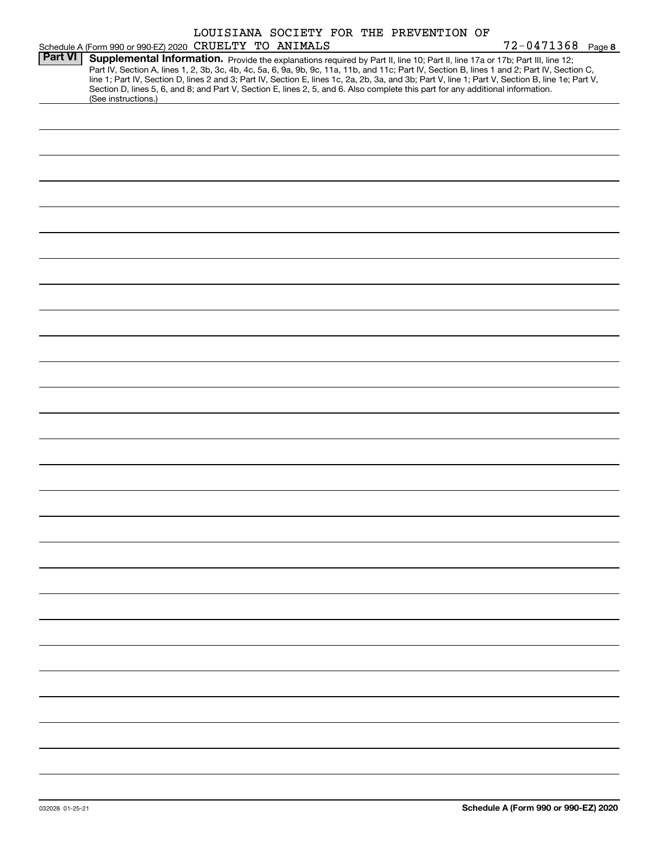|                |                                                                                                                                                                                                                                                                                                                                                                                                                                   |  |  | LOUISIANA SOCIETY FOR THE PREVENTION OF |                       |  |
|----------------|-----------------------------------------------------------------------------------------------------------------------------------------------------------------------------------------------------------------------------------------------------------------------------------------------------------------------------------------------------------------------------------------------------------------------------------|--|--|-----------------------------------------|-----------------------|--|
|                | Schedule A (Form 990 or 990-EZ) 2020 CRUELTY TO ANIMALS                                                                                                                                                                                                                                                                                                                                                                           |  |  |                                         | $72 - 0471368$ Page 8 |  |
| <b>Part VI</b> | Supplemental Information. Provide the explanations required by Part II, line 10; Part II, line 17a or 17b; Part III, line 12;<br>Part IV, Section A, lines 1, 2, 3b, 3c, 4b, 4c, 5a, 6, 9a, 9b, 9c, 11a, 11b, and 11c; Part IV, Section B, lines 1 and 2; Part IV, Section C,<br>line 1; Part IV, Section D, lines 2 and 3; Part IV, Section E, lines 1c, 2a, 2b, 3a, and 3b; Part V, line 1; Part V, Section B, line 1e; Part V, |  |  |                                         |                       |  |
|                | Section D, lines 5, 6, and 8; and Part V, Section E, lines 2, 5, and 6. Also complete this part for any additional information.<br>(See instructions.)                                                                                                                                                                                                                                                                            |  |  |                                         |                       |  |
|                |                                                                                                                                                                                                                                                                                                                                                                                                                                   |  |  |                                         |                       |  |
|                |                                                                                                                                                                                                                                                                                                                                                                                                                                   |  |  |                                         |                       |  |
|                |                                                                                                                                                                                                                                                                                                                                                                                                                                   |  |  |                                         |                       |  |
|                |                                                                                                                                                                                                                                                                                                                                                                                                                                   |  |  |                                         |                       |  |
|                |                                                                                                                                                                                                                                                                                                                                                                                                                                   |  |  |                                         |                       |  |
|                |                                                                                                                                                                                                                                                                                                                                                                                                                                   |  |  |                                         |                       |  |
|                |                                                                                                                                                                                                                                                                                                                                                                                                                                   |  |  |                                         |                       |  |
|                |                                                                                                                                                                                                                                                                                                                                                                                                                                   |  |  |                                         |                       |  |
|                |                                                                                                                                                                                                                                                                                                                                                                                                                                   |  |  |                                         |                       |  |
|                |                                                                                                                                                                                                                                                                                                                                                                                                                                   |  |  |                                         |                       |  |
|                |                                                                                                                                                                                                                                                                                                                                                                                                                                   |  |  |                                         |                       |  |
|                |                                                                                                                                                                                                                                                                                                                                                                                                                                   |  |  |                                         |                       |  |
|                |                                                                                                                                                                                                                                                                                                                                                                                                                                   |  |  |                                         |                       |  |
|                |                                                                                                                                                                                                                                                                                                                                                                                                                                   |  |  |                                         |                       |  |
|                |                                                                                                                                                                                                                                                                                                                                                                                                                                   |  |  |                                         |                       |  |
|                |                                                                                                                                                                                                                                                                                                                                                                                                                                   |  |  |                                         |                       |  |
|                |                                                                                                                                                                                                                                                                                                                                                                                                                                   |  |  |                                         |                       |  |
|                |                                                                                                                                                                                                                                                                                                                                                                                                                                   |  |  |                                         |                       |  |
|                |                                                                                                                                                                                                                                                                                                                                                                                                                                   |  |  |                                         |                       |  |
|                |                                                                                                                                                                                                                                                                                                                                                                                                                                   |  |  |                                         |                       |  |
|                |                                                                                                                                                                                                                                                                                                                                                                                                                                   |  |  |                                         |                       |  |
|                |                                                                                                                                                                                                                                                                                                                                                                                                                                   |  |  |                                         |                       |  |
|                |                                                                                                                                                                                                                                                                                                                                                                                                                                   |  |  |                                         |                       |  |
|                |                                                                                                                                                                                                                                                                                                                                                                                                                                   |  |  |                                         |                       |  |
|                |                                                                                                                                                                                                                                                                                                                                                                                                                                   |  |  |                                         |                       |  |
|                |                                                                                                                                                                                                                                                                                                                                                                                                                                   |  |  |                                         |                       |  |
|                |                                                                                                                                                                                                                                                                                                                                                                                                                                   |  |  |                                         |                       |  |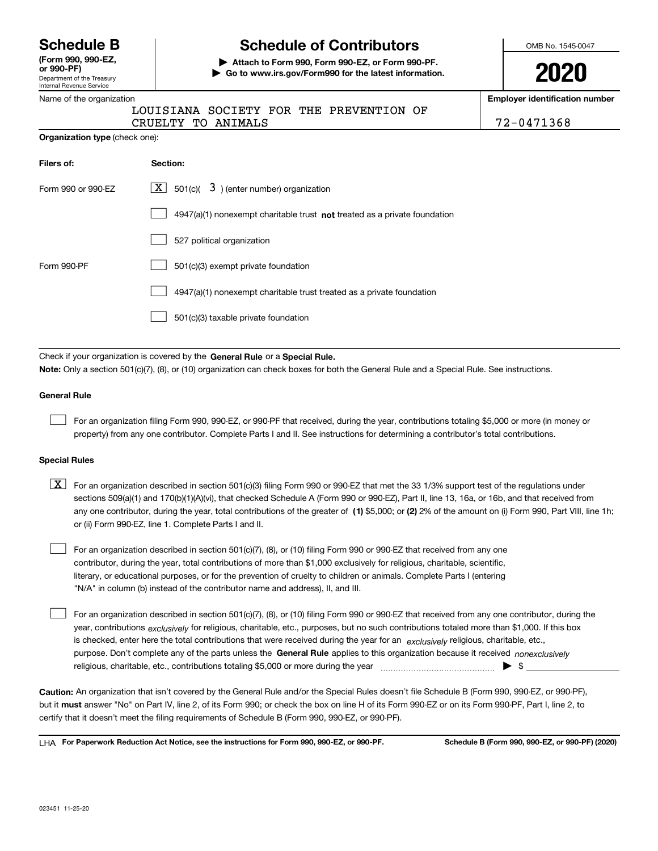Department of the Treasury Interna **(Form 990, 990-EZ, or 990-PF)**

## **Schedule B Schedule of Contributors**

**| Attach to Form 990, Form 990-EZ, or Form 990-PF. | Go to www.irs.gov/Form990 for the latest information.** OMB No. 1545-0047

| J | Λ | ∽<br>J<br>17 | I |  |
|---|---|--------------|---|--|
|   |   |              |   |  |

**Employer identification number**

| 2-0471368 |  |  |  |  |
|-----------|--|--|--|--|
|           |  |  |  |  |

|  | Name of the organization |
|--|--------------------------|
|  |                          |

| Internal Revenue Service       |                                                                                                                                                                                                                                                                                  |                            |
|--------------------------------|----------------------------------------------------------------------------------------------------------------------------------------------------------------------------------------------------------------------------------------------------------------------------------|----------------------------|
| Name of the organization       |                                                                                                                                                                                                                                                                                  | Employer identification nu |
|                                | LOUISIANA SOCIETY FOR THE PREVENTION OF<br>CRUELTY TO ANIMALS                                                                                                                                                                                                                    | 72-0471368                 |
| Organization type (check one): |                                                                                                                                                                                                                                                                                  |                            |
| Filers of:                     | Section:                                                                                                                                                                                                                                                                         |                            |
| Form 990 or 990-EZ             | $\boxed{\mathbf{X}}$ 501(c)( 3) (enter number) organization                                                                                                                                                                                                                      |                            |
|                                | 4947(a)(1) nonexempt charitable trust not treated as a private foundation                                                                                                                                                                                                        |                            |
|                                | 527 political organization                                                                                                                                                                                                                                                       |                            |
| Form 990-PF                    | 501(c)(3) exempt private foundation                                                                                                                                                                                                                                              |                            |
|                                | 4947(a)(1) nonexempt charitable trust treated as a private foundation                                                                                                                                                                                                            |                            |
|                                | 501(c)(3) taxable private foundation                                                                                                                                                                                                                                             |                            |
|                                |                                                                                                                                                                                                                                                                                  |                            |
|                                | Check if your organization is covered by the General Rule or a Special Rule.                                                                                                                                                                                                     |                            |
|                                | Note: Only a section 501(c)(7), (8), or (10) organization can check boxes for both the General Rule and a Special Rule. See instructions.                                                                                                                                        |                            |
| <b>General Rule</b>            |                                                                                                                                                                                                                                                                                  |                            |
|                                | For an organization filing Form 990, 990-EZ, or 990-PF that received, during the year, contributions totaling \$5,000 or more (in money or<br>property) from any one contributor. Complete Parts I and II. See instructions for determining a contributor's total contributions. |                            |
| <b>Special Rules</b>           |                                                                                                                                                                                                                                                                                  |                            |
|                                |                                                                                                                                                                                                                                                                                  |                            |

| $\boxed{X}$ For an organization described in section 501(c)(3) filing Form 990 or 990-EZ that met the 33 1/3% support test of the regulations under   |
|-------------------------------------------------------------------------------------------------------------------------------------------------------|
| sections 509(a)(1) and 170(b)(1)(A)(vi), that checked Schedule A (Form 990 or 990-EZ), Part II, line 13, 16a, or 16b, and that received from          |
| any one contributor, during the year, total contributions of the greater of (1) \$5,000; or (2) 2% of the amount on (i) Form 990, Part VIII, line 1h; |
| or (ii) Form 990-EZ, line 1. Complete Parts I and II.                                                                                                 |

For an organization described in section 501(c)(7), (8), or (10) filing Form 990 or 990-EZ that received from any one contributor, during the year, total contributions of more than \$1,000 exclusively for religious, charitable, scientific, literary, or educational purposes, or for the prevention of cruelty to children or animals. Complete Parts I (entering "N/A" in column (b) instead of the contributor name and address), II, and III.  $\mathcal{L}^{\text{max}}$ 

purpose. Don't complete any of the parts unless the **General Rule** applies to this organization because it received *nonexclusively* year, contributions <sub>exclusively</sub> for religious, charitable, etc., purposes, but no such contributions totaled more than \$1,000. If this box is checked, enter here the total contributions that were received during the year for an  $\;$ exclusively religious, charitable, etc., For an organization described in section 501(c)(7), (8), or (10) filing Form 990 or 990-EZ that received from any one contributor, during the religious, charitable, etc., contributions totaling \$5,000 or more during the year  $\Box$ — $\Box$   $\Box$  $\mathcal{L}^{\text{max}}$ 

**Caution:**  An organization that isn't covered by the General Rule and/or the Special Rules doesn't file Schedule B (Form 990, 990-EZ, or 990-PF),  **must** but it answer "No" on Part IV, line 2, of its Form 990; or check the box on line H of its Form 990-EZ or on its Form 990-PF, Part I, line 2, to certify that it doesn't meet the filing requirements of Schedule B (Form 990, 990-EZ, or 990-PF).

**For Paperwork Reduction Act Notice, see the instructions for Form 990, 990-EZ, or 990-PF. Schedule B (Form 990, 990-EZ, or 990-PF) (2020)** LHA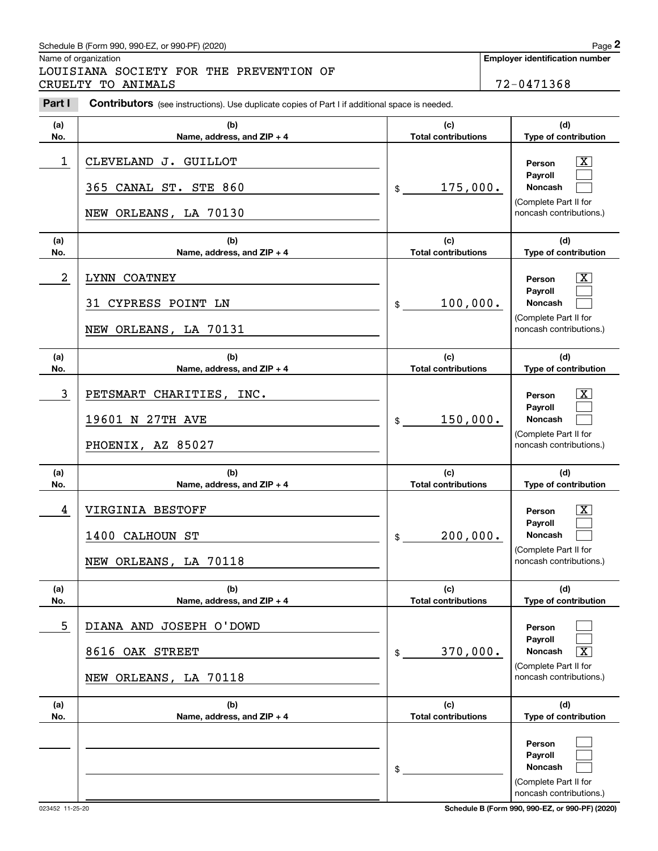## Schedule B (Form 990, 990-EZ, or 990-PF) (2020) Page 2

Name of organization

Chedule B (Form 990, 990-EZ, or 990-PF) (2020)<br> **2Page 2**<br> **2Part I 2PART SOCIETY FOR THE PREVENTION OF THE PREVENTION OF THE PREVENTION OF THE PREVENTION OF THE PREVENTION OF THE PREVENTION OF THE PREVENTION OF THE PREV** LOUISIANA SOCIETY FOR THE PREVENTION OF CRUELTY TO ANIMALS 72-0471368

| Part I         | <b>Contributors</b> (see instructions). Use duplicate copies of Part I if additional space is needed. |                                              |                                                                                                                                            |
|----------------|-------------------------------------------------------------------------------------------------------|----------------------------------------------|--------------------------------------------------------------------------------------------------------------------------------------------|
| (a)<br>No.     | (b)<br>Name, address, and ZIP + 4                                                                     | (c)<br><b>Total contributions</b>            | (d)<br>Type of contribution                                                                                                                |
| 1              | CLEVELAND J. GUILLOT<br>365 CANAL ST. STE 860<br>NEW ORLEANS, LA 70130                                | 175,000.<br>$\mathfrak{S}$                   | $\overline{\mathbf{X}}$<br>Person<br>Payroll<br><b>Noncash</b><br>(Complete Part II for<br>noncash contributions.)                         |
| (a)<br>No.     | (b)<br>Name, address, and ZIP + 4                                                                     | (c)<br><b>Total contributions</b>            | (d)<br>Type of contribution                                                                                                                |
| $\overline{a}$ | LYNN COATNEY<br>31 CYPRESS POINT LN<br>NEW ORLEANS, LA 70131                                          | 100,000.<br>\$                               | $\overline{\mathbf{X}}$<br>Person<br>Payroll<br><b>Noncash</b><br>(Complete Part II for<br>noncash contributions.)                         |
| (a)<br>No.     | (b)<br>Name, address, and ZIP + 4                                                                     | (c)<br><b>Total contributions</b>            | (d)<br>Type of contribution                                                                                                                |
| 3              | PETSMART CHARITIES, INC.<br>19601 N 27TH AVE<br>PHOENIX, AZ 85027                                     | 150,000.<br>\$                               | $\overline{\mathbf{X}}$<br>Person<br>Payroll<br><b>Noncash</b><br>(Complete Part II for<br>noncash contributions.)                         |
| (a)            | (b)                                                                                                   | (c)                                          | (d)                                                                                                                                        |
| No.<br>4       | Name, address, and ZIP + 4<br>VIRGINIA BESTOFF<br>1400 CALHOUN ST<br>NEW ORLEANS, LA 70118            | <b>Total contributions</b><br>200,000.<br>\$ | Type of contribution<br>$\overline{\mathbf{X}}$<br>Person<br>Payroll<br><b>Noncash</b><br>(Complete Part II for<br>noncash contributions.) |
| (a)<br>No.     | (b)<br>Name, address, and ZIP + 4                                                                     | (c)<br><b>Total contributions</b>            | (d)<br>Type of contribution                                                                                                                |
| 5              | DIANA AND JOSEPH O'DOWD<br>8616 OAK STREET<br>NEW ORLEANS, LA 70118                                   | 370,000.<br>\$                               | Person<br>Payroll<br><b>Noncash</b><br>$\overline{\texttt{x}}$<br>(Complete Part II for<br>noncash contributions.)                         |
| (a)<br>No.     | (b)<br>Name, address, and $ZIP + 4$                                                                   | (c)<br><b>Total contributions</b>            | (d)<br>Type of contribution                                                                                                                |
|                |                                                                                                       | \$                                           | Person<br>Payroll<br>Noncash<br>(Complete Part II for<br>noncash contributions.)                                                           |

023452 11-25-20 **Schedule B (Form 990, 990-EZ, or 990-PF) (2020)**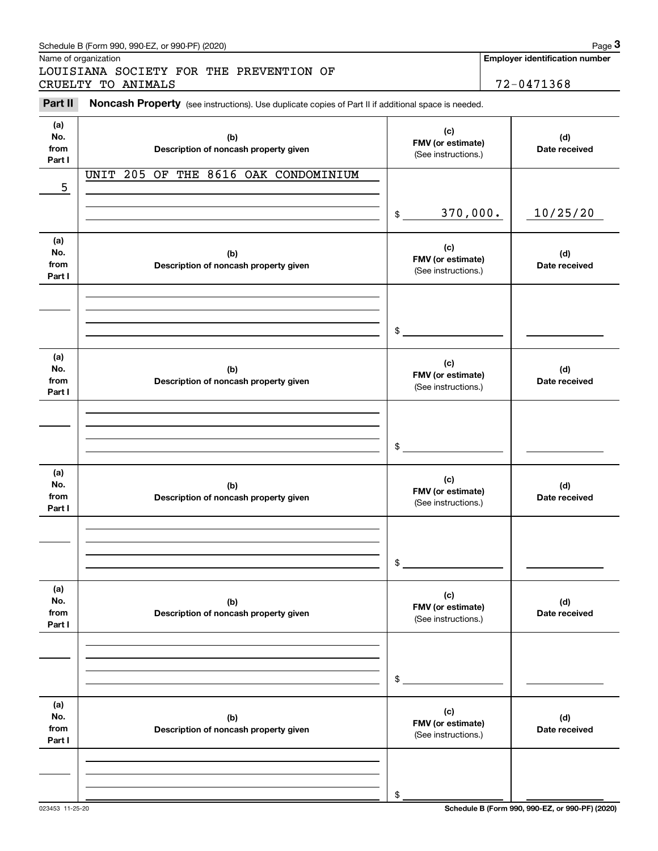| Name of organization         | Schedule B (Form 990, 990-EZ, or 990-PF) (2020)                                                     |                                                 |                      | Page 3<br><b>Employer identification number</b> |
|------------------------------|-----------------------------------------------------------------------------------------------------|-------------------------------------------------|----------------------|-------------------------------------------------|
|                              | LOUISIANA SOCIETY FOR THE PREVENTION OF<br>CRUELTY TO ANIMALS                                       |                                                 |                      | 72-0471368                                      |
| Part II                      | Noncash Property (see instructions). Use duplicate copies of Part II if additional space is needed. |                                                 |                      |                                                 |
| (a)<br>No.<br>from<br>Part I | (b)<br>Description of noncash property given                                                        | (c)<br>FMV (or estimate)<br>(See instructions.) |                      | (d)<br>Date received                            |
| 5                            | UNIT 205 OF<br>THE 8616 OAK CONDOMINIUM                                                             |                                                 |                      |                                                 |
|                              |                                                                                                     | 370,000.<br>\$                                  |                      | 10/25/20                                        |
| (a)<br>No.<br>from<br>Part I | (b)<br>Description of noncash property given                                                        | (c)<br>FMV (or estimate)<br>(See instructions.) |                      | (d)<br>Date received                            |
|                              |                                                                                                     | \$                                              |                      |                                                 |
| (a)<br>No.<br>from<br>Part I | (b)<br>Description of noncash property given                                                        | (c)<br>FMV (or estimate)<br>(See instructions.) | (d)<br>Date received |                                                 |
|                              |                                                                                                     | \$                                              |                      |                                                 |
| (a)<br>No.<br>from<br>Part I | (b)<br>Description of noncash property given                                                        | (c)<br>FMV (or estimate)<br>(See instructions.) |                      | (d)<br>Date received                            |
|                              |                                                                                                     | \$                                              |                      |                                                 |
| (a)<br>No.<br>from<br>Part I | (b)<br>Description of noncash property given                                                        | (c)<br>FMV (or estimate)<br>(See instructions.) |                      | (d)<br>Date received                            |
|                              |                                                                                                     | \$                                              |                      |                                                 |
| (a)<br>No.<br>from<br>Part I | (b)<br>Description of noncash property given                                                        | (c)<br>FMV (or estimate)<br>(See instructions.) |                      | (d)<br>Date received                            |
|                              |                                                                                                     | \$                                              |                      |                                                 |

023453 11-25-20 **Schedule B (Form 990, 990-EZ, or 990-PF) (2020)**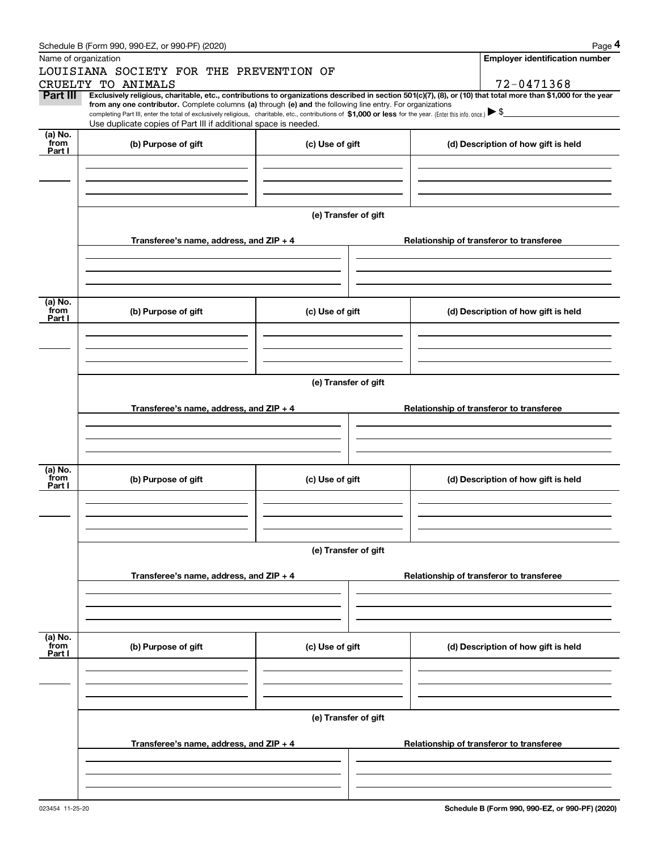|                 | Schedule B (Form 990, 990-EZ, or 990-PF) (2020)                                                                                                                                                                                                                              |                      |                                          | Page 4                                |  |  |  |  |
|-----------------|------------------------------------------------------------------------------------------------------------------------------------------------------------------------------------------------------------------------------------------------------------------------------|----------------------|------------------------------------------|---------------------------------------|--|--|--|--|
|                 | Name of organization                                                                                                                                                                                                                                                         |                      |                                          | <b>Employer identification number</b> |  |  |  |  |
|                 | LOUISIANA SOCIETY FOR THE PREVENTION OF                                                                                                                                                                                                                                      |                      |                                          |                                       |  |  |  |  |
|                 | CRUELTY TO ANIMALS                                                                                                                                                                                                                                                           |                      |                                          | 72-0471368                            |  |  |  |  |
| Part III        | Exclusively religious, charitable, etc., contributions to organizations described in section 501(c)(7), (8), or (10) that total more than \$1,000 for the year<br>from any one contributor. Complete columns (a) through (e) and the following line entry. For organizations |                      |                                          |                                       |  |  |  |  |
|                 | completing Part III, enter the total of exclusively religious, charitable, etc., contributions of \$1,000 or less for the year. (Enter this info. once.) \\$                                                                                                                 |                      |                                          |                                       |  |  |  |  |
|                 | Use duplicate copies of Part III if additional space is needed.                                                                                                                                                                                                              |                      |                                          |                                       |  |  |  |  |
| (a) No.<br>from | (b) Purpose of gift<br>(c) Use of gift                                                                                                                                                                                                                                       |                      |                                          | (d) Description of how gift is held   |  |  |  |  |
| Part I          |                                                                                                                                                                                                                                                                              |                      |                                          |                                       |  |  |  |  |
|                 |                                                                                                                                                                                                                                                                              |                      |                                          |                                       |  |  |  |  |
|                 |                                                                                                                                                                                                                                                                              |                      |                                          |                                       |  |  |  |  |
|                 |                                                                                                                                                                                                                                                                              |                      |                                          |                                       |  |  |  |  |
|                 |                                                                                                                                                                                                                                                                              | (e) Transfer of gift |                                          |                                       |  |  |  |  |
|                 |                                                                                                                                                                                                                                                                              |                      |                                          |                                       |  |  |  |  |
|                 | Transferee's name, address, and ZIP + 4                                                                                                                                                                                                                                      |                      | Relationship of transferor to transferee |                                       |  |  |  |  |
|                 |                                                                                                                                                                                                                                                                              |                      |                                          |                                       |  |  |  |  |
|                 |                                                                                                                                                                                                                                                                              |                      |                                          |                                       |  |  |  |  |
|                 |                                                                                                                                                                                                                                                                              |                      |                                          |                                       |  |  |  |  |
| (a) No.         |                                                                                                                                                                                                                                                                              |                      |                                          |                                       |  |  |  |  |
| from            | (b) Purpose of gift                                                                                                                                                                                                                                                          | (c) Use of gift      |                                          | (d) Description of how gift is held   |  |  |  |  |
| Part I          |                                                                                                                                                                                                                                                                              |                      |                                          |                                       |  |  |  |  |
|                 |                                                                                                                                                                                                                                                                              |                      |                                          |                                       |  |  |  |  |
|                 |                                                                                                                                                                                                                                                                              |                      |                                          |                                       |  |  |  |  |
|                 |                                                                                                                                                                                                                                                                              |                      |                                          |                                       |  |  |  |  |
|                 |                                                                                                                                                                                                                                                                              | (e) Transfer of gift |                                          |                                       |  |  |  |  |
|                 |                                                                                                                                                                                                                                                                              |                      |                                          |                                       |  |  |  |  |
|                 | Transferee's name, address, and ZIP + 4                                                                                                                                                                                                                                      |                      | Relationship of transferor to transferee |                                       |  |  |  |  |
|                 |                                                                                                                                                                                                                                                                              |                      |                                          |                                       |  |  |  |  |
|                 |                                                                                                                                                                                                                                                                              |                      |                                          |                                       |  |  |  |  |
|                 |                                                                                                                                                                                                                                                                              |                      |                                          |                                       |  |  |  |  |
| (a) No.         |                                                                                                                                                                                                                                                                              |                      |                                          |                                       |  |  |  |  |
| from<br>Part I  | (b) Purpose of gift                                                                                                                                                                                                                                                          | (c) Use of gift      |                                          | (d) Description of how gift is held   |  |  |  |  |
|                 |                                                                                                                                                                                                                                                                              |                      |                                          |                                       |  |  |  |  |
|                 |                                                                                                                                                                                                                                                                              |                      |                                          |                                       |  |  |  |  |
|                 |                                                                                                                                                                                                                                                                              |                      |                                          |                                       |  |  |  |  |
|                 |                                                                                                                                                                                                                                                                              | (e) Transfer of gift |                                          |                                       |  |  |  |  |
|                 |                                                                                                                                                                                                                                                                              |                      |                                          |                                       |  |  |  |  |
|                 | Transferee's name, address, and $ZIP + 4$                                                                                                                                                                                                                                    |                      | Relationship of transferor to transferee |                                       |  |  |  |  |
|                 |                                                                                                                                                                                                                                                                              |                      |                                          |                                       |  |  |  |  |
|                 |                                                                                                                                                                                                                                                                              |                      |                                          |                                       |  |  |  |  |
|                 |                                                                                                                                                                                                                                                                              |                      |                                          |                                       |  |  |  |  |
|                 |                                                                                                                                                                                                                                                                              |                      |                                          |                                       |  |  |  |  |
| (a) No.<br>from | (b) Purpose of gift                                                                                                                                                                                                                                                          | (c) Use of gift      |                                          | (d) Description of how gift is held   |  |  |  |  |
| Part I          |                                                                                                                                                                                                                                                                              |                      |                                          |                                       |  |  |  |  |
|                 |                                                                                                                                                                                                                                                                              |                      |                                          |                                       |  |  |  |  |
|                 |                                                                                                                                                                                                                                                                              |                      |                                          |                                       |  |  |  |  |
|                 |                                                                                                                                                                                                                                                                              |                      |                                          |                                       |  |  |  |  |
|                 |                                                                                                                                                                                                                                                                              | (e) Transfer of gift |                                          |                                       |  |  |  |  |
|                 |                                                                                                                                                                                                                                                                              |                      |                                          |                                       |  |  |  |  |
|                 | Transferee's name, address, and $ZIP + 4$                                                                                                                                                                                                                                    |                      | Relationship of transferor to transferee |                                       |  |  |  |  |
|                 |                                                                                                                                                                                                                                                                              |                      |                                          |                                       |  |  |  |  |
|                 |                                                                                                                                                                                                                                                                              |                      |                                          |                                       |  |  |  |  |
|                 |                                                                                                                                                                                                                                                                              |                      |                                          |                                       |  |  |  |  |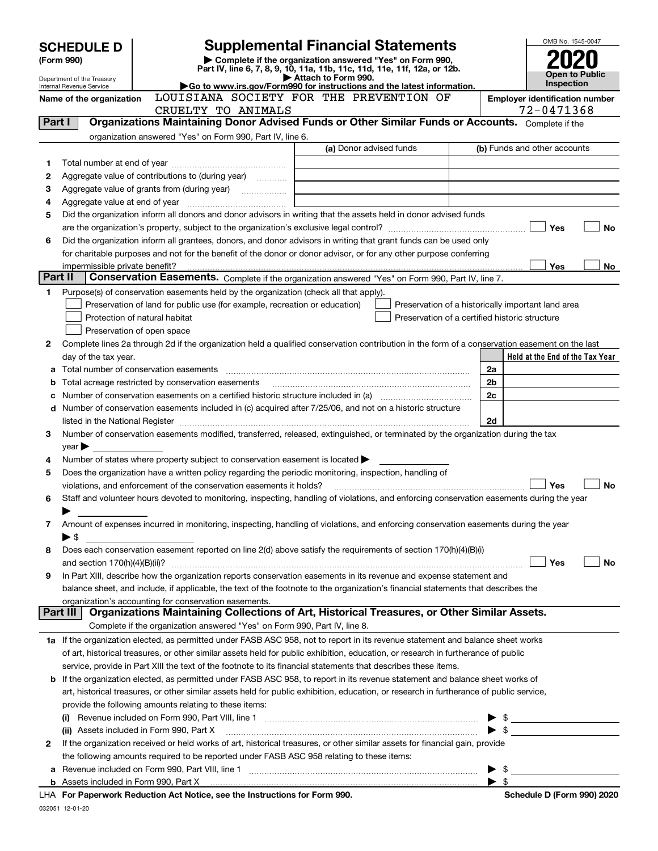| <b>SCHEDULE D</b>              |                                                                                                                                                                                                                                         |                                                                                                        | <b>Supplemental Financial Statements</b>                                                                                                       |                         | OMB No. 1545-0047                                  |  |
|--------------------------------|-----------------------------------------------------------------------------------------------------------------------------------------------------------------------------------------------------------------------------------------|--------------------------------------------------------------------------------------------------------|------------------------------------------------------------------------------------------------------------------------------------------------|-------------------------|----------------------------------------------------|--|
| (Form 990)                     |                                                                                                                                                                                                                                         | Complete if the organization answered "Yes" on Form 990,                                               |                                                                                                                                                |                         |                                                    |  |
|                                |                                                                                                                                                                                                                                         |                                                                                                        | Part IV, line 6, 7, 8, 9, 10, 11a, 11b, 11c, 11d, 11e, 11f, 12a, or 12b.                                                                       |                         | Open to Public                                     |  |
|                                | Department of the Treasury<br>Internal Revenue Service                                                                                                                                                                                  |                                                                                                        | Attach to Form 990.<br>Go to www.irs.gov/Form990 for instructions and the latest information.                                                  |                         | <b>Inspection</b>                                  |  |
|                                | Name of the organization                                                                                                                                                                                                                |                                                                                                        | LOUISIANA SOCIETY FOR THE PREVENTION OF                                                                                                        |                         | <b>Employer identification number</b>              |  |
|                                |                                                                                                                                                                                                                                         | CRUELTY TO ANIMALS                                                                                     |                                                                                                                                                |                         | 72-0471368                                         |  |
| Part I                         |                                                                                                                                                                                                                                         |                                                                                                        | Organizations Maintaining Donor Advised Funds or Other Similar Funds or Accounts. Complete if the                                              |                         |                                                    |  |
|                                |                                                                                                                                                                                                                                         | organization answered "Yes" on Form 990, Part IV, line 6.                                              |                                                                                                                                                |                         |                                                    |  |
|                                |                                                                                                                                                                                                                                         |                                                                                                        | (a) Donor advised funds                                                                                                                        |                         | (b) Funds and other accounts                       |  |
| 1                              |                                                                                                                                                                                                                                         |                                                                                                        |                                                                                                                                                |                         |                                                    |  |
| 2                              |                                                                                                                                                                                                                                         | Aggregate value of contributions to (during year)                                                      |                                                                                                                                                |                         |                                                    |  |
| З                              |                                                                                                                                                                                                                                         |                                                                                                        |                                                                                                                                                |                         |                                                    |  |
| 4                              |                                                                                                                                                                                                                                         |                                                                                                        |                                                                                                                                                |                         |                                                    |  |
| 5                              |                                                                                                                                                                                                                                         |                                                                                                        | Did the organization inform all donors and donor advisors in writing that the assets held in donor advised funds                               |                         | Yes<br>No                                          |  |
| 6                              |                                                                                                                                                                                                                                         |                                                                                                        |                                                                                                                                                |                         |                                                    |  |
|                                | Did the organization inform all grantees, donors, and donor advisors in writing that grant funds can be used only<br>for charitable purposes and not for the benefit of the donor or donor advisor, or for any other purpose conferring |                                                                                                        |                                                                                                                                                |                         |                                                    |  |
| impermissible private benefit? |                                                                                                                                                                                                                                         |                                                                                                        |                                                                                                                                                |                         |                                                    |  |
| Part II                        |                                                                                                                                                                                                                                         |                                                                                                        | Conservation Easements. Complete if the organization answered "Yes" on Form 990, Part IV, line 7.                                              |                         | Yes<br>No                                          |  |
| 1                              |                                                                                                                                                                                                                                         | Purpose(s) of conservation easements held by the organization (check all that apply).                  |                                                                                                                                                |                         |                                                    |  |
|                                |                                                                                                                                                                                                                                         | Preservation of land for public use (for example, recreation or education)                             |                                                                                                                                                |                         | Preservation of a historically important land area |  |
|                                |                                                                                                                                                                                                                                         | Protection of natural habitat                                                                          | Preservation of a certified historic structure                                                                                                 |                         |                                                    |  |
|                                |                                                                                                                                                                                                                                         | Preservation of open space                                                                             |                                                                                                                                                |                         |                                                    |  |
| 2                              |                                                                                                                                                                                                                                         |                                                                                                        | Complete lines 2a through 2d if the organization held a qualified conservation contribution in the form of a conservation easement on the last |                         |                                                    |  |
|                                | day of the tax year.                                                                                                                                                                                                                    |                                                                                                        |                                                                                                                                                |                         | Held at the End of the Tax Year                    |  |
| a                              |                                                                                                                                                                                                                                         |                                                                                                        |                                                                                                                                                | 2a                      |                                                    |  |
| b                              |                                                                                                                                                                                                                                         | Total acreage restricted by conservation easements                                                     |                                                                                                                                                | 2b                      |                                                    |  |
| с                              |                                                                                                                                                                                                                                         |                                                                                                        |                                                                                                                                                | 2c                      |                                                    |  |
| d                              |                                                                                                                                                                                                                                         |                                                                                                        | Number of conservation easements included in (c) acquired after 7/25/06, and not on a historic structure                                       |                         |                                                    |  |
|                                | 2d<br>listed in the National Register [111] Marshall Register [11] Marshall Register [11] Marshall Register [11] Marshall Register [11] Marshall Register [11] Marshall Register [11] Marshall Register [11] Marshall Register [11]     |                                                                                                        |                                                                                                                                                |                         |                                                    |  |
| 3                              |                                                                                                                                                                                                                                         |                                                                                                        | Number of conservation easements modified, transferred, released, extinguished, or terminated by the organization during the tax               |                         |                                                    |  |
|                                | $year \blacktriangleright$                                                                                                                                                                                                              |                                                                                                        |                                                                                                                                                |                         |                                                    |  |
| 4                              |                                                                                                                                                                                                                                         | Number of states where property subject to conservation easement is located                            |                                                                                                                                                |                         |                                                    |  |
| 5                              |                                                                                                                                                                                                                                         | Does the organization have a written policy regarding the periodic monitoring, inspection, handling of |                                                                                                                                                |                         |                                                    |  |
| 6                              |                                                                                                                                                                                                                                         | violations, and enforcement of the conservation easements it holds?                                    | Staff and volunteer hours devoted to monitoring, inspecting, handling of violations, and enforcing conservation easements during the year      |                         | <b>No</b><br>Yes                                   |  |
|                                |                                                                                                                                                                                                                                         |                                                                                                        |                                                                                                                                                |                         |                                                    |  |
| 7                              |                                                                                                                                                                                                                                         |                                                                                                        | Amount of expenses incurred in monitoring, inspecting, handling of violations, and enforcing conservation easements during the year            |                         |                                                    |  |
|                                | $\blacktriangleright$ \$                                                                                                                                                                                                                |                                                                                                        |                                                                                                                                                |                         |                                                    |  |
| 8                              |                                                                                                                                                                                                                                         |                                                                                                        | Does each conservation easement reported on line 2(d) above satisfy the requirements of section 170(h)(4)(B)(i)                                |                         |                                                    |  |
|                                |                                                                                                                                                                                                                                         |                                                                                                        |                                                                                                                                                |                         | Yes<br>No                                          |  |
| 9                              |                                                                                                                                                                                                                                         |                                                                                                        | In Part XIII, describe how the organization reports conservation easements in its revenue and expense statement and                            |                         |                                                    |  |
|                                |                                                                                                                                                                                                                                         |                                                                                                        | balance sheet, and include, if applicable, the text of the footnote to the organization's financial statements that describes the              |                         |                                                    |  |
|                                |                                                                                                                                                                                                                                         | organization's accounting for conservation easements.                                                  |                                                                                                                                                |                         |                                                    |  |
|                                | Part III                                                                                                                                                                                                                                |                                                                                                        | Organizations Maintaining Collections of Art, Historical Treasures, or Other Similar Assets.                                                   |                         |                                                    |  |
|                                |                                                                                                                                                                                                                                         | Complete if the organization answered "Yes" on Form 990, Part IV, line 8.                              |                                                                                                                                                |                         |                                                    |  |
|                                |                                                                                                                                                                                                                                         |                                                                                                        | 1a If the organization elected, as permitted under FASB ASC 958, not to report in its revenue statement and balance sheet works                |                         |                                                    |  |
|                                |                                                                                                                                                                                                                                         |                                                                                                        | of art, historical treasures, or other similar assets held for public exhibition, education, or research in furtherance of public              |                         |                                                    |  |
|                                |                                                                                                                                                                                                                                         |                                                                                                        | service, provide in Part XIII the text of the footnote to its financial statements that describes these items.                                 |                         |                                                    |  |
| b                              |                                                                                                                                                                                                                                         |                                                                                                        | If the organization elected, as permitted under FASB ASC 958, to report in its revenue statement and balance sheet works of                    |                         |                                                    |  |
|                                |                                                                                                                                                                                                                                         |                                                                                                        | art, historical treasures, or other similar assets held for public exhibition, education, or research in furtherance of public service,        |                         |                                                    |  |
|                                |                                                                                                                                                                                                                                         | provide the following amounts relating to these items:                                                 |                                                                                                                                                |                         |                                                    |  |
|                                |                                                                                                                                                                                                                                         |                                                                                                        |                                                                                                                                                |                         | $\blacktriangleright$ \$                           |  |
|                                |                                                                                                                                                                                                                                         | (ii) Assets included in Form 990, Part X                                                               |                                                                                                                                                |                         |                                                    |  |
| 2                              |                                                                                                                                                                                                                                         |                                                                                                        | If the organization received or held works of art, historical treasures, or other similar assets for financial gain, provide                   |                         |                                                    |  |
|                                |                                                                                                                                                                                                                                         | the following amounts required to be reported under FASB ASC 958 relating to these items:              |                                                                                                                                                |                         |                                                    |  |
| а                              |                                                                                                                                                                                                                                         |                                                                                                        |                                                                                                                                                |                         | - \$                                               |  |
|                                |                                                                                                                                                                                                                                         |                                                                                                        |                                                                                                                                                | $\blacktriangleright$ s |                                                    |  |
|                                |                                                                                                                                                                                                                                         | LHA For Paperwork Reduction Act Notice, see the Instructions for Form 990.                             |                                                                                                                                                |                         | Schedule D (Form 990) 2020                         |  |

| 032051 12-01-20 |
|-----------------|
|                 |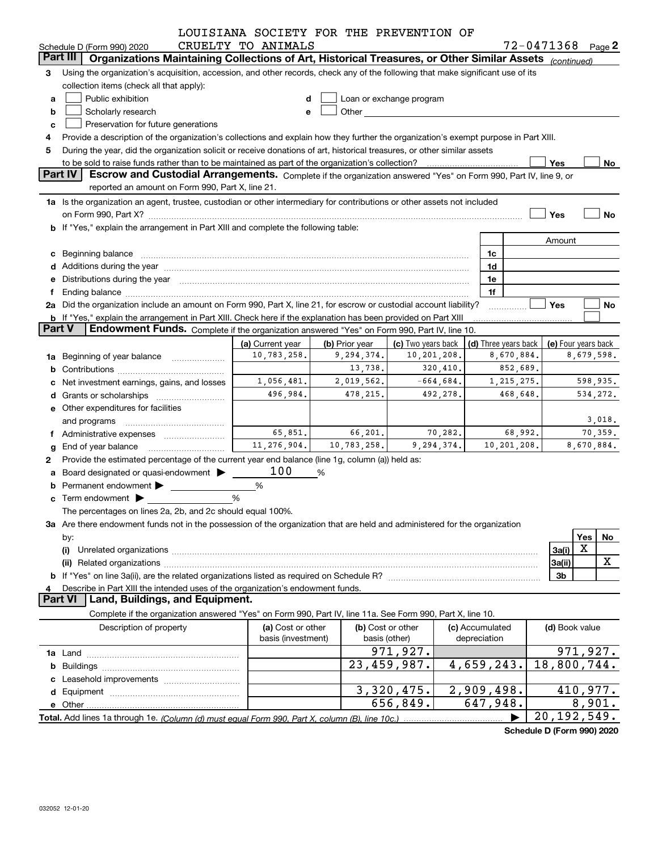|               |                                                                                                                                                                                                                                | LOUISIANA SOCIETY FOR THE PREVENTION OF |                |                                                                                                                                                                                                                               |              |                      |                       |                     |
|---------------|--------------------------------------------------------------------------------------------------------------------------------------------------------------------------------------------------------------------------------|-----------------------------------------|----------------|-------------------------------------------------------------------------------------------------------------------------------------------------------------------------------------------------------------------------------|--------------|----------------------|-----------------------|---------------------|
|               | Schedule D (Form 990) 2020<br>Part III                                                                                                                                                                                         | CRUELTY TO ANIMALS                      |                |                                                                                                                                                                                                                               |              |                      | $72 - 0471368$ Page 2 |                     |
|               | Organizations Maintaining Collections of Art, Historical Treasures, or Other Similar Assets (continued)                                                                                                                        |                                         |                |                                                                                                                                                                                                                               |              |                      |                       |                     |
| 3             | Using the organization's acquisition, accession, and other records, check any of the following that make significant use of its                                                                                                |                                         |                |                                                                                                                                                                                                                               |              |                      |                       |                     |
|               | collection items (check all that apply):                                                                                                                                                                                       |                                         |                |                                                                                                                                                                                                                               |              |                      |                       |                     |
| а             | Public exhibition                                                                                                                                                                                                              |                                         |                | Loan or exchange program                                                                                                                                                                                                      |              |                      |                       |                     |
| b             | Scholarly research                                                                                                                                                                                                             | е                                       |                | Other and the contract of the contract of the contract of the contract of the contract of the contract of the contract of the contract of the contract of the contract of the contract of the contract of the contract of the |              |                      |                       |                     |
| c             | Preservation for future generations                                                                                                                                                                                            |                                         |                |                                                                                                                                                                                                                               |              |                      |                       |                     |
|               | Provide a description of the organization's collections and explain how they further the organization's exempt purpose in Part XIII.                                                                                           |                                         |                |                                                                                                                                                                                                                               |              |                      |                       |                     |
| 5             | During the year, did the organization solicit or receive donations of art, historical treasures, or other similar assets                                                                                                       |                                         |                |                                                                                                                                                                                                                               |              |                      |                       |                     |
|               | to be sold to raise funds rather than to be maintained as part of the organization's collection?                                                                                                                               |                                         |                |                                                                                                                                                                                                                               |              |                      | Yes                   | No                  |
|               | <b>Part IV</b><br>Escrow and Custodial Arrangements. Complete if the organization answered "Yes" on Form 990, Part IV, line 9, or                                                                                              |                                         |                |                                                                                                                                                                                                                               |              |                      |                       |                     |
|               | reported an amount on Form 990, Part X, line 21.                                                                                                                                                                               |                                         |                |                                                                                                                                                                                                                               |              |                      |                       |                     |
|               | 1a Is the organization an agent, trustee, custodian or other intermediary for contributions or other assets not included                                                                                                       |                                         |                |                                                                                                                                                                                                                               |              |                      |                       |                     |
|               |                                                                                                                                                                                                                                |                                         |                |                                                                                                                                                                                                                               |              |                      | Yes                   | No                  |
|               | b If "Yes," explain the arrangement in Part XIII and complete the following table:                                                                                                                                             |                                         |                |                                                                                                                                                                                                                               |              |                      |                       |                     |
|               |                                                                                                                                                                                                                                |                                         |                |                                                                                                                                                                                                                               |              |                      | Amount                |                     |
|               | c Beginning balance measurements and the state of the state of the state of the state of the state of the state of the state of the state of the state of the state of the state of the state of the state of the state of the |                                         |                |                                                                                                                                                                                                                               |              | 1c                   |                       |                     |
|               |                                                                                                                                                                                                                                |                                         |                |                                                                                                                                                                                                                               |              | 1d                   |                       |                     |
|               | e Distributions during the year manufactured and continuum and contact the year manufactured and contact the year manufactured and contact the year manufactured and contact the year manufactured and contact the year manufa |                                         |                |                                                                                                                                                                                                                               |              | 1e                   |                       |                     |
|               |                                                                                                                                                                                                                                |                                         |                |                                                                                                                                                                                                                               |              | 1f                   |                       |                     |
|               | 2a Did the organization include an amount on Form 990, Part X, line 21, for escrow or custodial account liability?                                                                                                             |                                         |                |                                                                                                                                                                                                                               |              |                      | Yes                   | No                  |
|               | b If "Yes," explain the arrangement in Part XIII. Check here if the explanation has been provided on Part XIII                                                                                                                 |                                         |                |                                                                                                                                                                                                                               |              |                      |                       |                     |
| <b>Part V</b> | Endowment Funds. Complete if the organization answered "Yes" on Form 990, Part IV, line 10.                                                                                                                                    |                                         |                |                                                                                                                                                                                                                               |              |                      |                       |                     |
|               |                                                                                                                                                                                                                                | (a) Current year                        | (b) Prior year | (c) Two years back                                                                                                                                                                                                            |              | (d) Three years back |                       | (e) Four years back |
|               | <b>1a</b> Beginning of year balance <i>manumumum</i>                                                                                                                                                                           | 10,783,258.                             | 9,294,374.     | 10,201,208.                                                                                                                                                                                                                   |              | 8,670,884.           |                       | 8,679,598.          |
| b             |                                                                                                                                                                                                                                |                                         | 13,738.        | 320,410.                                                                                                                                                                                                                      |              | 852,689.             |                       |                     |
|               | Net investment earnings, gains, and losses                                                                                                                                                                                     | 1,056,481.                              | 2,019,562.     | $-664,684.$                                                                                                                                                                                                                   |              | 1, 215, 275.         |                       | 598,935.            |
|               |                                                                                                                                                                                                                                | 496,984.                                | 478, 215.      | 492,278.                                                                                                                                                                                                                      |              |                      | 534,272.<br>468,648.  |                     |
|               | e Other expenditures for facilities                                                                                                                                                                                            |                                         |                |                                                                                                                                                                                                                               |              |                      |                       |                     |
|               | and programs                                                                                                                                                                                                                   |                                         |                |                                                                                                                                                                                                                               |              |                      |                       | 3,018.              |
|               | f Administrative expenses <i>manually communicative</i>                                                                                                                                                                        | 65,851.                                 | 66,201.        | 70,282.                                                                                                                                                                                                                       |              | 68,992.              |                       | 70,359.             |
| g             | End of year balance                                                                                                                                                                                                            | 11,276,904.                             | 10,783,258.    | 9,294,374.                                                                                                                                                                                                                    |              | 10,201,208.          |                       | 8,670,884.          |
| 2             | Provide the estimated percentage of the current year end balance (line 1g, column (a)) held as:                                                                                                                                |                                         |                |                                                                                                                                                                                                                               |              |                      |                       |                     |
|               | a Board designated or quasi-endowment >                                                                                                                                                                                        | 100                                     | %              |                                                                                                                                                                                                                               |              |                      |                       |                     |
|               | Permanent endowment >                                                                                                                                                                                                          | %                                       |                |                                                                                                                                                                                                                               |              |                      |                       |                     |
|               | $\mathbf c$ Term endowment $\blacktriangleright$                                                                                                                                                                               | %                                       |                |                                                                                                                                                                                                                               |              |                      |                       |                     |
|               | The percentages on lines 2a, 2b, and 2c should equal 100%.                                                                                                                                                                     |                                         |                |                                                                                                                                                                                                                               |              |                      |                       |                     |
|               | 3a Are there endowment funds not in the possession of the organization that are held and administered for the organization                                                                                                     |                                         |                |                                                                                                                                                                                                                               |              |                      |                       |                     |
|               | by:                                                                                                                                                                                                                            |                                         |                |                                                                                                                                                                                                                               |              |                      |                       | Yes<br>No           |
|               | (i)                                                                                                                                                                                                                            |                                         |                |                                                                                                                                                                                                                               |              |                      | 3a(i)                 | X                   |
|               |                                                                                                                                                                                                                                |                                         |                |                                                                                                                                                                                                                               |              |                      | 3a(ii)                | X                   |
|               |                                                                                                                                                                                                                                |                                         |                |                                                                                                                                                                                                                               |              |                      | 3b                    |                     |
| 4             | Describe in Part XIII the intended uses of the organization's endowment funds.                                                                                                                                                 |                                         |                |                                                                                                                                                                                                                               |              |                      |                       |                     |
|               | <b>Part VI</b><br>Land, Buildings, and Equipment.                                                                                                                                                                              |                                         |                |                                                                                                                                                                                                                               |              |                      |                       |                     |
|               | Complete if the organization answered "Yes" on Form 990, Part IV, line 11a. See Form 990, Part X, line 10.                                                                                                                     |                                         |                |                                                                                                                                                                                                                               |              |                      |                       |                     |
|               | Description of property                                                                                                                                                                                                        | (a) Cost or other                       |                | (b) Cost or other                                                                                                                                                                                                             |              | (c) Accumulated      | (d) Book value        |                     |
|               |                                                                                                                                                                                                                                | basis (investment)                      |                | basis (other)                                                                                                                                                                                                                 | depreciation |                      |                       |                     |
|               |                                                                                                                                                                                                                                |                                         |                | 971,927.                                                                                                                                                                                                                      |              |                      |                       | 971,927.            |
|               |                                                                                                                                                                                                                                |                                         |                | 23,459,987.                                                                                                                                                                                                                   |              | 4,659,243.           | 18,800,744.           |                     |
|               |                                                                                                                                                                                                                                |                                         |                |                                                                                                                                                                                                                               |              |                      |                       |                     |
|               |                                                                                                                                                                                                                                |                                         |                | 3,320,475.                                                                                                                                                                                                                    |              |                      |                       | 410,977.            |
|               |                                                                                                                                                                                                                                |                                         |                |                                                                                                                                                                                                                               |              | 2,909,498.           |                       |                     |
|               |                                                                                                                                                                                                                                |                                         |                | 656,849.                                                                                                                                                                                                                      |              | 647,948.             |                       | 8,901.              |
|               |                                                                                                                                                                                                                                |                                         |                |                                                                                                                                                                                                                               |              |                      | 20, 192, 549.         |                     |

**Schedule D (Form 990) 2020**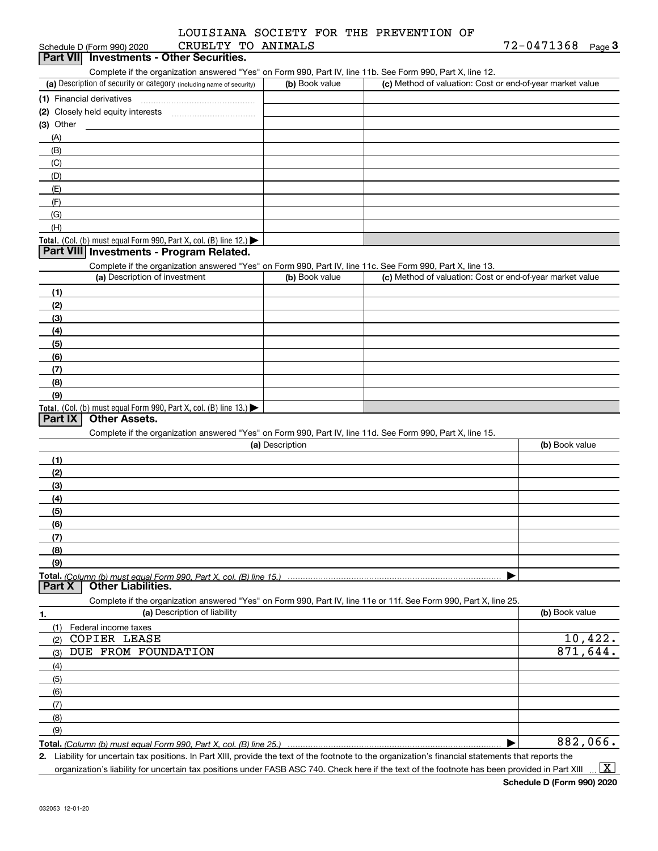#### Schedule D (Form 990) 2020 CRUELTY TO ANIMALS 72-0471368 Page LOUISIANA SOCIETY FOR THE PREVENTION OF

| Schedule D (Form 990) 2020                                                                                        | CRUELTY TO ANIMALS |                                                           | $72 - 0471368$ Page 3 |
|-------------------------------------------------------------------------------------------------------------------|--------------------|-----------------------------------------------------------|-----------------------|
| Part VII Investments - Other Securities.                                                                          |                    |                                                           |                       |
| Complete if the organization answered "Yes" on Form 990, Part IV, line 11b. See Form 990, Part X, line 12.        |                    |                                                           |                       |
| (a) Description of security or category (including name of security)                                              | (b) Book value     | (c) Method of valuation: Cost or end-of-year market value |                       |
|                                                                                                                   |                    |                                                           |                       |
|                                                                                                                   |                    |                                                           |                       |
| $(3)$ Other                                                                                                       |                    |                                                           |                       |
| (A)                                                                                                               |                    |                                                           |                       |
| (B)                                                                                                               |                    |                                                           |                       |
| (C)                                                                                                               |                    |                                                           |                       |
| (D)                                                                                                               |                    |                                                           |                       |
| (E)                                                                                                               |                    |                                                           |                       |
| (F)                                                                                                               |                    |                                                           |                       |
| (G)                                                                                                               |                    |                                                           |                       |
| (H)                                                                                                               |                    |                                                           |                       |
| Total. (Col. (b) must equal Form 990, Part X, col. (B) line 12.)                                                  |                    |                                                           |                       |
| Part VIII Investments - Program Related.                                                                          |                    |                                                           |                       |
| Complete if the organization answered "Yes" on Form 990, Part IV, line 11c. See Form 990, Part X, line 13.        |                    |                                                           |                       |
| (a) Description of investment                                                                                     | (b) Book value     | (c) Method of valuation: Cost or end-of-year market value |                       |
| (1)                                                                                                               |                    |                                                           |                       |
| (2)                                                                                                               |                    |                                                           |                       |
| (3)                                                                                                               |                    |                                                           |                       |
| (4)                                                                                                               |                    |                                                           |                       |
| (5)                                                                                                               |                    |                                                           |                       |
| (6)                                                                                                               |                    |                                                           |                       |
| (7)                                                                                                               |                    |                                                           |                       |
| (8)                                                                                                               |                    |                                                           |                       |
| (9)                                                                                                               |                    |                                                           |                       |
| Total. (Col. (b) must equal Form 990, Part X, col. (B) line $13.$ )                                               |                    |                                                           |                       |
| <b>Other Assets.</b><br>Part IX                                                                                   |                    |                                                           |                       |
| Complete if the organization answered "Yes" on Form 990, Part IV, line 11d. See Form 990, Part X, line 15.        |                    |                                                           |                       |
|                                                                                                                   | (a) Description    |                                                           | (b) Book value        |
| (1)                                                                                                               |                    |                                                           |                       |
| (2)                                                                                                               |                    |                                                           |                       |
| (3)                                                                                                               |                    |                                                           |                       |
| (4)                                                                                                               |                    |                                                           |                       |
| (5)                                                                                                               |                    |                                                           |                       |
| (6)                                                                                                               |                    |                                                           |                       |
| (7)                                                                                                               |                    |                                                           |                       |
| (8)                                                                                                               |                    |                                                           |                       |
| (9)                                                                                                               |                    |                                                           |                       |
| Total. (Column (b) must equal Form 990. Part X. col. (B) line 15.) ……………………………………………………………………                     |                    | ▶                                                         |                       |
| Part X<br><b>Other Liabilities.</b>                                                                               |                    |                                                           |                       |
| Complete if the organization answered "Yes" on Form 990, Part IV, line 11e or 11f. See Form 990, Part X, line 25. |                    |                                                           |                       |
| (a) Description of liability<br>1.                                                                                |                    |                                                           | (b) Book value        |
| Federal income taxes<br>(1)                                                                                       |                    |                                                           |                       |
| <b>COPIER LEASE</b><br>(2)                                                                                        |                    |                                                           | 10,422.               |
| DUE FROM FOUNDATION<br>(3)                                                                                        |                    |                                                           | 871,644.              |
|                                                                                                                   |                    |                                                           |                       |
| (4)                                                                                                               |                    |                                                           |                       |
| (5)                                                                                                               |                    |                                                           |                       |
| (6)                                                                                                               |                    |                                                           |                       |
| (7)                                                                                                               |                    |                                                           |                       |
| (8)                                                                                                               |                    |                                                           |                       |
| (9)                                                                                                               |                    |                                                           | 882,066.              |
|                                                                                                                   |                    |                                                           |                       |

*(Column (b) must equal Form 990, Part X, col. (B) line 25.)* 

**2.** Liability for uncertain tax positions. In Part XIII, provide the text of the footnote to the organization's financial statements that reports the organization's liability for uncertain tax positions under FASB ASC 740. Check here if the text of the footnote has been provided in Part XIII  $\vert$  X  $\vert$ 

**Schedule D (Form 990) 2020**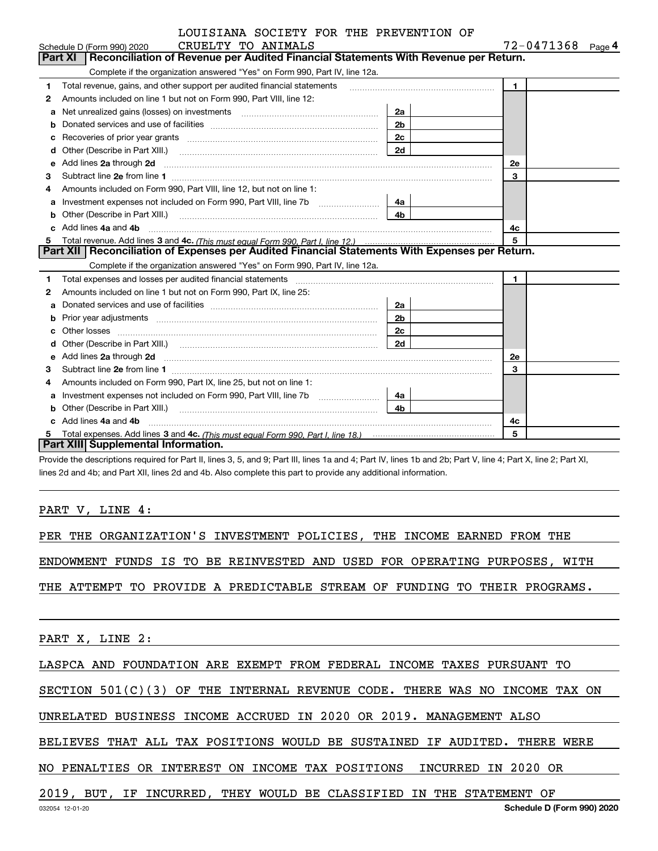#### CRUELTY TO ANIMALS CONSIDER TO A CRUEL TO A CONSIDER A LOUISIANA SOCIETY FOR THE PREVENTION OF

|    | CRUELTY TO ANIMALS<br>Schedule D (Form 990) 2020                                                                                                                                                                                    |                |                | 72-0471368<br>Page 4 |
|----|-------------------------------------------------------------------------------------------------------------------------------------------------------------------------------------------------------------------------------------|----------------|----------------|----------------------|
|    | <b>Part XI</b><br>Reconciliation of Revenue per Audited Financial Statements With Revenue per Return.                                                                                                                               |                |                |                      |
|    | Complete if the organization answered "Yes" on Form 990, Part IV, line 12a.                                                                                                                                                         |                |                |                      |
| 1  | Total revenue, gains, and other support per audited financial statements                                                                                                                                                            |                | $\blacksquare$ |                      |
| 2  | Amounts included on line 1 but not on Form 990, Part VIII, line 12:                                                                                                                                                                 |                |                |                      |
| a  | Net unrealized gains (losses) on investments [111] [12] matter contracts and all of the unrealized gains (losses) on investments                                                                                                    | 2a             |                |                      |
|    |                                                                                                                                                                                                                                     | 2 <sub>b</sub> |                |                      |
| c  | Recoveries of prior year grants [111] matter contracts and prior year of prior year grants [11] matter contracts and prior year grants and all the contracts and all the contracts and all the contracts and all the contracts      | 2c             |                |                      |
| d  | Other (Describe in Part XIII.) <b>Construction Construction</b> Chern Construction Chern Chern Chern Chern Chern Chern                                                                                                              | 2d             |                |                      |
| е  | Add lines 2a through 2d                                                                                                                                                                                                             |                | <b>2e</b>      |                      |
| 3  |                                                                                                                                                                                                                                     |                | 3              |                      |
| 4  | Amounts included on Form 990, Part VIII, line 12, but not on line 1:                                                                                                                                                                |                |                |                      |
|    | Investment expenses not included on Form 990, Part VIII, line 7b                                                                                                                                                                    | 4a l           |                |                      |
| b  |                                                                                                                                                                                                                                     | 4 <sub>b</sub> |                |                      |
| c. | Add lines 4a and 4b                                                                                                                                                                                                                 |                | 4c             |                      |
| 5  |                                                                                                                                                                                                                                     |                | 5              |                      |
|    |                                                                                                                                                                                                                                     |                |                |                      |
|    | Part XII   Reconciliation of Expenses per Audited Financial Statements With Expenses per Return.                                                                                                                                    |                |                |                      |
|    | Complete if the organization answered "Yes" on Form 990, Part IV, line 12a.                                                                                                                                                         |                |                |                      |
| 1  |                                                                                                                                                                                                                                     |                | $\blacksquare$ |                      |
| 2  | Amounts included on line 1 but not on Form 990, Part IX, line 25:                                                                                                                                                                   |                |                |                      |
| a  |                                                                                                                                                                                                                                     | 2a             |                |                      |
| b  |                                                                                                                                                                                                                                     | 2b             |                |                      |
| c  |                                                                                                                                                                                                                                     | 2c             |                |                      |
|    |                                                                                                                                                                                                                                     | 2d             |                |                      |
| е  |                                                                                                                                                                                                                                     |                | 2e             |                      |
| 3  | Add lines 2a through 2d <b>must be a constructed as the constant of the S2a</b> through 2d must be a constructed as a construction of the set of the set of the set of the set of the set of the set of the set of the set of the s |                | 3              |                      |
| 4  | Amounts included on Form 990, Part IX, line 25, but not on line 1:                                                                                                                                                                  |                |                |                      |
| a  | Investment expenses not included on Form 990, Part VIII, line 7b [111] [11] [12]                                                                                                                                                    | 4a             |                |                      |
|    |                                                                                                                                                                                                                                     | 4 <sub>b</sub> |                |                      |
|    | Other (Describe in Part XIII.) <b>Construction Construction</b> Chern Construction Chern Chern Chern Chern Chern Chern<br>Add lines 4a and 4b                                                                                       |                | 4c             |                      |
| 5  | Part XIII Supplemental Information.                                                                                                                                                                                                 |                | 5              |                      |

Provide the descriptions required for Part II, lines 3, 5, and 9; Part III, lines 1a and 4; Part IV, lines 1b and 2b; Part V, line 4; Part X, line 2; Part XI, lines 2d and 4b; and Part XII, lines 2d and 4b. Also complete this part to provide any additional information.

#### PART V, LINE 4:

PER THE ORGANIZATION'S INVESTMENT POLICIES, THE INCOME EARNED FROM THE

ENDOWMENT FUNDS IS TO BE REINVESTED AND USED FOR OPERATING PURPOSES, WITH

THE ATTEMPT TO PROVIDE A PREDICTABLE STREAM OF FUNDING TO THEIR PROGRAMS.

PART X, LINE 2:

LASPCA AND FOUNDATION ARE EXEMPT FROM FEDERAL INCOME TAXES PURSUANT TO

SECTION 501(C)(3) OF THE INTERNAL REVENUE CODE. THERE WAS NO INCOME TAX ON

UNRELATED BUSINESS INCOME ACCRUED IN 2020 OR 2019. MANAGEMENT ALSO

BELIEVES THAT ALL TAX POSITIONS WOULD BE SUSTAINED IF AUDITED. THERE WERE

NO PENALTIES OR INTEREST ON INCOME TAX POSITIONS INCURRED IN 2020 OR

2019, BUT, IF INCURRED, THEY WOULD BE CLASSIFIED IN THE STATEMENT OF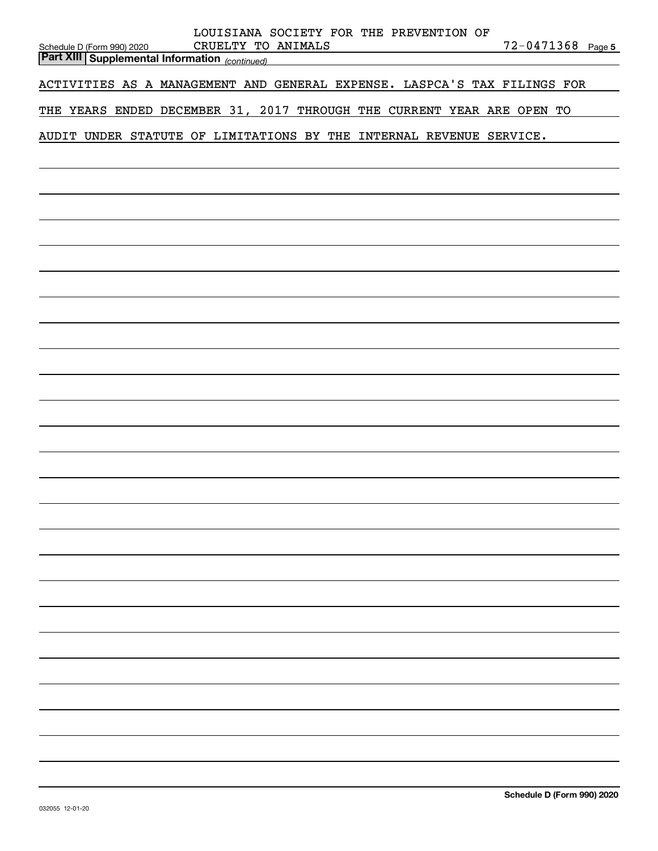| LOUISIANA SOCIETY FOR THE PREVENTION OF<br>CRUELTY TO ANIMALS<br>72-0471368 Page 5<br>Schedule D (Form 990) 2020<br><b>Part XIII Supplemental Information</b> (continued) |
|---------------------------------------------------------------------------------------------------------------------------------------------------------------------------|
| ACTIVITIES AS A MANAGEMENT AND GENERAL EXPENSE. LASPCA'S TAX FILINGS FOR                                                                                                  |
| THE YEARS ENDED DECEMBER 31, 2017 THROUGH THE CURRENT YEAR ARE OPEN TO                                                                                                    |
| AUDIT UNDER STATUTE OF LIMITATIONS BY THE INTERNAL REVENUE SERVICE.                                                                                                       |
|                                                                                                                                                                           |
|                                                                                                                                                                           |
|                                                                                                                                                                           |
|                                                                                                                                                                           |
|                                                                                                                                                                           |
|                                                                                                                                                                           |
|                                                                                                                                                                           |
|                                                                                                                                                                           |
|                                                                                                                                                                           |
|                                                                                                                                                                           |
|                                                                                                                                                                           |
|                                                                                                                                                                           |
|                                                                                                                                                                           |
|                                                                                                                                                                           |
|                                                                                                                                                                           |
|                                                                                                                                                                           |
|                                                                                                                                                                           |
|                                                                                                                                                                           |
|                                                                                                                                                                           |
|                                                                                                                                                                           |
|                                                                                                                                                                           |
|                                                                                                                                                                           |
|                                                                                                                                                                           |
|                                                                                                                                                                           |
|                                                                                                                                                                           |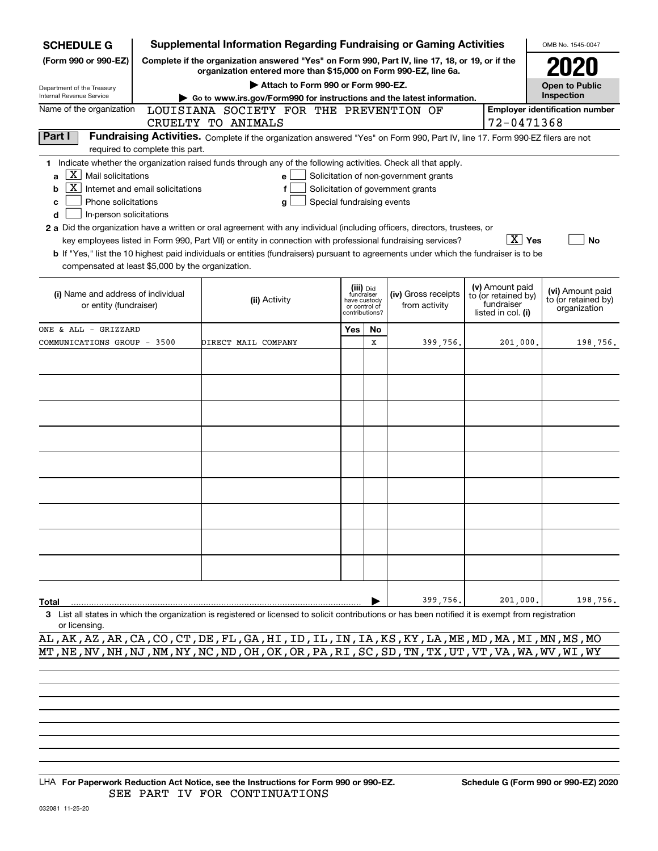| <b>SCHEDULE G</b>                                                                                                                                                          | <b>Supplemental Information Regarding Fundraising or Gaming Activities</b>                                                                                          |     |                                 |                                   |                                   |                                       | OMB No. 1545-0047     |  |  |  |
|----------------------------------------------------------------------------------------------------------------------------------------------------------------------------|---------------------------------------------------------------------------------------------------------------------------------------------------------------------|-----|---------------------------------|-----------------------------------|-----------------------------------|---------------------------------------|-----------------------|--|--|--|
| (Form 990 or 990-EZ)                                                                                                                                                       | Complete if the organization answered "Yes" on Form 990, Part IV, line 17, 18, or 19, or if the<br>organization entered more than \$15,000 on Form 990-EZ, line 6a. |     |                                 |                                   |                                   |                                       |                       |  |  |  |
| Department of the Treasury                                                                                                                                                 | Attach to Form 990 or Form 990-EZ.                                                                                                                                  |     |                                 |                                   |                                   |                                       | <b>Open to Public</b> |  |  |  |
| Internal Revenue Service                                                                                                                                                   | Go to www.irs.gov/Form990 for instructions and the latest information.                                                                                              |     |                                 |                                   |                                   |                                       | Inspection            |  |  |  |
| Name of the organization                                                                                                                                                   | LOUISIANA SOCIETY FOR THE PREVENTION OF                                                                                                                             |     |                                 |                                   |                                   | <b>Employer identification number</b> |                       |  |  |  |
|                                                                                                                                                                            | CRUELTY TO ANIMALS                                                                                                                                                  |     |                                 |                                   |                                   | 72-0471368                            |                       |  |  |  |
| Part I<br>Fundraising Activities. Complete if the organization answered "Yes" on Form 990, Part IV, line 17. Form 990-EZ filers are not<br>required to complete this part. |                                                                                                                                                                     |     |                                 |                                   |                                   |                                       |                       |  |  |  |
| 1 Indicate whether the organization raised funds through any of the following activities. Check all that apply.                                                            |                                                                                                                                                                     |     |                                 |                                   |                                   |                                       |                       |  |  |  |
| $\mathbf{X}$ Mail solicitations<br>a                                                                                                                                       | Solicitation of non-government grants<br>e                                                                                                                          |     |                                 |                                   |                                   |                                       |                       |  |  |  |
| Internet and email solicitations<br>b                                                                                                                                      | f                                                                                                                                                                   |     |                                 | Solicitation of government grants |                                   |                                       |                       |  |  |  |
| Phone solicitations<br>Special fundraising events<br>c<br>g                                                                                                                |                                                                                                                                                                     |     |                                 |                                   |                                   |                                       |                       |  |  |  |
| In-person solicitations<br>d                                                                                                                                               |                                                                                                                                                                     |     |                                 |                                   |                                   |                                       |                       |  |  |  |
| 2 a Did the organization have a written or oral agreement with any individual (including officers, directors, trustees, or                                                 |                                                                                                                                                                     |     |                                 |                                   |                                   |                                       |                       |  |  |  |
|                                                                                                                                                                            | key employees listed in Form 990, Part VII) or entity in connection with professional fundraising services?                                                         |     |                                 |                                   |                                   | $\boxed{\text{X}}$ Yes                | No                    |  |  |  |
| b If "Yes," list the 10 highest paid individuals or entities (fundraisers) pursuant to agreements under which the fundraiser is to be                                      |                                                                                                                                                                     |     |                                 |                                   |                                   |                                       |                       |  |  |  |
| compensated at least \$5,000 by the organization.                                                                                                                          |                                                                                                                                                                     |     |                                 |                                   |                                   |                                       |                       |  |  |  |
|                                                                                                                                                                            |                                                                                                                                                                     |     | (iii) Did<br>fundraiser         |                                   | (v) Amount paid                   |                                       | (vi) Amount paid      |  |  |  |
| (i) Name and address of individual                                                                                                                                         | (ii) Activity                                                                                                                                                       |     | have custody                    | (iv) Gross receipts               | to (or retained by)<br>fundraiser |                                       | to (or retained by)   |  |  |  |
| or entity (fundraiser)                                                                                                                                                     |                                                                                                                                                                     |     | or control of<br>contributions? | from activity                     | listed in col. (i)                |                                       | organization          |  |  |  |
| ONE & ALL - GRIZZARD                                                                                                                                                       |                                                                                                                                                                     | Yes | No                              |                                   |                                   |                                       |                       |  |  |  |
| COMMUNICATIONS GROUP - 3500                                                                                                                                                | DIRECT MAIL COMPANY                                                                                                                                                 |     | X                               | 399,756.                          |                                   | 201,000.                              | 198,756.              |  |  |  |
|                                                                                                                                                                            |                                                                                                                                                                     |     |                                 |                                   |                                   |                                       |                       |  |  |  |
|                                                                                                                                                                            |                                                                                                                                                                     |     |                                 |                                   |                                   |                                       |                       |  |  |  |
|                                                                                                                                                                            |                                                                                                                                                                     |     |                                 |                                   |                                   |                                       |                       |  |  |  |
|                                                                                                                                                                            |                                                                                                                                                                     |     |                                 |                                   |                                   |                                       |                       |  |  |  |
|                                                                                                                                                                            |                                                                                                                                                                     |     |                                 |                                   |                                   |                                       |                       |  |  |  |
|                                                                                                                                                                            |                                                                                                                                                                     |     |                                 |                                   |                                   |                                       |                       |  |  |  |
|                                                                                                                                                                            |                                                                                                                                                                     |     |                                 |                                   |                                   |                                       |                       |  |  |  |
|                                                                                                                                                                            |                                                                                                                                                                     |     |                                 |                                   |                                   |                                       |                       |  |  |  |
|                                                                                                                                                                            |                                                                                                                                                                     |     |                                 |                                   |                                   |                                       |                       |  |  |  |
|                                                                                                                                                                            |                                                                                                                                                                     |     |                                 |                                   |                                   |                                       |                       |  |  |  |
|                                                                                                                                                                            |                                                                                                                                                                     |     |                                 |                                   |                                   |                                       |                       |  |  |  |
|                                                                                                                                                                            |                                                                                                                                                                     |     |                                 |                                   |                                   |                                       |                       |  |  |  |
|                                                                                                                                                                            |                                                                                                                                                                     |     |                                 |                                   |                                   |                                       |                       |  |  |  |
|                                                                                                                                                                            |                                                                                                                                                                     |     |                                 |                                   |                                   |                                       |                       |  |  |  |
|                                                                                                                                                                            |                                                                                                                                                                     |     |                                 |                                   |                                   |                                       |                       |  |  |  |
|                                                                                                                                                                            |                                                                                                                                                                     |     |                                 |                                   |                                   |                                       |                       |  |  |  |
|                                                                                                                                                                            |                                                                                                                                                                     |     |                                 |                                   |                                   |                                       |                       |  |  |  |
|                                                                                                                                                                            |                                                                                                                                                                     |     |                                 | 399,756.                          |                                   | 201,000.                              | 198,756.              |  |  |  |
| Total<br>3 List all states in which the organization is registered or licensed to solicit contributions or has been notified it is exempt from registration                |                                                                                                                                                                     |     |                                 |                                   |                                   |                                       |                       |  |  |  |

or licensing.

AL,AK,AZ,AR,CA,CO,CT,DE,FL,GA,HI,ID,IL,IN,IA,KS,KY,LA,ME,MD,MA,MI,MN,MS,MO MT,NE,NV,NH,NJ,NM,NY,NC,ND,OH,OK,OR,PA,RI,SC,SD,TN,TX,UT,VT,VA,WA,WV,WI,WY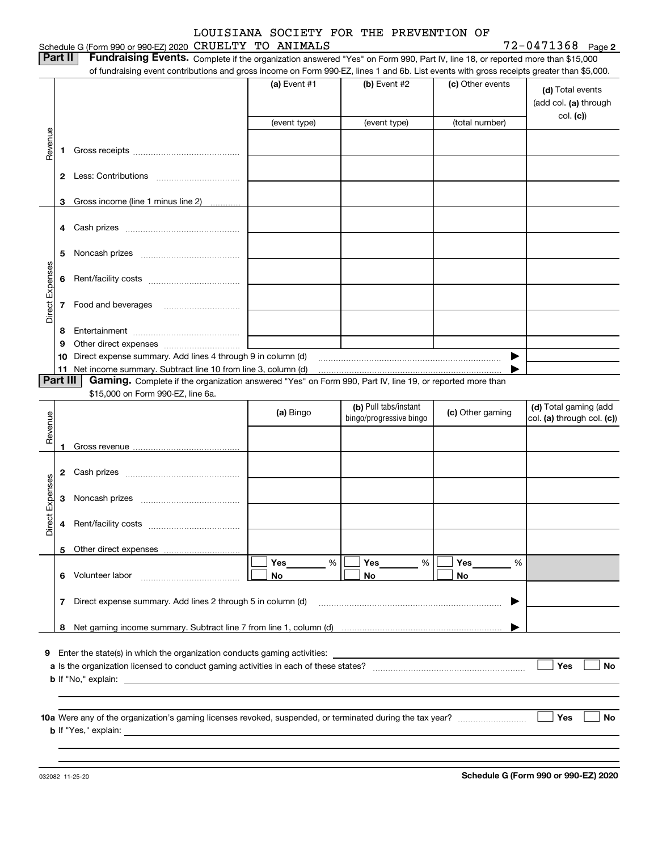#### Schedule G (Form 990 or 990-EZ) 2020 Page CRUELTY TO ANIMALS 72-0471368

**2**

| Part II   Fundraising Events. Complete if the organization answered "Yes" on Form 990, Part IV, line 18, or reported more than \$15,000   |
|-------------------------------------------------------------------------------------------------------------------------------------------|
| of fundraising event contributions and gross income on Form 990-EZ, lines 1 and 6b. List events with gross receipts greater than \$5,000. |

|                 |          | 01 lundraising event contributions and gross income on Form 990-EZ, lines T and 6D. Elst events with gross receipts greater than \$5,000.                                   | (a) Event $#1$<br>(event type) | $(b)$ Event #2<br>(event type)                   | (c) Other events<br>(total number) | (d) Total events<br>(add col. (a) through<br>col. (c) |
|-----------------|----------|-----------------------------------------------------------------------------------------------------------------------------------------------------------------------------|--------------------------------|--------------------------------------------------|------------------------------------|-------------------------------------------------------|
| Revenue         |          |                                                                                                                                                                             |                                |                                                  |                                    |                                                       |
|                 | 1.       |                                                                                                                                                                             |                                |                                                  |                                    |                                                       |
|                 |          |                                                                                                                                                                             |                                |                                                  |                                    |                                                       |
|                 |          |                                                                                                                                                                             |                                |                                                  |                                    |                                                       |
|                 | 3        | Gross income (line 1 minus line 2)                                                                                                                                          |                                |                                                  |                                    |                                                       |
|                 |          |                                                                                                                                                                             |                                |                                                  |                                    |                                                       |
|                 | 5        |                                                                                                                                                                             |                                |                                                  |                                    |                                                       |
|                 |          |                                                                                                                                                                             |                                |                                                  |                                    |                                                       |
| Direct Expenses |          | 7 Food and beverages                                                                                                                                                        |                                |                                                  |                                    |                                                       |
|                 | 8        |                                                                                                                                                                             |                                |                                                  |                                    |                                                       |
|                 | 9        |                                                                                                                                                                             |                                |                                                  |                                    |                                                       |
|                 |          | 10 Direct expense summary. Add lines 4 through 9 in column (d)                                                                                                              |                                |                                                  | ▶                                  |                                                       |
|                 | Part III | 11 Net income summary. Subtract line 10 from line 3, column (d)<br>Gaming. Complete if the organization answered "Yes" on Form 990, Part IV, line 19, or reported more than |                                |                                                  |                                    |                                                       |
|                 |          | \$15,000 on Form 990-EZ, line 6a.                                                                                                                                           |                                |                                                  |                                    |                                                       |
| Revenue         |          |                                                                                                                                                                             | (a) Bingo                      | (b) Pull tabs/instant<br>bingo/progressive bingo | (c) Other gaming                   | (d) Total gaming (add<br>col. (a) through col. (c))   |
|                 | 1.       |                                                                                                                                                                             |                                |                                                  |                                    |                                                       |
|                 |          |                                                                                                                                                                             |                                |                                                  |                                    |                                                       |
|                 |          |                                                                                                                                                                             |                                |                                                  |                                    |                                                       |
| Direct Expenses |          |                                                                                                                                                                             |                                |                                                  |                                    |                                                       |
|                 |          |                                                                                                                                                                             |                                |                                                  |                                    |                                                       |
|                 |          | 5 Other direct expenses                                                                                                                                                     |                                |                                                  |                                    |                                                       |
|                 | 6        | Volunteer labor                                                                                                                                                             | Yes<br>%<br>No                 | Yes<br>%<br>No                                   | Yes<br>%<br>No                     |                                                       |
|                 | 7        | Direct expense summary. Add lines 2 through 5 in column (d)                                                                                                                 |                                |                                                  |                                    |                                                       |
|                 | 8        |                                                                                                                                                                             |                                |                                                  |                                    |                                                       |
|                 |          |                                                                                                                                                                             |                                |                                                  |                                    |                                                       |
|                 |          | 9 Enter the state(s) in which the organization conducts gaming activities:                                                                                                  |                                |                                                  |                                    | Yes<br>No                                             |
|                 |          | <b>b</b> If "No," explain:                                                                                                                                                  |                                |                                                  |                                    |                                                       |
|                 |          |                                                                                                                                                                             |                                |                                                  |                                    |                                                       |
|                 |          |                                                                                                                                                                             |                                |                                                  |                                    |                                                       |
|                 |          | <b>b</b> If "Yes," explain:                                                                                                                                                 |                                |                                                  |                                    | Yes<br>No                                             |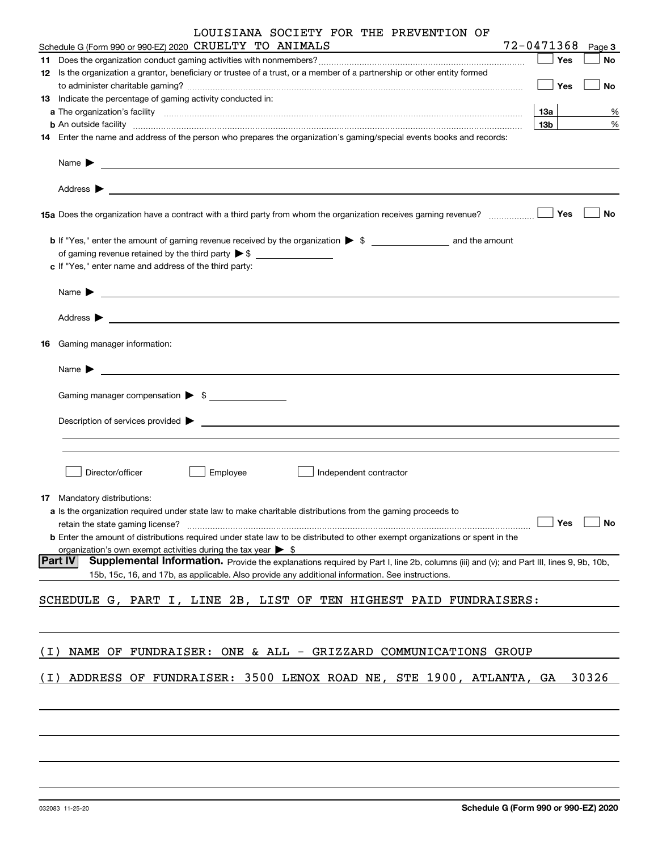|       | LOUISIANA SOCIETY FOR THE PREVENTION OF<br>Schedule G (Form 990 or 990-EZ) 2020 CRUELTY TO ANIMALS                                                                                                                                                           | 72-0471368 |     |     | Page 3 |
|-------|--------------------------------------------------------------------------------------------------------------------------------------------------------------------------------------------------------------------------------------------------------------|------------|-----|-----|--------|
|       |                                                                                                                                                                                                                                                              |            |     | Yes | No     |
|       | 12 Is the organization a grantor, beneficiary or trustee of a trust, or a member of a partnership or other entity formed                                                                                                                                     |            |     |     |        |
|       |                                                                                                                                                                                                                                                              |            |     | Yes | No     |
|       | 13 Indicate the percentage of gaming activity conducted in:                                                                                                                                                                                                  |            |     |     |        |
|       |                                                                                                                                                                                                                                                              |            | 13а |     | %      |
|       | <b>b</b> An outside facility <b>contract and the contract of the contract of the contract of the contract of the contract of the contract of the contract of the contract of the contract of the contract of the contract of the cont</b>                    |            | 13b |     | %      |
|       | 14 Enter the name and address of the person who prepares the organization's gaming/special events books and records:                                                                                                                                         |            |     |     |        |
|       |                                                                                                                                                                                                                                                              |            |     |     |        |
|       |                                                                                                                                                                                                                                                              |            |     |     |        |
|       |                                                                                                                                                                                                                                                              |            |     | Yes | No     |
|       |                                                                                                                                                                                                                                                              |            |     |     |        |
|       | of gaming revenue retained by the third party > \$                                                                                                                                                                                                           |            |     |     |        |
|       | c If "Yes," enter name and address of the third party:                                                                                                                                                                                                       |            |     |     |        |
|       |                                                                                                                                                                                                                                                              |            |     |     |        |
|       |                                                                                                                                                                                                                                                              |            |     |     |        |
|       |                                                                                                                                                                                                                                                              |            |     |     |        |
| 16    | Gaming manager information:                                                                                                                                                                                                                                  |            |     |     |        |
|       | $Name \rightarrow$                                                                                                                                                                                                                                           |            |     |     |        |
|       | Gaming manager compensation > \$                                                                                                                                                                                                                             |            |     |     |        |
|       | $Description of services provided$ $\triangleright$                                                                                                                                                                                                          |            |     |     |        |
|       |                                                                                                                                                                                                                                                              |            |     |     |        |
|       | Director/officer<br>Employee<br>Independent contractor                                                                                                                                                                                                       |            |     |     |        |
|       |                                                                                                                                                                                                                                                              |            |     |     |        |
|       | <b>17</b> Mandatory distributions:                                                                                                                                                                                                                           |            |     |     |        |
|       | a Is the organization required under state law to make charitable distributions from the gaming proceeds to                                                                                                                                                  |            |     |     |        |
|       | retain the state gaming license?                                                                                                                                                                                                                             |            |     | Yes | No     |
|       | <b>b</b> Enter the amount of distributions required under state law to be distributed to other exempt organizations or spent in the                                                                                                                          |            |     |     |        |
|       | organization's own exempt activities during the tax year $\triangleright$ \$                                                                                                                                                                                 |            |     |     |        |
|       | <b>Part IV</b><br>Supplemental Information. Provide the explanations required by Part I, line 2b, columns (iii) and (v); and Part III, lines 9, 9b, 10b,<br>15b, 15c, 16, and 17b, as applicable. Also provide any additional information. See instructions. |            |     |     |        |
|       |                                                                                                                                                                                                                                                              |            |     |     |        |
|       | SCHEDULE G, PART I, LINE 2B, LIST OF TEN HIGHEST PAID FUNDRAISERS:                                                                                                                                                                                           |            |     |     |        |
|       |                                                                                                                                                                                                                                                              |            |     |     |        |
|       |                                                                                                                                                                                                                                                              |            |     |     |        |
| ( I ) | NAME OF FUNDRAISER: ONE & ALL - GRIZZARD COMMUNICATIONS GROUP                                                                                                                                                                                                |            |     |     |        |
| ( I ) | ADDRESS OF FUNDRAISER: 3500 LENOX ROAD NE, STE 1900, ATLANTA, GA                                                                                                                                                                                             |            |     |     | 30326  |
|       |                                                                                                                                                                                                                                                              |            |     |     |        |
|       |                                                                                                                                                                                                                                                              |            |     |     |        |
|       |                                                                                                                                                                                                                                                              |            |     |     |        |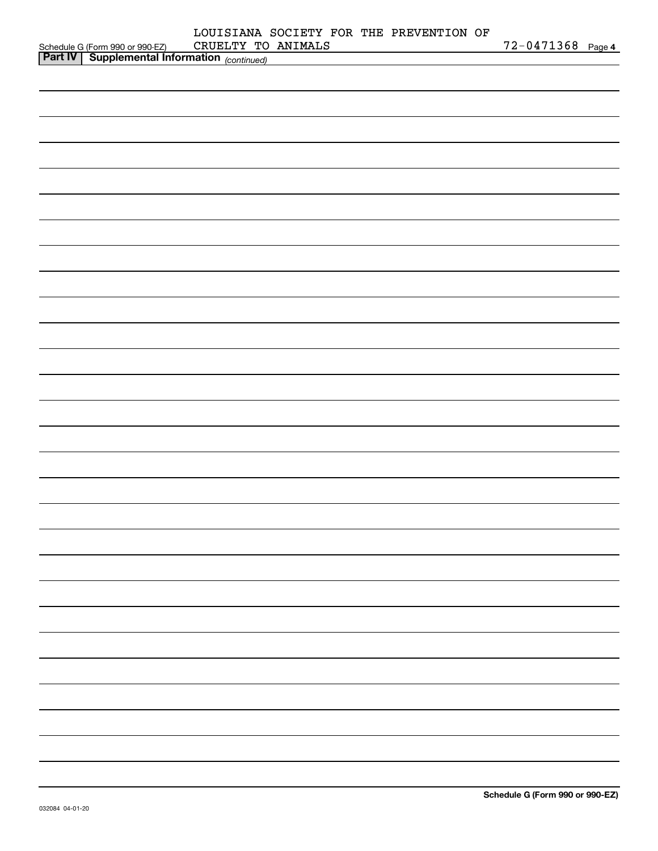|                                                                                            | LOUISIANA SOCIETY FOR THE PREVENTION OF |                   |  |
|--------------------------------------------------------------------------------------------|-----------------------------------------|-------------------|--|
| Schedule G (Form 990 or 990-EZ) CRUELTY TO<br>Part IV Supplemental Information (continued) | CRUELTY TO ANIMALS                      | 72-0471368 Page 4 |  |
|                                                                                            |                                         |                   |  |
|                                                                                            |                                         |                   |  |
|                                                                                            |                                         |                   |  |
|                                                                                            |                                         |                   |  |
|                                                                                            |                                         |                   |  |
|                                                                                            |                                         |                   |  |
|                                                                                            |                                         |                   |  |
|                                                                                            |                                         |                   |  |
|                                                                                            |                                         |                   |  |
|                                                                                            |                                         |                   |  |
|                                                                                            |                                         |                   |  |
|                                                                                            |                                         |                   |  |
|                                                                                            |                                         |                   |  |
|                                                                                            |                                         |                   |  |
|                                                                                            |                                         |                   |  |
|                                                                                            |                                         |                   |  |
|                                                                                            |                                         |                   |  |
|                                                                                            |                                         |                   |  |
|                                                                                            |                                         |                   |  |
|                                                                                            |                                         |                   |  |
|                                                                                            |                                         |                   |  |
|                                                                                            |                                         |                   |  |
|                                                                                            |                                         |                   |  |
|                                                                                            |                                         |                   |  |
|                                                                                            |                                         |                   |  |
|                                                                                            |                                         |                   |  |
|                                                                                            |                                         |                   |  |
|                                                                                            |                                         |                   |  |
|                                                                                            |                                         |                   |  |
|                                                                                            |                                         |                   |  |
|                                                                                            |                                         |                   |  |
|                                                                                            |                                         |                   |  |
|                                                                                            |                                         |                   |  |
|                                                                                            |                                         |                   |  |
|                                                                                            |                                         |                   |  |
|                                                                                            |                                         |                   |  |
|                                                                                            |                                         |                   |  |
|                                                                                            |                                         |                   |  |
|                                                                                            |                                         |                   |  |
|                                                                                            |                                         |                   |  |
|                                                                                            |                                         |                   |  |
|                                                                                            |                                         |                   |  |
|                                                                                            |                                         |                   |  |
|                                                                                            |                                         |                   |  |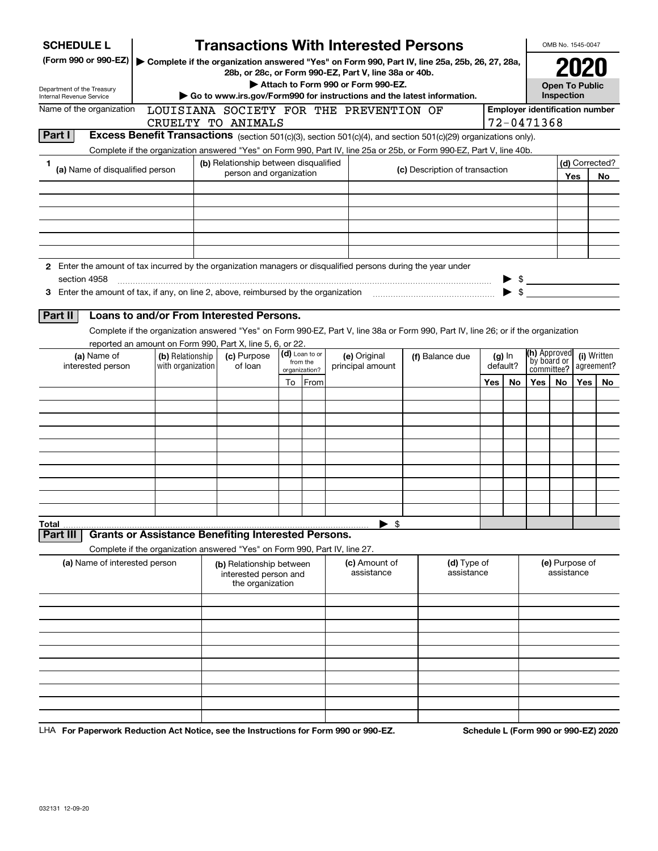| <b>SCHEDULE L</b>                                                                                             |                                                                            |                                                                       |    |                       | <b>Transactions With Interested Persons</b>           |                          |                                                                                                                                    |          |          |                                                          | OMB No. 1545-0047            |     |                           |
|---------------------------------------------------------------------------------------------------------------|----------------------------------------------------------------------------|-----------------------------------------------------------------------|----|-----------------------|-------------------------------------------------------|--------------------------|------------------------------------------------------------------------------------------------------------------------------------|----------|----------|----------------------------------------------------------|------------------------------|-----|---------------------------|
| (Form 990 or 990-EZ)                                                                                          |                                                                            |                                                                       |    |                       | 28b, or 28c, or Form 990-EZ, Part V, line 38a or 40b. |                          | ▶ Complete if the organization answered "Yes" on Form 990, Part IV, line 25a, 25b, 26, 27, 28a,                                    |          |          |                                                          |                              |     |                           |
| Department of the Treasury                                                                                    |                                                                            |                                                                       |    |                       | Attach to Form 990 or Form 990-EZ.                    |                          |                                                                                                                                    |          |          |                                                          | <b>Open To Public</b>        |     |                           |
| <b>Internal Revenue Service</b>                                                                               |                                                                            |                                                                       |    |                       |                                                       |                          | Go to www.irs.gov/Form990 for instructions and the latest information.                                                             |          |          |                                                          | Inspection                   |     |                           |
| Name of the organization                                                                                      |                                                                            |                                                                       |    |                       | LOUISIANA SOCIETY FOR THE PREVENTION OF               |                          |                                                                                                                                    |          |          | <b>Employer identification number</b>                    |                              |     |                           |
| <b>Part I</b>                                                                                                 |                                                                            | CRUELTY TO ANIMALS                                                    |    |                       |                                                       |                          | Excess Benefit Transactions (section 501(c)(3), section 501(c)(4), and section 501(c)(29) organizations only).                     |          |          | 72-0471368                                               |                              |     |                           |
|                                                                                                               |                                                                            |                                                                       |    |                       |                                                       |                          | Complete if the organization answered "Yes" on Form 990, Part IV, line 25a or 25b, or Form 990-EZ, Part V, line 40b.               |          |          |                                                          |                              |     |                           |
| 1                                                                                                             |                                                                            | (b) Relationship between disqualified                                 |    |                       |                                                       |                          |                                                                                                                                    |          |          |                                                          |                              |     | (d) Corrected?            |
| (a) Name of disqualified person                                                                               |                                                                            | person and organization                                               |    |                       |                                                       |                          | (c) Description of transaction                                                                                                     |          |          |                                                          |                              | Yes | No                        |
|                                                                                                               |                                                                            |                                                                       |    |                       |                                                       |                          |                                                                                                                                    |          |          |                                                          |                              |     |                           |
|                                                                                                               |                                                                            |                                                                       |    |                       |                                                       |                          |                                                                                                                                    |          |          |                                                          |                              |     |                           |
|                                                                                                               |                                                                            |                                                                       |    |                       |                                                       |                          |                                                                                                                                    |          |          |                                                          |                              |     |                           |
|                                                                                                               |                                                                            |                                                                       |    |                       |                                                       |                          |                                                                                                                                    |          |          |                                                          |                              |     |                           |
|                                                                                                               |                                                                            |                                                                       |    |                       |                                                       |                          |                                                                                                                                    |          |          |                                                          |                              |     |                           |
| 2 Enter the amount of tax incurred by the organization managers or disqualified persons during the year under |                                                                            |                                                                       |    |                       |                                                       |                          |                                                                                                                                    |          |          |                                                          |                              |     |                           |
| section 4958                                                                                                  |                                                                            |                                                                       |    |                       |                                                       |                          |                                                                                                                                    |          |          |                                                          |                              |     |                           |
|                                                                                                               |                                                                            |                                                                       |    |                       |                                                       |                          |                                                                                                                                    |          |          | $\begin{array}{c}\n\circ \\ \circ \\ \circ\n\end{array}$ |                              |     |                           |
|                                                                                                               |                                                                            |                                                                       |    |                       |                                                       |                          |                                                                                                                                    |          |          |                                                          |                              |     |                           |
| Part II                                                                                                       | Loans to and/or From Interested Persons.                                   |                                                                       |    |                       |                                                       |                          |                                                                                                                                    |          |          |                                                          |                              |     |                           |
|                                                                                                               |                                                                            |                                                                       |    |                       |                                                       |                          | Complete if the organization answered "Yes" on Form 990-EZ, Part V, line 38a or Form 990, Part IV, line 26; or if the organization |          |          |                                                          |                              |     |                           |
|                                                                                                               | reported an amount on Form 990, Part X, line 5, 6, or 22.                  |                                                                       |    | (d) Loan to or        |                                                       |                          |                                                                                                                                    |          |          | (h) Approved                                             |                              |     |                           |
| (a) Name of<br>interested person                                                                              | (b) Relationship<br>with organization                                      | (c) Purpose<br>of loan                                                |    | from the              | (e) Original<br>principal amount                      |                          | (f) Balance due                                                                                                                    | default? | $(g)$ In | by board or<br>committee?                                |                              |     | (i) Written<br>agreement? |
|                                                                                                               |                                                                            |                                                                       | To | organization?<br>From |                                                       |                          |                                                                                                                                    | Yes      | No.      | Yes                                                      | No.                          | Yes | No.                       |
|                                                                                                               |                                                                            |                                                                       |    |                       |                                                       |                          |                                                                                                                                    |          |          |                                                          |                              |     |                           |
|                                                                                                               |                                                                            |                                                                       |    |                       |                                                       |                          |                                                                                                                                    |          |          |                                                          |                              |     |                           |
|                                                                                                               |                                                                            |                                                                       |    |                       |                                                       |                          |                                                                                                                                    |          |          |                                                          |                              |     |                           |
|                                                                                                               |                                                                            |                                                                       |    |                       |                                                       |                          |                                                                                                                                    |          |          |                                                          |                              |     |                           |
|                                                                                                               |                                                                            |                                                                       |    |                       |                                                       |                          |                                                                                                                                    |          |          |                                                          |                              |     |                           |
|                                                                                                               |                                                                            |                                                                       |    |                       |                                                       |                          |                                                                                                                                    |          |          |                                                          |                              |     |                           |
|                                                                                                               |                                                                            |                                                                       |    |                       |                                                       |                          |                                                                                                                                    |          |          |                                                          |                              |     |                           |
|                                                                                                               |                                                                            |                                                                       |    |                       |                                                       |                          |                                                                                                                                    |          |          |                                                          |                              |     |                           |
|                                                                                                               |                                                                            |                                                                       |    |                       |                                                       |                          |                                                                                                                                    |          |          |                                                          |                              |     |                           |
| Total                                                                                                         |                                                                            |                                                                       |    |                       |                                                       | $\blacktriangleright$ \$ |                                                                                                                                    |          |          |                                                          |                              |     |                           |
| Part III                                                                                                      | <b>Grants or Assistance Benefiting Interested Persons.</b>                 |                                                                       |    |                       |                                                       |                          |                                                                                                                                    |          |          |                                                          |                              |     |                           |
|                                                                                                               | Complete if the organization answered "Yes" on Form 990, Part IV, line 27. |                                                                       |    |                       |                                                       |                          |                                                                                                                                    |          |          |                                                          |                              |     |                           |
| (a) Name of interested person                                                                                 |                                                                            | (b) Relationship between<br>interested person and<br>the organization |    |                       | (c) Amount of<br>assistance                           |                          | (d) Type of<br>assistance                                                                                                          |          |          |                                                          | (e) Purpose of<br>assistance |     |                           |
|                                                                                                               |                                                                            |                                                                       |    |                       |                                                       |                          |                                                                                                                                    |          |          |                                                          |                              |     |                           |
|                                                                                                               |                                                                            |                                                                       |    |                       |                                                       |                          |                                                                                                                                    |          |          |                                                          |                              |     |                           |
|                                                                                                               |                                                                            |                                                                       |    |                       |                                                       |                          |                                                                                                                                    |          |          |                                                          |                              |     |                           |
|                                                                                                               |                                                                            |                                                                       |    |                       |                                                       |                          |                                                                                                                                    |          |          |                                                          |                              |     |                           |
|                                                                                                               |                                                                            |                                                                       |    |                       |                                                       |                          |                                                                                                                                    |          |          |                                                          |                              |     |                           |
|                                                                                                               |                                                                            |                                                                       |    |                       |                                                       |                          |                                                                                                                                    |          |          |                                                          |                              |     |                           |
|                                                                                                               |                                                                            |                                                                       |    |                       |                                                       |                          |                                                                                                                                    |          |          |                                                          |                              |     |                           |
|                                                                                                               |                                                                            |                                                                       |    |                       |                                                       |                          |                                                                                                                                    |          |          |                                                          |                              |     |                           |
|                                                                                                               |                                                                            |                                                                       |    |                       |                                                       |                          |                                                                                                                                    |          |          |                                                          |                              |     |                           |
|                                                                                                               |                                                                            |                                                                       |    |                       |                                                       |                          |                                                                                                                                    |          |          |                                                          |                              |     |                           |

LHA For Paperwork Reduction Act Notice, see the Instructions for Form 990 or 990-EZ. Schedule L (Form 990 or 990-EZ) 2020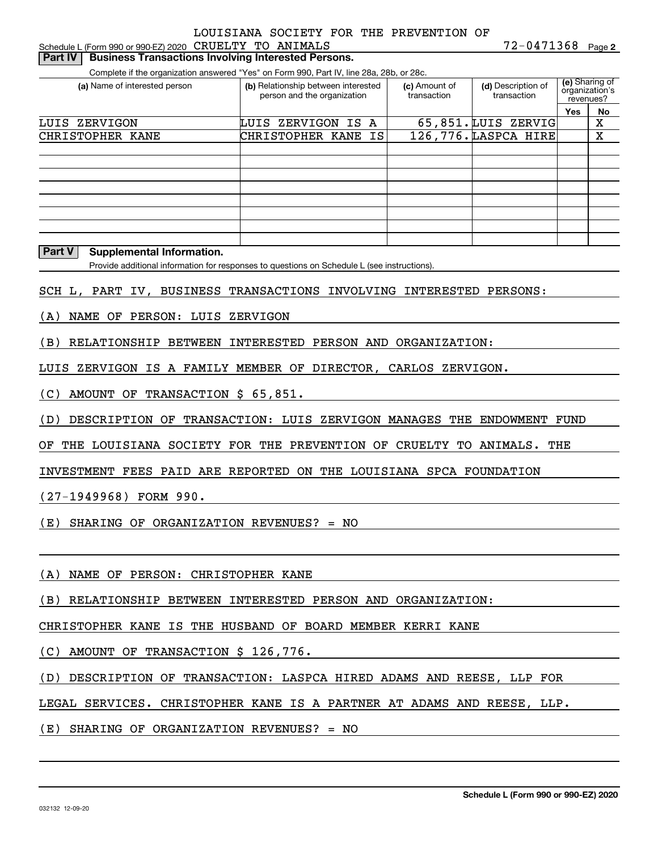| Schedule L (Form 990 or 990-EZ) 2020 CRUELTY TO ANIMALS<br><b>Business Transactions Involving Interested Persons.</b><br>Part IV | TOIMMA DOCIDII ION IND INDVONTION                                                                                                                              |                              | 72-0471368 Page 2                 |                                                            |  |
|----------------------------------------------------------------------------------------------------------------------------------|----------------------------------------------------------------------------------------------------------------------------------------------------------------|------------------------------|-----------------------------------|------------------------------------------------------------|--|
|                                                                                                                                  |                                                                                                                                                                |                              |                                   |                                                            |  |
| (a) Name of interested person                                                                                                    | Complete if the organization answered "Yes" on Form 990, Part IV, line 28a, 28b, or 28c.<br>(b) Relationship between interested<br>person and the organization | (c) Amount of<br>transaction | (d) Description of<br>transaction | (e) Sharing of<br>organization's<br>revenues?<br>Yes<br>No |  |
| LUIS ZERVIGON                                                                                                                    | LUIS ZERVIGON IS A                                                                                                                                             |                              | 65,851. LUIS ZERVIG               | $\mathbf X$                                                |  |
| CHRISTOPHER KANE                                                                                                                 | CHRISTOPHER KANE<br>IS                                                                                                                                         |                              | 126,776. LASPCA HIRE              | X                                                          |  |
|                                                                                                                                  |                                                                                                                                                                |                              |                                   |                                                            |  |
| Part V<br><b>Supplemental Information.</b>                                                                                       |                                                                                                                                                                |                              |                                   |                                                            |  |
|                                                                                                                                  | Provide additional information for responses to questions on Schedule L (see instructions).                                                                    |                              |                                   |                                                            |  |
|                                                                                                                                  |                                                                                                                                                                |                              |                                   |                                                            |  |
| SCH L, PART IV, BUSINESS TRANSACTIONS INVOLVING INTERESTED PERSONS:                                                              |                                                                                                                                                                |                              |                                   |                                                            |  |
| NAME OF PERSON: LUIS<br>(A)                                                                                                      | ZERVIGON                                                                                                                                                       |                              |                                   |                                                            |  |
| RELATIONSHIP BETWEEN<br>(B)                                                                                                      | INTERESTED PERSON AND ORGANIZATION:                                                                                                                            |                              |                                   |                                                            |  |
| ZERVIGON IS A FAMILY MEMBER OF DIRECTOR, CARLOS ZERVIGON.<br>LUIS                                                                |                                                                                                                                                                |                              |                                   |                                                            |  |
| (C)<br>AMOUNT OF<br>TRANSACTION \$ 65,851.                                                                                       |                                                                                                                                                                |                              |                                   |                                                            |  |
| DESCRIPTION OF TRANSACTION: LUIS ZERVIGON MANAGES THE ENDOWMENT FUND<br>(D)                                                      |                                                                                                                                                                |                              |                                   |                                                            |  |
| THE LOUISIANA SOCIETY FOR THE PREVENTION OF CRUELTY<br>ΟF                                                                        |                                                                                                                                                                |                              | TO ANIMALS.                       | THE                                                        |  |
| INVESTMENT FEES PAID ARE REPORTED ON THE LOUISIANA SPCA FOUNDATION                                                               |                                                                                                                                                                |                              |                                   |                                                            |  |
| (27-1949968) FORM 990.                                                                                                           |                                                                                                                                                                |                              |                                   |                                                            |  |
| SHARING OF ORGANIZATION REVENUES? = NO<br>(E)                                                                                    |                                                                                                                                                                |                              |                                   |                                                            |  |
| NAME OF PERSON: CHRISTOPHER KANE<br>(A)                                                                                          |                                                                                                                                                                |                              |                                   |                                                            |  |
| RELATIONSHIP BETWEEN INTERESTED PERSON AND ORGANIZATION:<br>(B)                                                                  |                                                                                                                                                                |                              |                                   |                                                            |  |
| CHRISTOPHER KANE IS THE HUSBAND OF BOARD MEMBER KERRI KANE                                                                       |                                                                                                                                                                |                              |                                   |                                                            |  |
|                                                                                                                                  |                                                                                                                                                                |                              |                                   |                                                            |  |
| (C)<br>AMOUNT OF TRANSACTION \$ 126,776.                                                                                         |                                                                                                                                                                |                              |                                   |                                                            |  |
| DESCRIPTION OF TRANSACTION: LASPCA HIRED ADAMS AND REESE, LLP FOR<br>(D)                                                         |                                                                                                                                                                |                              |                                   |                                                            |  |
| LEGAL SERVICES. CHRISTOPHER KANE IS A PARTNER AT ADAMS AND REESE, LLP.                                                           |                                                                                                                                                                |                              |                                   |                                                            |  |
| (E)<br>SHARING OF ORGANIZATION REVENUES? = NO                                                                                    |                                                                                                                                                                |                              |                                   |                                                            |  |
|                                                                                                                                  |                                                                                                                                                                |                              |                                   |                                                            |  |
|                                                                                                                                  |                                                                                                                                                                |                              |                                   |                                                            |  |

**Schedule L (Form 990 or 990-EZ) 2020**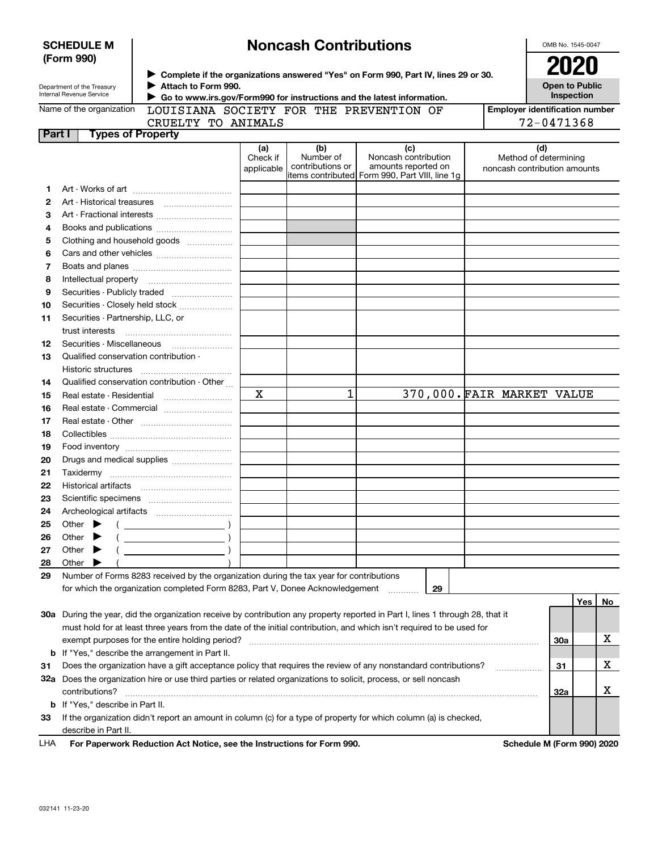|         | <b>Noncash Contributions</b><br><b>SCHEDULE M</b><br>OMB No. 1545-0047 |                                                                                         |             |                  |                                                                                                                                |                                       |                                     |     |    |  |
|---------|------------------------------------------------------------------------|-----------------------------------------------------------------------------------------|-------------|------------------|--------------------------------------------------------------------------------------------------------------------------------|---------------------------------------|-------------------------------------|-----|----|--|
|         | (Form 990)                                                             |                                                                                         |             |                  |                                                                                                                                |                                       | 2020                                |     |    |  |
|         |                                                                        |                                                                                         |             |                  | > Complete if the organizations answered "Yes" on Form 990, Part IV, lines 29 or 30.                                           |                                       |                                     |     |    |  |
|         | Department of the Treasury<br>Internal Revenue Service                 | Attach to Form 990.                                                                     |             |                  |                                                                                                                                |                                       | <b>Open to Public</b><br>Inspection |     |    |  |
|         |                                                                        |                                                                                         |             |                  | Go to www.irs.gov/Form990 for instructions and the latest information.                                                         |                                       |                                     |     |    |  |
|         | Name of the organization                                               |                                                                                         |             |                  | LOUISIANA SOCIETY FOR THE PREVENTION OF                                                                                        | <b>Employer identification number</b> |                                     |     |    |  |
| Part I  |                                                                        | CRUELTY TO ANIMALS<br><b>Types of Property</b>                                          |             |                  |                                                                                                                                |                                       | 72-0471368                          |     |    |  |
|         |                                                                        |                                                                                         | (a)         | (b)              | (c)                                                                                                                            |                                       | (d)                                 |     |    |  |
|         |                                                                        |                                                                                         | Check if    | Number of        | Noncash contribution                                                                                                           |                                       | Method of determining               |     |    |  |
|         |                                                                        |                                                                                         | applicable  | contributions or | amounts reported on<br>litems contributed Form 990, Part VIII, line 1g                                                         | noncash contribution amounts          |                                     |     |    |  |
|         |                                                                        |                                                                                         |             |                  |                                                                                                                                |                                       |                                     |     |    |  |
| 1.<br>2 |                                                                        |                                                                                         |             |                  |                                                                                                                                |                                       |                                     |     |    |  |
| З       |                                                                        |                                                                                         |             |                  |                                                                                                                                |                                       |                                     |     |    |  |
| 4       |                                                                        |                                                                                         |             |                  |                                                                                                                                |                                       |                                     |     |    |  |
| 5       |                                                                        | Clothing and household goods                                                            |             |                  |                                                                                                                                |                                       |                                     |     |    |  |
| 6       |                                                                        |                                                                                         |             |                  |                                                                                                                                |                                       |                                     |     |    |  |
| 7       |                                                                        |                                                                                         |             |                  |                                                                                                                                |                                       |                                     |     |    |  |
| 8       |                                                                        |                                                                                         |             |                  |                                                                                                                                |                                       |                                     |     |    |  |
| 9       |                                                                        |                                                                                         |             |                  |                                                                                                                                |                                       |                                     |     |    |  |
| 10      |                                                                        | Securities - Closely held stock                                                         |             |                  |                                                                                                                                |                                       |                                     |     |    |  |
| 11      |                                                                        | Securities - Partnership, LLC, or                                                       |             |                  |                                                                                                                                |                                       |                                     |     |    |  |
|         | trust interests                                                        |                                                                                         |             |                  |                                                                                                                                |                                       |                                     |     |    |  |
| 12      | Securities - Miscellaneous                                             |                                                                                         |             |                  |                                                                                                                                |                                       |                                     |     |    |  |
| 13      |                                                                        | Qualified conservation contribution -                                                   |             |                  |                                                                                                                                |                                       |                                     |     |    |  |
|         | Historic structures                                                    |                                                                                         |             |                  |                                                                                                                                |                                       |                                     |     |    |  |
| 14      |                                                                        | Qualified conservation contribution - Other                                             |             |                  |                                                                                                                                |                                       |                                     |     |    |  |
| 15      |                                                                        | Real estate - Residential                                                               | $\mathbf X$ | 1                |                                                                                                                                | 370,000. FAIR MARKET VALUE            |                                     |     |    |  |
| 16      |                                                                        | Real estate - Commercial                                                                |             |                  |                                                                                                                                |                                       |                                     |     |    |  |
| 17      |                                                                        |                                                                                         |             |                  |                                                                                                                                |                                       |                                     |     |    |  |
| 18      |                                                                        |                                                                                         |             |                  |                                                                                                                                |                                       |                                     |     |    |  |
| 19      |                                                                        |                                                                                         |             |                  |                                                                                                                                |                                       |                                     |     |    |  |
| 20      |                                                                        |                                                                                         |             |                  |                                                                                                                                |                                       |                                     |     |    |  |
| 21      |                                                                        |                                                                                         |             |                  |                                                                                                                                |                                       |                                     |     |    |  |
| 22      |                                                                        |                                                                                         |             |                  |                                                                                                                                |                                       |                                     |     |    |  |
| 23      |                                                                        |                                                                                         |             |                  |                                                                                                                                |                                       |                                     |     |    |  |
| 24      |                                                                        |                                                                                         |             |                  |                                                                                                                                |                                       |                                     |     |    |  |
| 25      | Other                                                                  |                                                                                         |             |                  |                                                                                                                                |                                       |                                     |     |    |  |
| 26      | Other                                                                  | $\overline{\phantom{a}}$ )                                                              |             |                  |                                                                                                                                |                                       |                                     |     |    |  |
| 27      | Other                                                                  |                                                                                         |             |                  |                                                                                                                                |                                       |                                     |     |    |  |
| 28      | Other                                                                  |                                                                                         |             |                  |                                                                                                                                |                                       |                                     |     |    |  |
| 29      |                                                                        | Number of Forms 8283 received by the organization during the tax year for contributions |             |                  |                                                                                                                                |                                       |                                     |     |    |  |
|         |                                                                        | for which the organization completed Form 8283, Part V, Donee Acknowledgement           |             |                  | 29                                                                                                                             |                                       |                                     |     |    |  |
|         |                                                                        |                                                                                         |             |                  |                                                                                                                                |                                       |                                     | Yes | No |  |
|         |                                                                        |                                                                                         |             |                  | 30a During the year, did the organization receive by contribution any property reported in Part I, lines 1 through 28, that it |                                       |                                     |     |    |  |
|         |                                                                        |                                                                                         |             |                  | must hold for at least three years from the date of the initial contribution, and which isn't required to be used for          |                                       |                                     |     |    |  |
|         |                                                                        | exempt purposes for the entire holding period?                                          |             |                  |                                                                                                                                |                                       | 30a                                 |     | х  |  |
| b       |                                                                        | If "Yes," describe the arrangement in Part II.                                          |             |                  |                                                                                                                                |                                       |                                     |     |    |  |
| 31      |                                                                        |                                                                                         |             |                  | Does the organization have a gift acceptance policy that requires the review of any nonstandard contributions?                 |                                       | 31                                  |     | х  |  |
|         |                                                                        |                                                                                         |             |                  | 32a Does the organization hire or use third parties or related organizations to solicit, process, or sell noncash              |                                       |                                     |     |    |  |
|         | contributions?                                                         |                                                                                         |             |                  |                                                                                                                                |                                       | 32a                                 |     | х  |  |
|         | <b>b</b> If "Yes," describe in Part II.                                |                                                                                         |             |                  |                                                                                                                                |                                       |                                     |     |    |  |
| 33      |                                                                        |                                                                                         |             |                  | If the organization didn't report an amount in column (c) for a type of property for which column (a) is checked,              |                                       |                                     |     |    |  |
|         | describe in Part II.                                                   |                                                                                         |             |                  |                                                                                                                                |                                       |                                     |     |    |  |

For Paperwork Reduction Act Notice, see the Instructions for Form 990. **Schedule M** (Form 990) 2020 LHA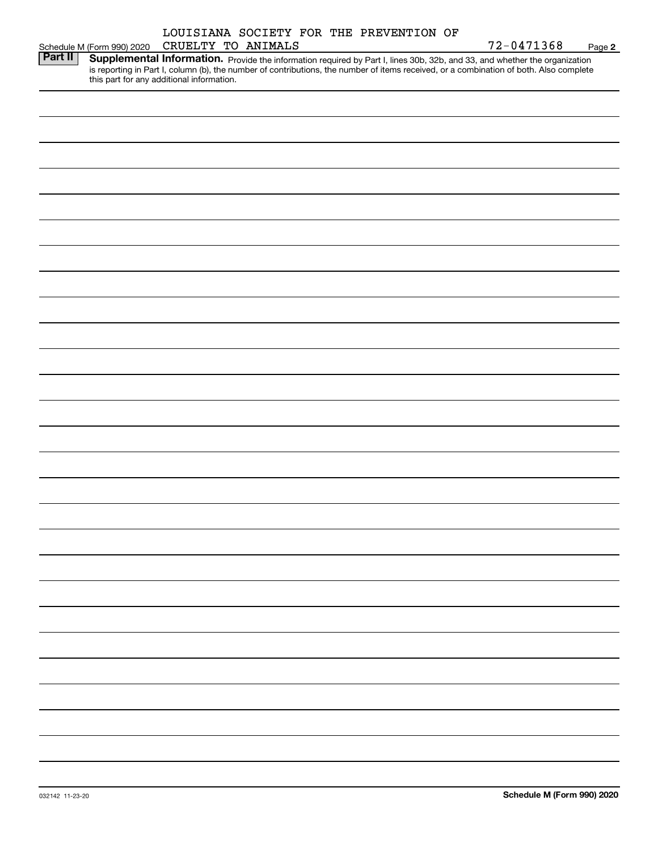|                |                                           |                    | LOUISIANA SOCIETY FOR THE PREVENTION OF |                                                                                                                                                                                                                                                                      |        |
|----------------|-------------------------------------------|--------------------|-----------------------------------------|----------------------------------------------------------------------------------------------------------------------------------------------------------------------------------------------------------------------------------------------------------------------|--------|
|                | Schedule M (Form 990) 2020                | CRUELTY TO ANIMALS |                                         | 72-0471368                                                                                                                                                                                                                                                           | Page 2 |
| <b>Part II</b> | this part for any additional information. |                    |                                         | Supplemental Information. Provide the information required by Part I, lines 30b, 32b, and 33, and whether the organization<br>is reporting in Part I, column (b), the number of contributions, the number of items received, or a combination of both. Also complete |        |
|                |                                           |                    |                                         |                                                                                                                                                                                                                                                                      |        |
|                |                                           |                    |                                         |                                                                                                                                                                                                                                                                      |        |
|                |                                           |                    |                                         |                                                                                                                                                                                                                                                                      |        |
|                |                                           |                    |                                         |                                                                                                                                                                                                                                                                      |        |
|                |                                           |                    |                                         |                                                                                                                                                                                                                                                                      |        |
|                |                                           |                    |                                         |                                                                                                                                                                                                                                                                      |        |
|                |                                           |                    |                                         |                                                                                                                                                                                                                                                                      |        |
|                |                                           |                    |                                         |                                                                                                                                                                                                                                                                      |        |
|                |                                           |                    |                                         |                                                                                                                                                                                                                                                                      |        |
|                |                                           |                    |                                         |                                                                                                                                                                                                                                                                      |        |
|                |                                           |                    |                                         |                                                                                                                                                                                                                                                                      |        |
|                |                                           |                    |                                         |                                                                                                                                                                                                                                                                      |        |
|                |                                           |                    |                                         |                                                                                                                                                                                                                                                                      |        |
|                |                                           |                    |                                         |                                                                                                                                                                                                                                                                      |        |
|                |                                           |                    |                                         |                                                                                                                                                                                                                                                                      |        |
|                |                                           |                    |                                         |                                                                                                                                                                                                                                                                      |        |
|                |                                           |                    |                                         |                                                                                                                                                                                                                                                                      |        |
|                |                                           |                    |                                         |                                                                                                                                                                                                                                                                      |        |
|                |                                           |                    |                                         |                                                                                                                                                                                                                                                                      |        |
|                |                                           |                    |                                         |                                                                                                                                                                                                                                                                      |        |
|                |                                           |                    |                                         |                                                                                                                                                                                                                                                                      |        |
|                |                                           |                    |                                         |                                                                                                                                                                                                                                                                      |        |
|                |                                           |                    |                                         |                                                                                                                                                                                                                                                                      |        |
|                |                                           |                    |                                         |                                                                                                                                                                                                                                                                      |        |
|                |                                           |                    |                                         |                                                                                                                                                                                                                                                                      |        |
|                |                                           |                    |                                         |                                                                                                                                                                                                                                                                      |        |
|                |                                           |                    |                                         |                                                                                                                                                                                                                                                                      |        |
|                |                                           |                    |                                         |                                                                                                                                                                                                                                                                      |        |
|                |                                           |                    |                                         |                                                                                                                                                                                                                                                                      |        |
|                |                                           |                    |                                         |                                                                                                                                                                                                                                                                      |        |
|                |                                           |                    |                                         |                                                                                                                                                                                                                                                                      |        |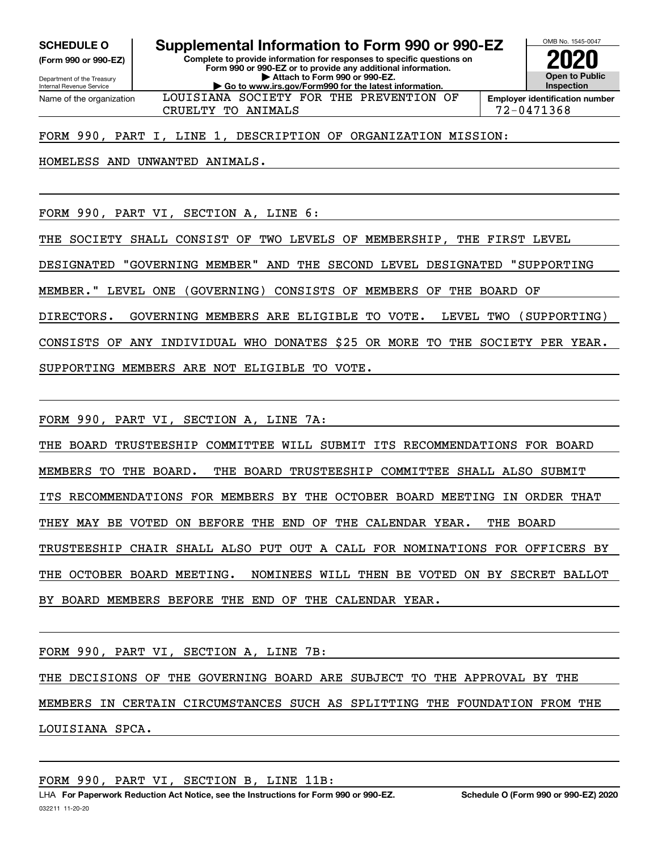Internal Revenue Service

Department of the Treasury **(Form 990 or 990-EZ)**

**Complete to provide information for responses to specific questions on Form 990 or 990-EZ or to provide any additional information. | Attach to Form 990 or 990-EZ. | Go to www.irs.gov/Form990 for the latest information. SCHEDULE O Supplemental Information to Form 990 or 990-EZ**



Name of the organization

CRUELTY TO ANIMALS 72-0471368 LOUISIANA SOCIETY FOR THE PREVENTION OF

FORM 990, PART I, LINE 1, DESCRIPTION OF ORGANIZATION MISSION:

HOMELESS AND UNWANTED ANIMALS.

FORM 990, PART VI, SECTION A, LINE 6:

THE SOCIETY SHALL CONSIST OF TWO LEVELS OF MEMBERSHIP, THE FIRST LEVEL

DESIGNATED "GOVERNING MEMBER" AND THE SECOND LEVEL DESIGNATED "SUPPORTING

MEMBER." LEVEL ONE (GOVERNING) CONSISTS OF MEMBERS OF THE BOARD OF

DIRECTORS. GOVERNING MEMBERS ARE ELIGIBLE TO VOTE. LEVEL TWO (SUPPORTING)

CONSISTS OF ANY INDIVIDUAL WHO DONATES \$25 OR MORE TO THE SOCIETY PER YEAR.

SUPPORTING MEMBERS ARE NOT ELIGIBLE TO VOTE.

FORM 990, PART VI, SECTION A, LINE 7A:

THE BOARD TRUSTEESHIP COMMITTEE WILL SUBMIT ITS RECOMMENDATIONS FOR BOARD MEMBERS TO THE BOARD. THE BOARD TRUSTEESHIP COMMITTEE SHALL ALSO SUBMIT ITS RECOMMENDATIONS FOR MEMBERS BY THE OCTOBER BOARD MEETING IN ORDER THAT THEY MAY BE VOTED ON BEFORE THE END OF THE CALENDAR YEAR. THE BOARD TRUSTEESHIP CHAIR SHALL ALSO PUT OUT A CALL FOR NOMINATIONS FOR OFFICERS BY THE OCTOBER BOARD MEETING. NOMINEES WILL THEN BE VOTED ON BY SECRET BALLOT BY BOARD MEMBERS BEFORE THE END OF THE CALENDAR YEAR.

FORM 990, PART VI, SECTION A, LINE 7B:

THE DECISIONS OF THE GOVERNING BOARD ARE SUBJECT TO THE APPROVAL BY THE MEMBERS IN CERTAIN CIRCUMSTANCES SUCH AS SPLITTING THE FOUNDATION FROM THE LOUISIANA SPCA.

FORM 990, PART VI, SECTION B, LINE 11B: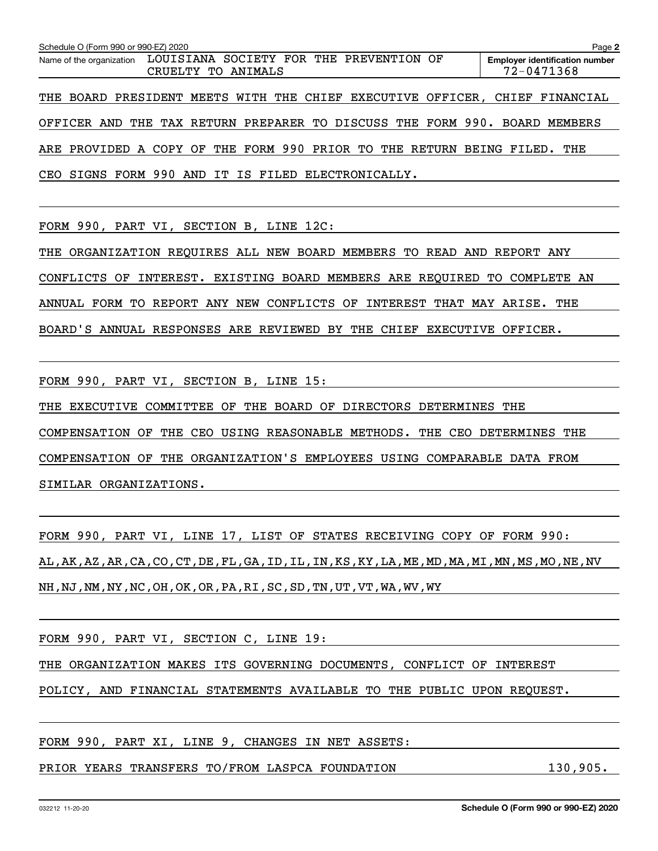| Schedule O (Form 990 or 990-EZ) 2020                                        |                    |  |  |            | Page 2                                |
|-----------------------------------------------------------------------------|--------------------|--|--|------------|---------------------------------------|
| Name of the organization LOUISIANA SOCIETY FOR THE PREVENTION OF            | CRUELTY TO ANIMALS |  |  | 72-0471368 | <b>Employer identification number</b> |
| THE BOARD PRESIDENT MEETS WITH THE CHIEF EXECUTIVE OFFICER, CHIEF FINANCIAL |                    |  |  |            |                                       |
| OFFICER AND THE TAX RETURN PREPARER TO DISCUSS THE FORM 990. BOARD MEMBERS  |                    |  |  |            |                                       |
| ARE PROVIDED A COPY OF THE FORM 990 PRIOR TO THE RETURN BEING FILED. THE    |                    |  |  |            |                                       |
| CEO SIGNS FORM 990 AND IT IS FILED ELECTRONICALLY.                          |                    |  |  |            |                                       |

FORM 990, PART VI, SECTION B, LINE 12C:

THE ORGANIZATION REQUIRES ALL NEW BOARD MEMBERS TO READ AND REPORT ANY CONFLICTS OF INTEREST. EXISTING BOARD MEMBERS ARE REQUIRED TO COMPLETE AN ANNUAL FORM TO REPORT ANY NEW CONFLICTS OF INTEREST THAT MAY ARISE. THE BOARD'S ANNUAL RESPONSES ARE REVIEWED BY THE CHIEF EXECUTIVE OFFICER.

FORM 990, PART VI, SECTION B, LINE 15:

THE EXECUTIVE COMMITTEE OF THE BOARD OF DIRECTORS DETERMINES THE

COMPENSATION OF THE CEO USING REASONABLE METHODS. THE CEO DETERMINES THE

COMPENSATION OF THE ORGANIZATION'S EMPLOYEES USING COMPARABLE DATA FROM

SIMILAR ORGANIZATIONS.

FORM 990, PART VI, LINE 17, LIST OF STATES RECEIVING COPY OF FORM 990: AL,AK,AZ,AR,CA,CO,CT,DE,FL,GA,ID,IL,IN,KS,KY,LA,ME,MD,MA,MI,MN,MS,MO,NE,NV NH,NJ,NM,NY,NC,OH,OK,OR,PA,RI,SC,SD,TN,UT,VT,WA,WV,WY

FORM 990, PART VI, SECTION C, LINE 19:

THE ORGANIZATION MAKES ITS GOVERNING DOCUMENTS, CONFLICT OF INTEREST

POLICY, AND FINANCIAL STATEMENTS AVAILABLE TO THE PUBLIC UPON REQUEST.

FORM 990, PART XI, LINE 9, CHANGES IN NET ASSETS:

PRIOR YEARS TRANSFERS TO/FROM LASPCA FOUNDATION 130,905.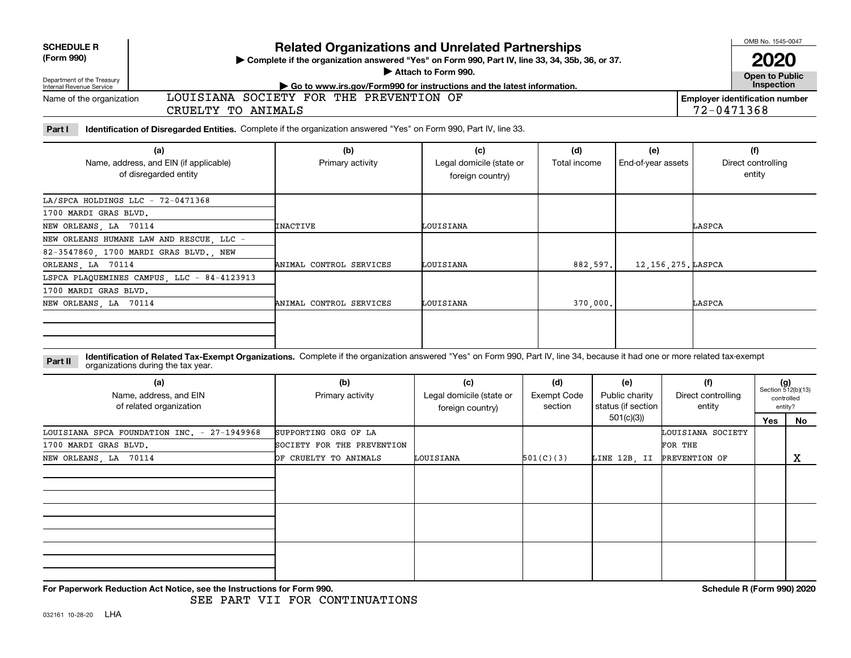| <b>SCHEDULE R</b> |
|-------------------|
|                   |

#### **(Form 990)**

## Department of the Treasury

## **Related Organizations and Unrelated Partnerships**

**Complete if the organization answered "Yes" on Form 990, Part IV, line 33, 34, 35b, 36, or 37.** |

**Attach to Form 990.**  |

**Open to Public**

| <u>, populational of the floudure</u><br>Internal Revenue Service | $\star$ Go to www.irs.gov/Form990 for instructions and the latest information. | Inspection                     |
|-------------------------------------------------------------------|--------------------------------------------------------------------------------|--------------------------------|
| Name of the organization                                          | LOUISIANA SOCIETY FOR THE PREVENTION                                           | Employer identification number |
|                                                                   | CRUELTY<br>TO ANIMALS                                                          | 2-0471368                      |

**Part I Identification of Disregarded Entities.**  Complete if the organization answered "Yes" on Form 990, Part IV, line 33.

| (a)<br>Name, address, and EIN (if applicable)<br>of disregarded entity | (b)<br>Primary activity | (c)<br>Legal domicile (state or<br>foreign country) | (d)<br>Total income | (e)<br>End-of-year assets | (f)<br>Direct controlling<br>entity |
|------------------------------------------------------------------------|-------------------------|-----------------------------------------------------|---------------------|---------------------------|-------------------------------------|
| $LA/SPCA$ HOLDINGS $LLC - 72-0471368$                                  |                         |                                                     |                     |                           |                                     |
| 1700 MARDI GRAS BLVD.                                                  |                         |                                                     |                     |                           |                                     |
| NEW ORLEANS, LA 70114                                                  | <b>INACTIVE</b>         | LOUISIANA                                           |                     |                           | LASPCA                              |
| NEW ORLEANS HUMANE LAW AND RESCUE, LLC -                               |                         |                                                     |                     |                           |                                     |
| 82-3547860, 1700 MARDI GRAS BLVD., NEW                                 |                         |                                                     |                     |                           |                                     |
| ORLEANS, LA 70114                                                      | ANIMAL CONTROL SERVICES | LOUISIANA                                           | 882,597.            | 12, 156, 275. LASPCA      |                                     |
| LSPCA PLAQUEMINES CAMPUS, LLC - 84-4123913                             |                         |                                                     |                     |                           |                                     |
| 1700 MARDI GRAS BLVD.                                                  |                         |                                                     |                     |                           |                                     |
| NEW ORLEANS, LA 70114                                                  | ANIMAL CONTROL SERVICES | LOUISIANA                                           | 370,000.            |                           | LASPCA                              |
|                                                                        |                         |                                                     |                     |                           |                                     |

**Identification of Related Tax-Exempt Organizations.** Complete if the organization answered "Yes" on Form 990, Part IV, line 34, because it had one or more related tax-exempt **Part II** organizations during the tax year.

| (a)<br>Name, address, and EIN<br>of related organization | (b)<br>Primary activity    | (c)<br>Legal domicile (state or<br>foreign country) | (d)<br>Exempt Code<br>section | (e)<br>Public charity<br>status (if section | (f)<br>Direct controlling<br>entity | $(g)$<br>Section 512(b)(13) | controlled<br>entity? |
|----------------------------------------------------------|----------------------------|-----------------------------------------------------|-------------------------------|---------------------------------------------|-------------------------------------|-----------------------------|-----------------------|
|                                                          |                            |                                                     |                               | 501(c)(3))                                  |                                     | Yes                         | No                    |
| LOUISIANA SPCA FOUNDATION INC. - 27-1949968              | SUPPORTING ORG OF LA       |                                                     |                               |                                             | LOUISIANA SOCIETY                   |                             |                       |
| 1700 MARDI GRAS BLVD.                                    | SOCIETY FOR THE PREVENTION |                                                     |                               |                                             | FOR THE                             |                             |                       |
| NEW ORLEANS, LA 70114                                    | OF CRUELTY TO ANIMALS      | LOUISIANA                                           | 501(C)(3)                     | LINE 12B, II                                | PREVENTION OF                       |                             | х                     |
|                                                          |                            |                                                     |                               |                                             |                                     |                             |                       |
|                                                          |                            |                                                     |                               |                                             |                                     |                             |                       |
|                                                          |                            |                                                     |                               |                                             |                                     |                             |                       |

**For Paperwork Reduction Act Notice, see the Instructions for Form 990. Schedule R (Form 990) 2020**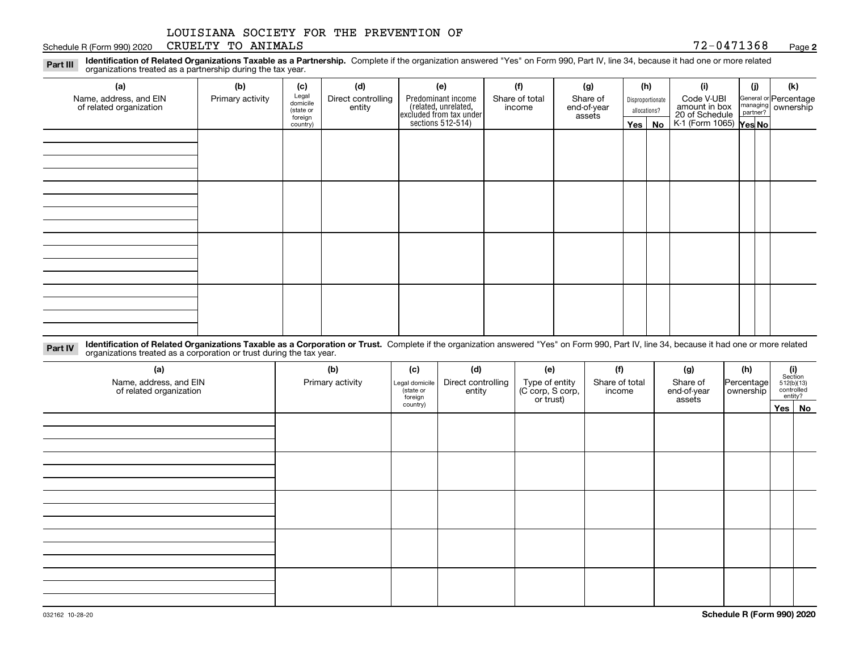#### Schedule R (Form 990) 2020 Page CRUELTY TO ANIMALS 72-0471368

**2**

**Identification of Related Organizations Taxable as a Partnership.** Complete if the organization answered "Yes" on Form 990, Part IV, line 34, because it had one or more related **Part III** organizations treated as a partnership during the tax year.

| (a)                     | (b)              | (c)                  | (d)                | (e)                                                                 | (f)            | (g)                   |                  | (h)          | (i)                                               | (i) | (k)                                                     |
|-------------------------|------------------|----------------------|--------------------|---------------------------------------------------------------------|----------------|-----------------------|------------------|--------------|---------------------------------------------------|-----|---------------------------------------------------------|
| Name, address, and EIN  | Primary activity | Legal<br>domicile    | Direct controlling | Predominant income                                                  | Share of total | Share of              | Disproportionate |              | Code V-UBI<br>amount in box                       |     | General or Percentage<br>managing ownership<br>partner? |
| of related organization |                  | (state or<br>foreign | entity             | related, unrelated,<br>excluded from tax under<br>sections 512-514) | income         | end-of-year<br>assets |                  | allocations? |                                                   |     |                                                         |
|                         |                  | country)             |                    |                                                                     |                |                       |                  | Yes   No     | 20 of Schedule Partner?<br>K-1 (Form 1065) Yes No |     |                                                         |
|                         |                  |                      |                    |                                                                     |                |                       |                  |              |                                                   |     |                                                         |
|                         |                  |                      |                    |                                                                     |                |                       |                  |              |                                                   |     |                                                         |
|                         |                  |                      |                    |                                                                     |                |                       |                  |              |                                                   |     |                                                         |
|                         |                  |                      |                    |                                                                     |                |                       |                  |              |                                                   |     |                                                         |
|                         |                  |                      |                    |                                                                     |                |                       |                  |              |                                                   |     |                                                         |
|                         |                  |                      |                    |                                                                     |                |                       |                  |              |                                                   |     |                                                         |
|                         |                  |                      |                    |                                                                     |                |                       |                  |              |                                                   |     |                                                         |
|                         |                  |                      |                    |                                                                     |                |                       |                  |              |                                                   |     |                                                         |
|                         |                  |                      |                    |                                                                     |                |                       |                  |              |                                                   |     |                                                         |
|                         |                  |                      |                    |                                                                     |                |                       |                  |              |                                                   |     |                                                         |
|                         |                  |                      |                    |                                                                     |                |                       |                  |              |                                                   |     |                                                         |
|                         |                  |                      |                    |                                                                     |                |                       |                  |              |                                                   |     |                                                         |
|                         |                  |                      |                    |                                                                     |                |                       |                  |              |                                                   |     |                                                         |
|                         |                  |                      |                    |                                                                     |                |                       |                  |              |                                                   |     |                                                         |
|                         |                  |                      |                    |                                                                     |                |                       |                  |              |                                                   |     |                                                         |
|                         |                  |                      |                    |                                                                     |                |                       |                  |              |                                                   |     |                                                         |
|                         |                  |                      |                    |                                                                     |                |                       |                  |              |                                                   |     |                                                         |

**Identification of Related Organizations Taxable as a Corporation or Trust.** Complete if the organization answered "Yes" on Form 990, Part IV, line 34, because it had one or more related **Part IV** organizations treated as a corporation or trust during the tax year.

| (a)<br>Name, address, and EIN<br>of related organization | (b)<br>Primary activity | (c)<br>Legal domicile<br>(state or<br>foreign | (d)<br>Direct controlling<br>entity | (e)<br>Type of entity<br>(C corp, S corp,<br>or trust) | (f)<br>Share of total<br>income | (g)<br>Share of<br>end-of-year<br>assets | (h)<br>Percentage<br>ownership | $\begin{array}{c} \textbf{(i)}\\ \text{Section}\\ 512 \text{(b)} \text{(13)}\\ \text{controlled}\\ \text{entity?} \end{array}$ |
|----------------------------------------------------------|-------------------------|-----------------------------------------------|-------------------------------------|--------------------------------------------------------|---------------------------------|------------------------------------------|--------------------------------|--------------------------------------------------------------------------------------------------------------------------------|
|                                                          |                         | country)                                      |                                     |                                                        |                                 |                                          |                                | Yes No                                                                                                                         |
|                                                          |                         |                                               |                                     |                                                        |                                 |                                          |                                |                                                                                                                                |
|                                                          |                         |                                               |                                     |                                                        |                                 |                                          |                                |                                                                                                                                |
|                                                          |                         |                                               |                                     |                                                        |                                 |                                          |                                |                                                                                                                                |
|                                                          |                         |                                               |                                     |                                                        |                                 |                                          |                                |                                                                                                                                |
|                                                          |                         |                                               |                                     |                                                        |                                 |                                          |                                |                                                                                                                                |
|                                                          |                         |                                               |                                     |                                                        |                                 |                                          |                                |                                                                                                                                |
|                                                          |                         |                                               |                                     |                                                        |                                 |                                          |                                |                                                                                                                                |
|                                                          |                         |                                               |                                     |                                                        |                                 |                                          |                                |                                                                                                                                |
|                                                          |                         |                                               |                                     |                                                        |                                 |                                          |                                |                                                                                                                                |
|                                                          |                         |                                               |                                     |                                                        |                                 |                                          |                                |                                                                                                                                |
|                                                          |                         |                                               |                                     |                                                        |                                 |                                          |                                |                                                                                                                                |
|                                                          |                         |                                               |                                     |                                                        |                                 |                                          |                                |                                                                                                                                |
|                                                          |                         |                                               |                                     |                                                        |                                 |                                          |                                |                                                                                                                                |
|                                                          |                         |                                               |                                     |                                                        |                                 |                                          |                                |                                                                                                                                |
|                                                          |                         |                                               |                                     |                                                        |                                 |                                          |                                |                                                                                                                                |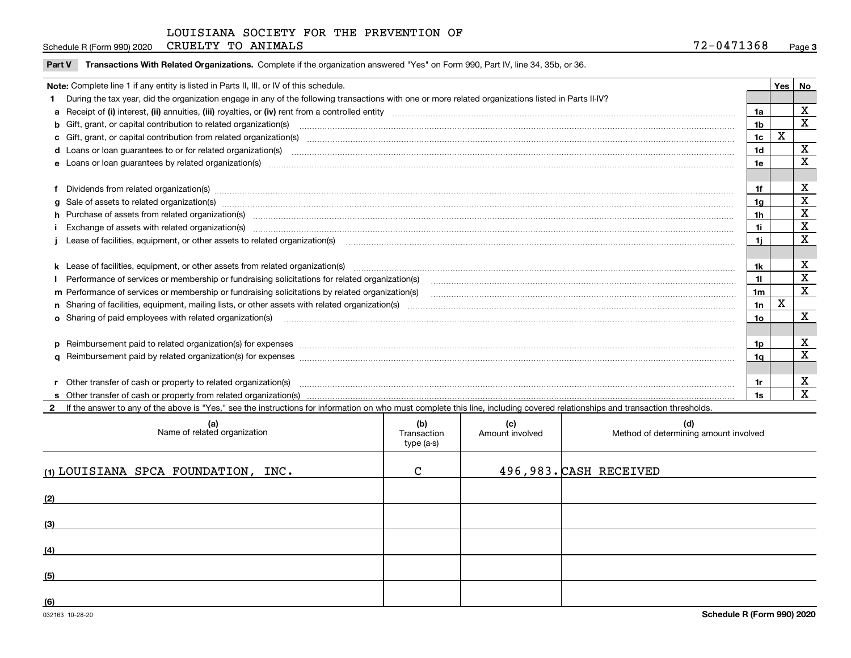| Schedule R (Form 990) 2020 | CRUELTY TO ANIMALS |  | 2-0471368<br><b><u>nn</u></b> | $P$ age $3$ |
|----------------------------|--------------------|--|-------------------------------|-------------|
|----------------------------|--------------------|--|-------------------------------|-------------|

**Part V** T**ransactions With Related Organizations.** Complete if the organization answered "Yes" on Form 990, Part IV, line 34, 35b, or 36.

| Note: Complete line 1 if any entity is listed in Parts II, III, or IV of this schedule. |                                                                                                                                                                                                                                |                |   |                         |  |
|-----------------------------------------------------------------------------------------|--------------------------------------------------------------------------------------------------------------------------------------------------------------------------------------------------------------------------------|----------------|---|-------------------------|--|
|                                                                                         | 1 During the tax year, did the organization engage in any of the following transactions with one or more related organizations listed in Parts II-IV?                                                                          |                |   |                         |  |
|                                                                                         |                                                                                                                                                                                                                                | 1a             |   | $\mathbf X$             |  |
|                                                                                         | b Gift, grant, or capital contribution to related organization(s) mature and contained and contribution to related organization(s) matures are contained and contribution to related organization(s) matures are contained and | 1 <sub>b</sub> |   | X                       |  |
|                                                                                         |                                                                                                                                                                                                                                | 1c             | X |                         |  |
|                                                                                         |                                                                                                                                                                                                                                | 1 <sub>d</sub> |   | X                       |  |
|                                                                                         |                                                                                                                                                                                                                                | 1e             |   | X                       |  |
|                                                                                         |                                                                                                                                                                                                                                |                |   |                         |  |
|                                                                                         | f Dividends from related organization(s) www.assession.com/www.assession.com/www.assession.com/www.assession.com/www.assession.com/www.assession.com/www.assession.com/www.assession.com/www.assession.com/www.assession.com/w | 1f             |   | х                       |  |
|                                                                                         | g Sale of assets to related organization(s) www.assettion.com/www.assettion.com/www.assettion.com/www.assettion.com/www.assettion.com/www.assettion.com/www.assettion.com/www.assettion.com/www.assettion.com/www.assettion.co | 1g             |   | $\mathbf X$             |  |
|                                                                                         | h Purchase of assets from related organization(s) manufactured and content to content the content of assets from related organization(s)                                                                                       | 1h             |   | $\mathbf X$             |  |
|                                                                                         |                                                                                                                                                                                                                                | 1i.            |   | $\mathbf X$             |  |
|                                                                                         | Lease of facilities, equipment, or other assets to related organization(s) contraction contraction control and the set of facilities, equipment, or other assets to related organization(s) contraction control and the set of | 11             |   | X                       |  |
|                                                                                         |                                                                                                                                                                                                                                |                |   |                         |  |
|                                                                                         |                                                                                                                                                                                                                                | 1k             |   | х                       |  |
|                                                                                         |                                                                                                                                                                                                                                | 11             |   | $\mathbf X$             |  |
|                                                                                         | m Performance of services or membership or fundraising solicitations by related organization(s)                                                                                                                                | 1m             |   | $\overline{\mathbf{x}}$ |  |
|                                                                                         |                                                                                                                                                                                                                                | 1n             | X |                         |  |
|                                                                                         | <b>o</b> Sharing of paid employees with related organization(s)                                                                                                                                                                | 10             |   | x                       |  |
|                                                                                         |                                                                                                                                                                                                                                |                |   |                         |  |
|                                                                                         | p Reimbursement paid to related organization(s) for expenses [1111] and the content of the content of the content of the content of the content of the content of the content of the content of the content of the content of  | 1p.            |   | х                       |  |
|                                                                                         |                                                                                                                                                                                                                                | 1q             |   | X                       |  |
|                                                                                         |                                                                                                                                                                                                                                |                |   |                         |  |
|                                                                                         | r Other transfer of cash or property to related organization(s)                                                                                                                                                                | 1r             |   | х                       |  |
|                                                                                         |                                                                                                                                                                                                                                | 1s             |   | $\overline{\mathbf{x}}$ |  |
|                                                                                         | 2 If the answer to any of the above is "Yes," see the instructions for information on who must complete this line, including covered relationships and transaction thresholds.                                                 |                |   |                         |  |

| (a)<br>Name of related organization | (b)<br>Transaction<br>type (a-s) | (c)<br>Amount involved | (d)<br>Method of determining amount involved |
|-------------------------------------|----------------------------------|------------------------|----------------------------------------------|
| (1) LOUISIANA SPCA FOUNDATION, INC. | $\mathcal{C}$                    |                        | 496,983. CASH RECEIVED                       |
| (2)                                 |                                  |                        |                                              |
| (3)                                 |                                  |                        |                                              |
| (4)                                 |                                  |                        |                                              |
| (5)                                 |                                  |                        |                                              |
| (6)                                 |                                  |                        |                                              |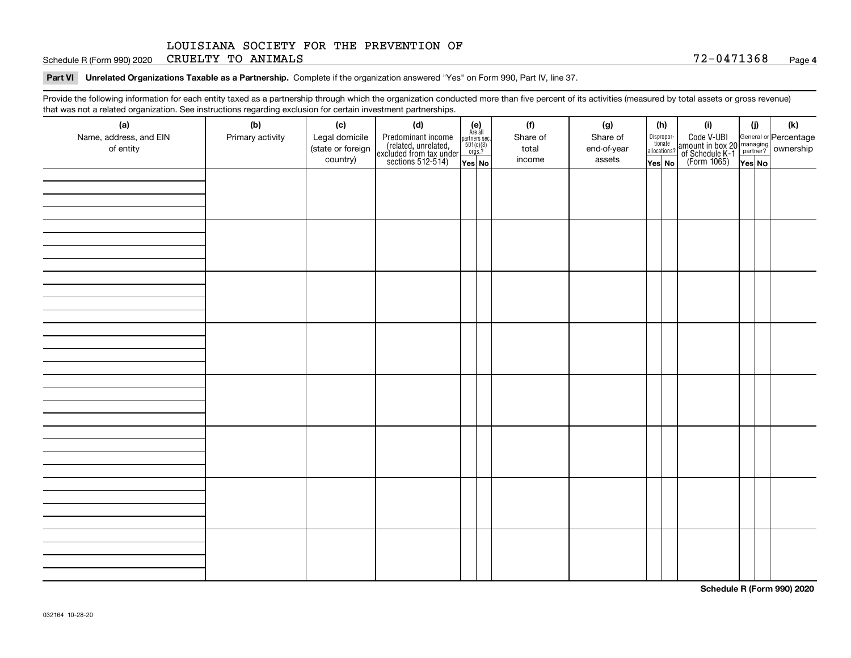Schedule R (Form 990) 2020 Page CRUELTY TO ANIMALS 72-0471368

**Part VI Unrelated Organizations Taxable as a Partnership. Complete if the organization answered "Yes" on Form 990, Part IV, line 37.** 

Provide the following information for each entity taxed as a partnership through which the organization conducted more than five percent of its activities (measured by total assets or gross revenue) that was not a related organization. See instructions regarding exclusion for certain investment partnerships.

| (h)<br>$\begin{array}{c} \textbf{(e)}\\ \text{Are all} \\ \text{partners sec.}\\ 501(c)(3)\\ \text{orgs.?} \end{array}$<br>Code V-UBI<br>amount in box 20 managing<br>of Schedule K-1 partner?<br>(Form 1065)<br>ves No<br>Name, address, and EIN<br>Legal domicile<br>Predominant income<br>(related, unrelated,<br>excluded from tax under<br>sections 512-514)<br>Share of<br>Dispropor-<br>tionate<br>Primary activity<br>Share of<br>of entity<br>(state or foreign<br>end-of-year<br>total<br>allocations?<br>country)<br>income<br>assets<br>Yes No<br>Yes No | (a) | (b) | (c) | .<br>(d) |  | (f) | (g) |  | (i) | (i) | (k) |
|----------------------------------------------------------------------------------------------------------------------------------------------------------------------------------------------------------------------------------------------------------------------------------------------------------------------------------------------------------------------------------------------------------------------------------------------------------------------------------------------------------------------------------------------------------------------|-----|-----|-----|----------|--|-----|-----|--|-----|-----|-----|
|                                                                                                                                                                                                                                                                                                                                                                                                                                                                                                                                                                      |     |     |     |          |  |     |     |  |     |     |     |
|                                                                                                                                                                                                                                                                                                                                                                                                                                                                                                                                                                      |     |     |     |          |  |     |     |  |     |     |     |
|                                                                                                                                                                                                                                                                                                                                                                                                                                                                                                                                                                      |     |     |     |          |  |     |     |  |     |     |     |
|                                                                                                                                                                                                                                                                                                                                                                                                                                                                                                                                                                      |     |     |     |          |  |     |     |  |     |     |     |
|                                                                                                                                                                                                                                                                                                                                                                                                                                                                                                                                                                      |     |     |     |          |  |     |     |  |     |     |     |
|                                                                                                                                                                                                                                                                                                                                                                                                                                                                                                                                                                      |     |     |     |          |  |     |     |  |     |     |     |
|                                                                                                                                                                                                                                                                                                                                                                                                                                                                                                                                                                      |     |     |     |          |  |     |     |  |     |     |     |
|                                                                                                                                                                                                                                                                                                                                                                                                                                                                                                                                                                      |     |     |     |          |  |     |     |  |     |     |     |
|                                                                                                                                                                                                                                                                                                                                                                                                                                                                                                                                                                      |     |     |     |          |  |     |     |  |     |     |     |
|                                                                                                                                                                                                                                                                                                                                                                                                                                                                                                                                                                      |     |     |     |          |  |     |     |  |     |     |     |
|                                                                                                                                                                                                                                                                                                                                                                                                                                                                                                                                                                      |     |     |     |          |  |     |     |  |     |     |     |
|                                                                                                                                                                                                                                                                                                                                                                                                                                                                                                                                                                      |     |     |     |          |  |     |     |  |     |     |     |
|                                                                                                                                                                                                                                                                                                                                                                                                                                                                                                                                                                      |     |     |     |          |  |     |     |  |     |     |     |
|                                                                                                                                                                                                                                                                                                                                                                                                                                                                                                                                                                      |     |     |     |          |  |     |     |  |     |     |     |
|                                                                                                                                                                                                                                                                                                                                                                                                                                                                                                                                                                      |     |     |     |          |  |     |     |  |     |     |     |
|                                                                                                                                                                                                                                                                                                                                                                                                                                                                                                                                                                      |     |     |     |          |  |     |     |  |     |     |     |
|                                                                                                                                                                                                                                                                                                                                                                                                                                                                                                                                                                      |     |     |     |          |  |     |     |  |     |     |     |
|                                                                                                                                                                                                                                                                                                                                                                                                                                                                                                                                                                      |     |     |     |          |  |     |     |  |     |     |     |
|                                                                                                                                                                                                                                                                                                                                                                                                                                                                                                                                                                      |     |     |     |          |  |     |     |  |     |     |     |
|                                                                                                                                                                                                                                                                                                                                                                                                                                                                                                                                                                      |     |     |     |          |  |     |     |  |     |     |     |
|                                                                                                                                                                                                                                                                                                                                                                                                                                                                                                                                                                      |     |     |     |          |  |     |     |  |     |     |     |
|                                                                                                                                                                                                                                                                                                                                                                                                                                                                                                                                                                      |     |     |     |          |  |     |     |  |     |     |     |
|                                                                                                                                                                                                                                                                                                                                                                                                                                                                                                                                                                      |     |     |     |          |  |     |     |  |     |     |     |
|                                                                                                                                                                                                                                                                                                                                                                                                                                                                                                                                                                      |     |     |     |          |  |     |     |  |     |     |     |
|                                                                                                                                                                                                                                                                                                                                                                                                                                                                                                                                                                      |     |     |     |          |  |     |     |  |     |     |     |
|                                                                                                                                                                                                                                                                                                                                                                                                                                                                                                                                                                      |     |     |     |          |  |     |     |  |     |     |     |
|                                                                                                                                                                                                                                                                                                                                                                                                                                                                                                                                                                      |     |     |     |          |  |     |     |  |     |     |     |
|                                                                                                                                                                                                                                                                                                                                                                                                                                                                                                                                                                      |     |     |     |          |  |     |     |  |     |     |     |
|                                                                                                                                                                                                                                                                                                                                                                                                                                                                                                                                                                      |     |     |     |          |  |     |     |  |     |     |     |
|                                                                                                                                                                                                                                                                                                                                                                                                                                                                                                                                                                      |     |     |     |          |  |     |     |  |     |     |     |
|                                                                                                                                                                                                                                                                                                                                                                                                                                                                                                                                                                      |     |     |     |          |  |     |     |  |     |     |     |
|                                                                                                                                                                                                                                                                                                                                                                                                                                                                                                                                                                      |     |     |     |          |  |     |     |  |     |     |     |
|                                                                                                                                                                                                                                                                                                                                                                                                                                                                                                                                                                      |     |     |     |          |  |     |     |  |     |     |     |
|                                                                                                                                                                                                                                                                                                                                                                                                                                                                                                                                                                      |     |     |     |          |  |     |     |  |     |     |     |
|                                                                                                                                                                                                                                                                                                                                                                                                                                                                                                                                                                      |     |     |     |          |  |     |     |  |     |     |     |
|                                                                                                                                                                                                                                                                                                                                                                                                                                                                                                                                                                      |     |     |     |          |  |     |     |  |     |     |     |

**Schedule R (Form 990) 2020**